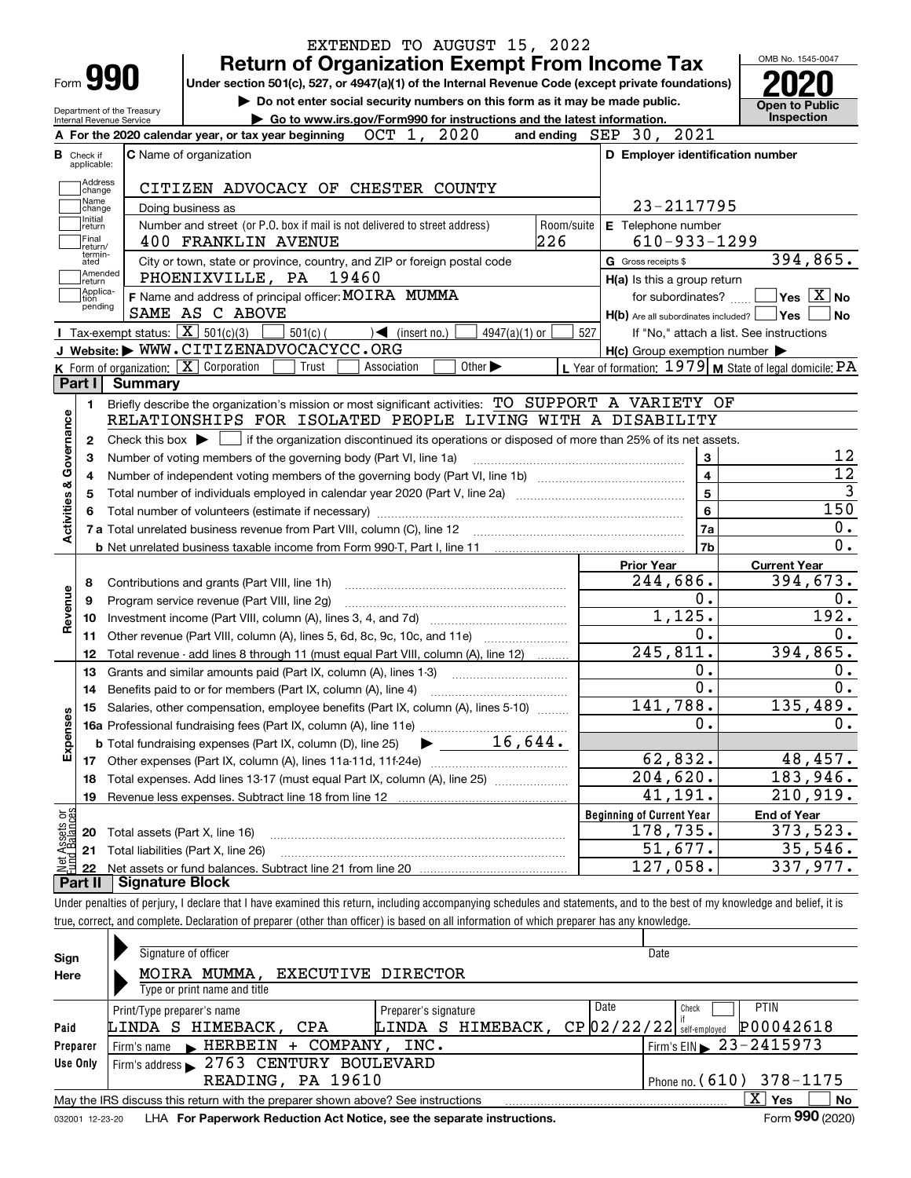|                                                                                                                                                                                                                 |                        | EXTENDED TO AUGUST 15, 2022                                                                                                                                                |                                                           | OMB No. 1545-0047     |  |  |  |  |
|-----------------------------------------------------------------------------------------------------------------------------------------------------------------------------------------------------------------|------------------------|----------------------------------------------------------------------------------------------------------------------------------------------------------------------------|-----------------------------------------------------------|-----------------------|--|--|--|--|
| Form <b>990</b>                                                                                                                                                                                                 |                        | <b>Return of Organization Exempt From Income Tax</b><br>Under section 501(c), 527, or 4947(a)(1) of the Internal Revenue Code (except private foundations)                 |                                                           |                       |  |  |  |  |
|                                                                                                                                                                                                                 |                        |                                                                                                                                                                            | <b>Open to Public</b>                                     |                       |  |  |  |  |
| Do not enter social security numbers on this form as it may be made public.<br>Department of the Treasury<br>Go to www.irs.gov/Form990 for instructions and the latest information.<br>Internal Revenue Service |                        |                                                                                                                                                                            |                                                           |                       |  |  |  |  |
|                                                                                                                                                                                                                 |                        | 2020<br>A For the 2020 calendar year, or tax year beginning $OCT$ 1,                                                                                                       | 2021<br>and ending $SEP$ 30,                              | Inspection            |  |  |  |  |
| <b>B</b> Check if                                                                                                                                                                                               |                        | <b>C</b> Name of organization                                                                                                                                              | D Employer identification number                          |                       |  |  |  |  |
| applicable:<br>Address                                                                                                                                                                                          |                        |                                                                                                                                                                            |                                                           |                       |  |  |  |  |
| change<br>Name                                                                                                                                                                                                  |                        | CITIZEN ADVOCACY OF CHESTER COUNTY                                                                                                                                         |                                                           |                       |  |  |  |  |
| change<br>Initial                                                                                                                                                                                               |                        | Doing business as                                                                                                                                                          | 23-2117795                                                |                       |  |  |  |  |
| return<br>Final                                                                                                                                                                                                 |                        | Number and street (or P.O. box if mail is not delivered to street address)<br>Room/suite<br>226<br><b>400 FRANKLIN AVENUE</b>                                              | E Telephone number<br>$610 - 933 - 1299$                  |                       |  |  |  |  |
| return/<br>termin-<br>ated                                                                                                                                                                                      |                        | City or town, state or province, country, and ZIP or foreign postal code                                                                                                   | G Gross receipts \$                                       | 394,865.              |  |  |  |  |
| Amended<br>return                                                                                                                                                                                               |                        | PHOENIXVILLE, PA 19460                                                                                                                                                     | H(a) Is this a group return                               |                       |  |  |  |  |
| Applica-<br>tion                                                                                                                                                                                                |                        | F Name and address of principal officer: MOIRA MUMMA                                                                                                                       | for subordinates?                                         | $ Yes X $ No          |  |  |  |  |
| pending                                                                                                                                                                                                         |                        | SAME AS C ABOVE                                                                                                                                                            | $H(b)$ Are all subordinates included?                     | No<br><b>Yes</b>      |  |  |  |  |
|                                                                                                                                                                                                                 |                        | Tax-exempt status: $\boxed{\mathbf{X}}$ 501(c)(3)<br>$\sqrt{\frac{1}{1}}$ (insert no.)<br>4947(a)( $1)$ or<br>$501(c)$ (                                                   | 527<br>If "No," attach a list. See instructions           |                       |  |  |  |  |
|                                                                                                                                                                                                                 |                        | J Website: WWW.CITIZENADVOCACYCC.ORG                                                                                                                                       | $H(c)$ Group exemption number $\blacktriangleright$       |                       |  |  |  |  |
|                                                                                                                                                                                                                 |                        | K Form of organization: X Corporation<br>Other $\blacktriangleright$<br>Trust<br>Association                                                                               | L Year of formation: $1979$ M State of legal domicile: PA |                       |  |  |  |  |
| Part I                                                                                                                                                                                                          | <b>Summary</b>         |                                                                                                                                                                            |                                                           |                       |  |  |  |  |
| 1.                                                                                                                                                                                                              |                        | Briefly describe the organization's mission or most significant activities: TO SUPPORT A VARIETY OF                                                                        |                                                           |                       |  |  |  |  |
| Governance                                                                                                                                                                                                      |                        | RELATIONSHIPS FOR ISOLATED PEOPLE LIVING WITH A DISABILITY                                                                                                                 |                                                           |                       |  |  |  |  |
| 2                                                                                                                                                                                                               |                        | Check this box $\blacktriangleright$ $\Box$ if the organization discontinued its operations or disposed of more than 25% of its net assets.                                |                                                           |                       |  |  |  |  |
| з                                                                                                                                                                                                               |                        | Number of voting members of the governing body (Part VI, line 1a)                                                                                                          | 3                                                         | 12                    |  |  |  |  |
| 4                                                                                                                                                                                                               |                        |                                                                                                                                                                            | $\overline{\mathbf{4}}$                                   | $\overline{12}$       |  |  |  |  |
| 5                                                                                                                                                                                                               |                        |                                                                                                                                                                            | 5                                                         |                       |  |  |  |  |
| 6                                                                                                                                                                                                               |                        |                                                                                                                                                                            | 6                                                         | $\overline{3}$<br>150 |  |  |  |  |
| <b>Activities &amp;</b>                                                                                                                                                                                         |                        |                                                                                                                                                                            | 7a                                                        | 0.                    |  |  |  |  |
|                                                                                                                                                                                                                 |                        |                                                                                                                                                                            | 7b                                                        | 0.                    |  |  |  |  |
|                                                                                                                                                                                                                 |                        |                                                                                                                                                                            | <b>Prior Year</b>                                         | <b>Current Year</b>   |  |  |  |  |
| 8                                                                                                                                                                                                               |                        | Contributions and grants (Part VIII, line 1h)                                                                                                                              | 244,686.                                                  | 394,673.              |  |  |  |  |
|                                                                                                                                                                                                                 |                        | Program service revenue (Part VIII, line 2g)                                                                                                                               | 0.                                                        | 0.                    |  |  |  |  |
| 9                                                                                                                                                                                                               |                        |                                                                                                                                                                            | 1,125.                                                    | 192.                  |  |  |  |  |
| Revenue<br>10                                                                                                                                                                                                   |                        |                                                                                                                                                                            | 0.                                                        | 0.                    |  |  |  |  |
| 11                                                                                                                                                                                                              |                        | Other revenue (Part VIII, column (A), lines 5, 6d, 8c, 9c, 10c, and 11e)                                                                                                   | 245,811.                                                  | 394,865.              |  |  |  |  |
| 12                                                                                                                                                                                                              |                        | Total revenue - add lines 8 through 11 (must equal Part VIII, column (A), line 12)                                                                                         | 0.                                                        | 0.                    |  |  |  |  |
| 13                                                                                                                                                                                                              |                        | Grants and similar amounts paid (Part IX, column (A), lines 1-3)                                                                                                           | 0.                                                        | 0.                    |  |  |  |  |
| 14                                                                                                                                                                                                              |                        | Benefits paid to or for members (Part IX, column (A), line 4)                                                                                                              |                                                           |                       |  |  |  |  |
| 15                                                                                                                                                                                                              |                        | Salaries, other compensation, employee benefits (Part IX, column (A), lines 5-10)                                                                                          | 141,788.                                                  | 135,489.              |  |  |  |  |
|                                                                                                                                                                                                                 |                        |                                                                                                                                                                            | 0.                                                        | 0.                    |  |  |  |  |
| Expenses                                                                                                                                                                                                        |                        |                                                                                                                                                                            |                                                           |                       |  |  |  |  |
| 17                                                                                                                                                                                                              |                        |                                                                                                                                                                            | 62,832.                                                   | 48,457.               |  |  |  |  |
| 18                                                                                                                                                                                                              |                        | Total expenses. Add lines 13-17 (must equal Part IX, column (A), line 25)                                                                                                  | 204,620.                                                  | 183,946.              |  |  |  |  |
| 19                                                                                                                                                                                                              |                        |                                                                                                                                                                            | 41,191.                                                   | 210,919.              |  |  |  |  |
|                                                                                                                                                                                                                 |                        |                                                                                                                                                                            | <b>Beginning of Current Year</b>                          | <b>End of Year</b>    |  |  |  |  |
| t Assets or<br>d Balances<br>20                                                                                                                                                                                 |                        | Total assets (Part X, line 16)                                                                                                                                             | 178,735.                                                  | 373,523.              |  |  |  |  |
| 21                                                                                                                                                                                                              |                        | Total liabilities (Part X, line 26)                                                                                                                                        | 51,677.                                                   | 35,546.               |  |  |  |  |
| 22                                                                                                                                                                                                              |                        |                                                                                                                                                                            | 127,058.                                                  | 337,977.              |  |  |  |  |
| Part II                                                                                                                                                                                                         | <b>Signature Block</b> |                                                                                                                                                                            |                                                           |                       |  |  |  |  |
|                                                                                                                                                                                                                 |                        | Under penalties of perjury, I declare that I have examined this return, including accompanying schedules and statements, and to the best of my knowledge and belief, it is |                                                           |                       |  |  |  |  |
|                                                                                                                                                                                                                 |                        | true, correct, and complete. Declaration of preparer (other than officer) is based on all information of which preparer has any knowledge.                                 |                                                           |                       |  |  |  |  |
|                                                                                                                                                                                                                 |                        |                                                                                                                                                                            |                                                           |                       |  |  |  |  |
|                                                                                                                                                                                                                 |                        |                                                                                                                                                                            |                                                           |                       |  |  |  |  |

| Sign     | Signature of officer                                                                                     |                      | Date                               |                       |  |  |  |  |  |  |
|----------|----------------------------------------------------------------------------------------------------------|----------------------|------------------------------------|-----------------------|--|--|--|--|--|--|
| Here     | MOIRA MUMMA,<br>EXECUTIVE DIRECTOR                                                                       |                      |                                    |                       |  |  |  |  |  |  |
|          | Type or print name and title                                                                             |                      |                                    |                       |  |  |  |  |  |  |
|          | Print/Type preparer's name                                                                               | Preparer's signature | Date<br>Check                      | <b>PTIN</b>           |  |  |  |  |  |  |
| Paid     | LINDA S HIMEBACK, CPA                                                                                    | LINDA S HIMEBACK,    | $CP$ 02/22/22 $\frac{1}{\sqrt{2}}$ | P00042618             |  |  |  |  |  |  |
| Preparer | Firm's name FIERBEIN + COMPANY, INC.                                                                     |                      | $1$ Firm's EIN $\geq 23 - 2415973$ |                       |  |  |  |  |  |  |
| Use Only | Firm's address > 2763 CENTURY BOULEVARD                                                                  |                      |                                    |                       |  |  |  |  |  |  |
|          | READING, PA 19610                                                                                        |                      | Phone no. $(610)$ 378-1175         |                       |  |  |  |  |  |  |
|          | x<br>No<br><b>Yes</b><br>May the IRS discuss this return with the preparer shown above? See instructions |                      |                                    |                       |  |  |  |  |  |  |
|          |                                                                                                          |                      |                                    | $000$ ( $0.00$ )<br>- |  |  |  |  |  |  |

032001 12-23-20 LHA **For Paperwork Reduction Act Notice, see the separate instructions.** Form 990 (2020)

**990**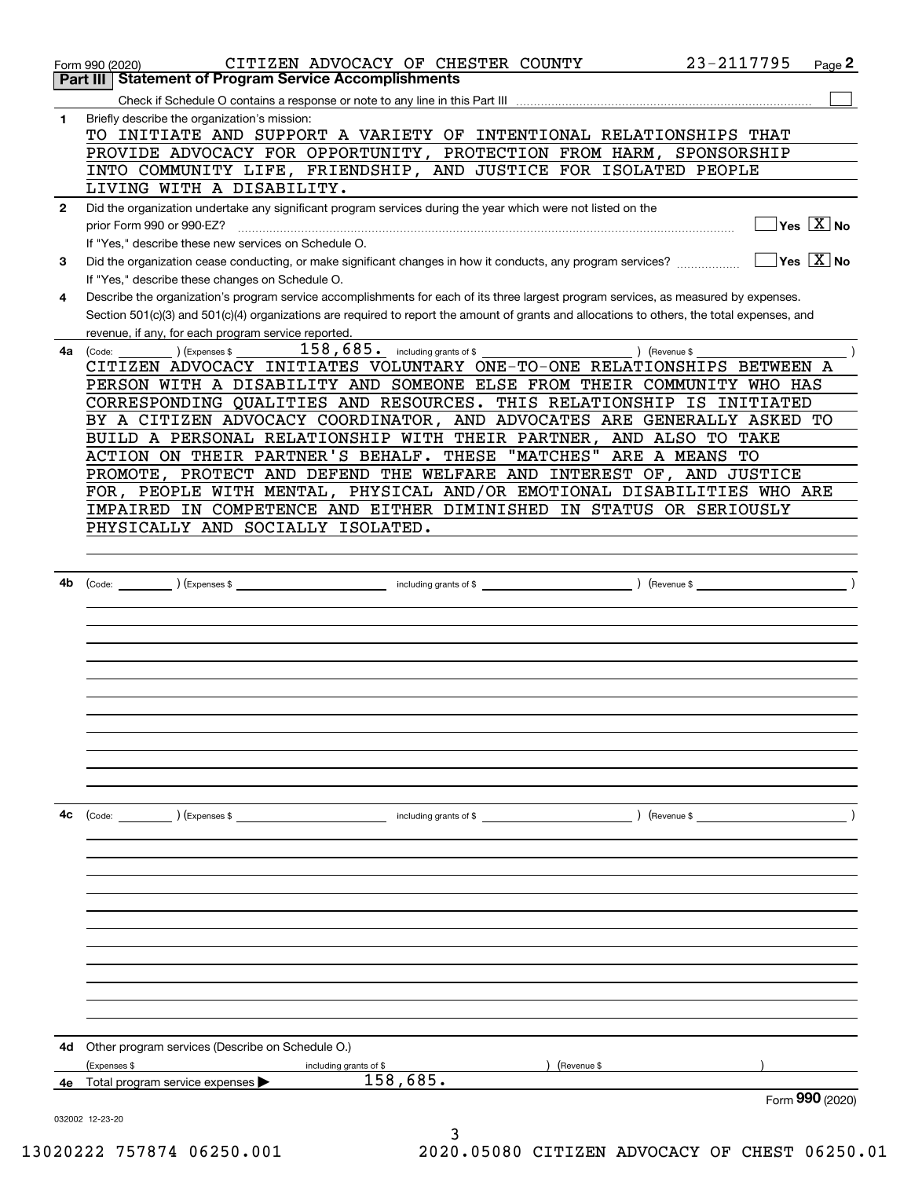|              | 23-2117795<br>CITIZEN ADVOCACY OF CHESTER COUNTY<br>Page 2<br>Form 990 (2020)<br><b>Part III Statement of Program Service Accomplishments</b>                  |
|--------------|----------------------------------------------------------------------------------------------------------------------------------------------------------------|
|              |                                                                                                                                                                |
|              |                                                                                                                                                                |
| 1            | Briefly describe the organization's mission:<br>TO INITIATE AND SUPPORT A VARIETY OF INTENTIONAL RELATIONSHIPS THAT                                            |
|              |                                                                                                                                                                |
|              | PROVIDE ADVOCACY FOR OPPORTUNITY, PROTECTION FROM HARM, SPONSORSHIP                                                                                            |
|              | INTO COMMUNITY LIFE, FRIENDSHIP, AND JUSTICE FOR ISOLATED PEOPLE                                                                                               |
|              | LIVING WITH A DISABILITY.                                                                                                                                      |
| $\mathbf{2}$ | Did the organization undertake any significant program services during the year which were not listed on the                                                   |
|              | $\overline{\ }$ Yes $\overline{\phantom{X}}$ No<br>prior Form 990 or 990-EZ?                                                                                   |
|              | If "Yes," describe these new services on Schedule O.                                                                                                           |
| 3            | $\overline{\ }$ Yes $\overline{\mathrm{X}}$ No<br>Did the organization cease conducting, or make significant changes in how it conducts, any program services? |
|              | If "Yes," describe these changes on Schedule O.                                                                                                                |
| 4            | Describe the organization's program service accomplishments for each of its three largest program services, as measured by expenses.                           |
|              | Section 501(c)(3) and 501(c)(4) organizations are required to report the amount of grants and allocations to others, the total expenses, and                   |
|              | revenue, if any, for each program service reported.                                                                                                            |
|              | $158$ , $685$ . including grants of \$<br>) (Revenue \$<br>4a (Code:<br>(Expenses \$                                                                           |
|              | CITIZEN ADVOCACY INITIATES VOLUNTARY ONE-TO-ONE RELATIONSHIPS BETWEEN A                                                                                        |
|              | PERSON WITH A DISABILITY AND SOMEONE ELSE FROM THEIR COMMUNITY WHO HAS                                                                                         |
|              | CORRESPONDING QUALITIES AND RESOURCES. THIS RELATIONSHIP IS<br>INITIATED                                                                                       |
|              | BY A CITIZEN ADVOCACY COORDINATOR, AND ADVOCATES ARE GENERALLY ASKED TO                                                                                        |
|              | BUILD A PERSONAL RELATIONSHIP WITH THEIR PARTNER, AND ALSO TO TAKE                                                                                             |
|              | ACTION ON THEIR PARTNER'S BEHALF. THESE "MATCHES" ARE A MEANS TO                                                                                               |
|              | PROMOTE, PROTECT AND DEFEND THE WELFARE AND INTEREST OF, AND JUSTICE                                                                                           |
|              | FOR, PEOPLE WITH MENTAL, PHYSICAL AND/OR EMOTIONAL DISABILITIES WHO ARE                                                                                        |
|              | IMPAIRED IN COMPETENCE AND EITHER DIMINISHED IN STATUS OR SERIOUSLY                                                                                            |
|              |                                                                                                                                                                |
|              | PHYSICALLY AND SOCIALLY ISOLATED.                                                                                                                              |
|              |                                                                                                                                                                |
|              |                                                                                                                                                                |
| 4b           |                                                                                                                                                                |
|              |                                                                                                                                                                |
|              |                                                                                                                                                                |
|              |                                                                                                                                                                |
|              |                                                                                                                                                                |
|              |                                                                                                                                                                |
|              |                                                                                                                                                                |
|              |                                                                                                                                                                |
|              |                                                                                                                                                                |
|              |                                                                                                                                                                |
|              |                                                                                                                                                                |
|              |                                                                                                                                                                |
|              |                                                                                                                                                                |
| 4с           |                                                                                                                                                                |
|              |                                                                                                                                                                |
|              |                                                                                                                                                                |
|              |                                                                                                                                                                |
|              |                                                                                                                                                                |
|              |                                                                                                                                                                |
|              |                                                                                                                                                                |
|              |                                                                                                                                                                |
|              |                                                                                                                                                                |
|              |                                                                                                                                                                |
|              |                                                                                                                                                                |
|              |                                                                                                                                                                |
|              |                                                                                                                                                                |
|              |                                                                                                                                                                |
| 4d           | Other program services (Describe on Schedule O.)                                                                                                               |
|              | (Expenses \$<br>(Revenue \$<br>including grants of \$                                                                                                          |
| 4е           | 158, 685.<br>Total program service expenses                                                                                                                    |
|              | Form 990 (2020)                                                                                                                                                |
|              | 032002 12-23-20                                                                                                                                                |
|              |                                                                                                                                                                |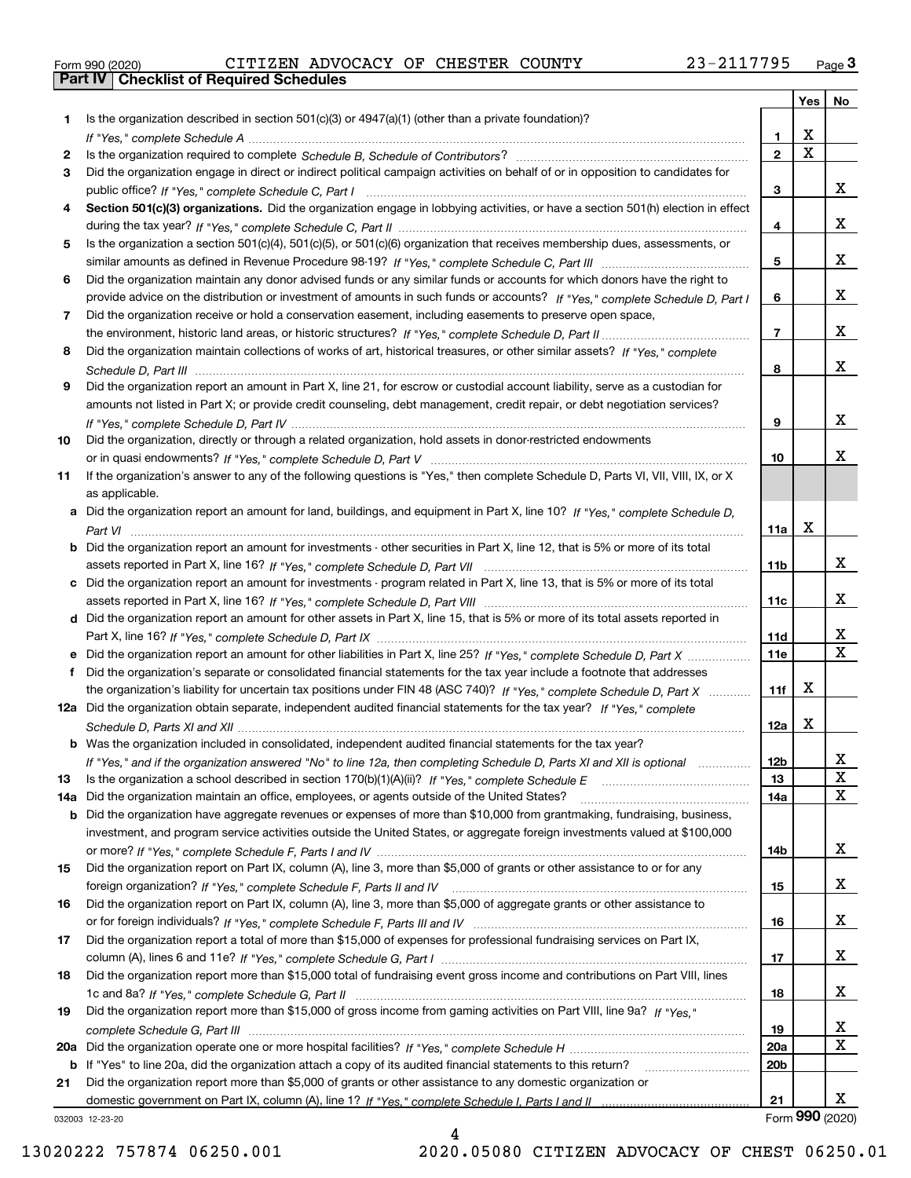|  | Form 990 (2020) |
|--|-----------------|

|     |                                                                                                                                       |                 | Yes $ $     | No              |
|-----|---------------------------------------------------------------------------------------------------------------------------------------|-----------------|-------------|-----------------|
| 1.  | Is the organization described in section $501(c)(3)$ or $4947(a)(1)$ (other than a private foundation)?                               |                 |             |                 |
|     |                                                                                                                                       | 1.              | х           |                 |
| 2   |                                                                                                                                       | $\overline{2}$  | $\mathbf X$ |                 |
| 3   | Did the organization engage in direct or indirect political campaign activities on behalf of or in opposition to candidates for       |                 |             |                 |
|     |                                                                                                                                       | 3               |             | x               |
| 4   | Section 501(c)(3) organizations. Did the organization engage in lobbying activities, or have a section 501(h) election in effect      |                 |             |                 |
|     |                                                                                                                                       | 4               |             | x               |
| 5   | Is the organization a section 501(c)(4), 501(c)(5), or 501(c)(6) organization that receives membership dues, assessments, or          |                 |             |                 |
|     |                                                                                                                                       | 5               |             | x               |
| 6   | Did the organization maintain any donor advised funds or any similar funds or accounts for which donors have the right to             |                 |             |                 |
|     | provide advice on the distribution or investment of amounts in such funds or accounts? If "Yes," complete Schedule D, Part I          | 6               |             | x               |
| 7   | Did the organization receive or hold a conservation easement, including easements to preserve open space,                             |                 |             | x               |
|     |                                                                                                                                       | $\overline{7}$  |             |                 |
| 8   | Did the organization maintain collections of works of art, historical treasures, or other similar assets? If "Yes," complete          |                 |             | x               |
|     |                                                                                                                                       | 8               |             |                 |
| 9   | Did the organization report an amount in Part X, line 21, for escrow or custodial account liability, serve as a custodian for         |                 |             |                 |
|     | amounts not listed in Part X; or provide credit counseling, debt management, credit repair, or debt negotiation services?             |                 |             | x               |
|     |                                                                                                                                       | 9               |             |                 |
| 10  | Did the organization, directly or through a related organization, hold assets in donor-restricted endowments                          | 10              |             | x               |
| 11  | If the organization's answer to any of the following questions is "Yes," then complete Schedule D, Parts VI, VII, VIII, IX, or X      |                 |             |                 |
|     | as applicable.                                                                                                                        |                 |             |                 |
|     | a Did the organization report an amount for land, buildings, and equipment in Part X, line 10? If "Yes," complete Schedule D.         |                 |             |                 |
|     |                                                                                                                                       | 11a             | х           |                 |
|     | <b>b</b> Did the organization report an amount for investments - other securities in Part X, line 12, that is 5% or more of its total |                 |             |                 |
|     |                                                                                                                                       | 11 <sub>b</sub> |             | x               |
|     | c Did the organization report an amount for investments - program related in Part X, line 13, that is 5% or more of its total         |                 |             |                 |
|     |                                                                                                                                       | 11c             |             | x               |
|     | d Did the organization report an amount for other assets in Part X, line 15, that is 5% or more of its total assets reported in       |                 |             |                 |
|     |                                                                                                                                       | 11d             |             | x               |
|     |                                                                                                                                       | <b>11e</b>      |             | $\mathbf X$     |
| f   | Did the organization's separate or consolidated financial statements for the tax year include a footnote that addresses               |                 |             |                 |
|     | the organization's liability for uncertain tax positions under FIN 48 (ASC 740)? If "Yes," complete Schedule D, Part X                | 11f             | X           |                 |
|     | 12a Did the organization obtain separate, independent audited financial statements for the tax year? If "Yes," complete               |                 |             |                 |
|     |                                                                                                                                       | 12a             | x           |                 |
|     | <b>b</b> Was the organization included in consolidated, independent audited financial statements for the tax year?                    |                 |             |                 |
|     | If "Yes," and if the organization answered "No" to line 12a, then completing Schedule D, Parts XI and XII is optional                 | 12 <sub>b</sub> |             | 47              |
| 13  |                                                                                                                                       | 13              |             | X               |
| 14a | Did the organization maintain an office, employees, or agents outside of the United States?                                           | 14a             |             | X               |
|     | <b>b</b> Did the organization have aggregate revenues or expenses of more than \$10,000 from grantmaking, fundraising, business,      |                 |             |                 |
|     | investment, and program service activities outside the United States, or aggregate foreign investments valued at \$100,000            |                 |             |                 |
|     |                                                                                                                                       | 14b             |             | x               |
| 15  | Did the organization report on Part IX, column (A), line 3, more than \$5,000 of grants or other assistance to or for any             |                 |             |                 |
|     |                                                                                                                                       | 15              |             | X               |
| 16  | Did the organization report on Part IX, column (A), line 3, more than \$5,000 of aggregate grants or other assistance to              |                 |             |                 |
|     |                                                                                                                                       | 16              |             | X               |
| 17  | Did the organization report a total of more than \$15,000 of expenses for professional fundraising services on Part IX,               |                 |             |                 |
|     |                                                                                                                                       | 17              |             | x               |
| 18  | Did the organization report more than \$15,000 total of fundraising event gross income and contributions on Part VIII, lines          |                 |             |                 |
|     |                                                                                                                                       | 18              |             | x               |
| 19  | Did the organization report more than \$15,000 of gross income from gaming activities on Part VIII, line 9a? If "Yes."                |                 |             |                 |
|     |                                                                                                                                       | 19              |             | X               |
|     |                                                                                                                                       | 20a             |             | X               |
|     | b If "Yes" to line 20a, did the organization attach a copy of its audited financial statements to this return?                        | 20 <sub>b</sub> |             |                 |
| 21  | Did the organization report more than \$5,000 of grants or other assistance to any domestic organization or                           | 21              |             | x               |
|     |                                                                                                                                       |                 |             | Form 990 (2020) |
|     | 032003 12-23-20                                                                                                                       |                 |             |                 |

032003 12-23-20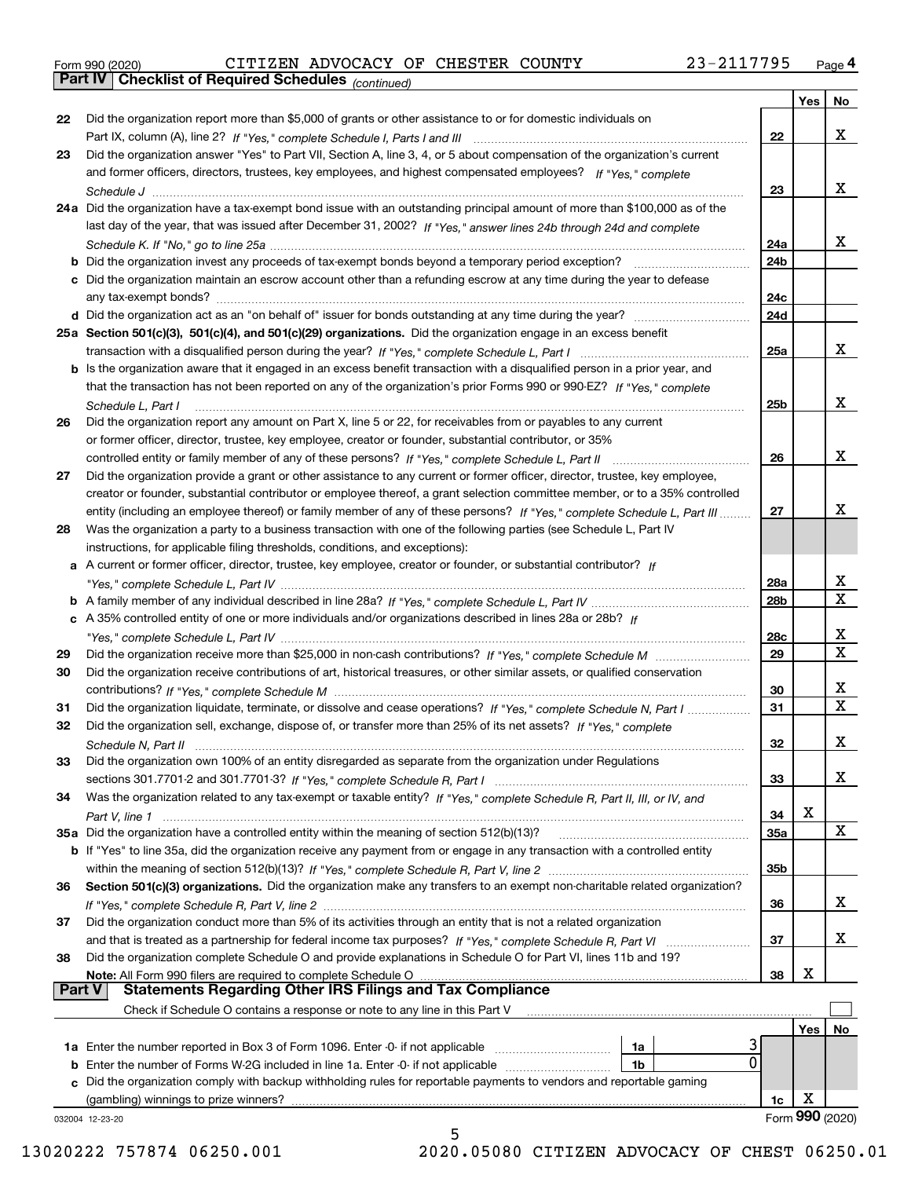|  | Form 990 (2020) |
|--|-----------------|
|  |                 |

*(continued)*

|               |                                                                                                                                       |                 | Yes | No              |
|---------------|---------------------------------------------------------------------------------------------------------------------------------------|-----------------|-----|-----------------|
| 22            | Did the organization report more than \$5,000 of grants or other assistance to or for domestic individuals on                         |                 |     |                 |
|               |                                                                                                                                       | 22              |     | x               |
| 23            | Did the organization answer "Yes" to Part VII, Section A, line 3, 4, or 5 about compensation of the organization's current            |                 |     |                 |
|               | and former officers, directors, trustees, key employees, and highest compensated employees? If "Yes," complete                        |                 |     |                 |
|               |                                                                                                                                       | 23              |     | x               |
|               | 24a Did the organization have a tax-exempt bond issue with an outstanding principal amount of more than \$100,000 as of the           |                 |     |                 |
|               | last day of the year, that was issued after December 31, 2002? If "Yes," answer lines 24b through 24d and complete                    |                 |     |                 |
|               |                                                                                                                                       | 24a             |     | x               |
|               |                                                                                                                                       | 24b             |     |                 |
|               | c Did the organization maintain an escrow account other than a refunding escrow at any time during the year to defease                |                 |     |                 |
|               |                                                                                                                                       | 24c             |     |                 |
|               |                                                                                                                                       | 24d             |     |                 |
|               | 25a Section 501(c)(3), 501(c)(4), and 501(c)(29) organizations. Did the organization engage in an excess benefit                      |                 |     |                 |
|               |                                                                                                                                       | 25a             |     | x               |
|               | b Is the organization aware that it engaged in an excess benefit transaction with a disqualified person in a prior year, and          |                 |     |                 |
|               | that the transaction has not been reported on any of the organization's prior Forms 990 or 990-EZ? If "Yes " complete                 |                 |     |                 |
|               |                                                                                                                                       | 25b             |     | x               |
|               | Schedule L. Part I<br>Did the organization report any amount on Part X, line 5 or 22, for receivables from or payables to any current |                 |     |                 |
| 26            |                                                                                                                                       |                 |     |                 |
|               | or former officer, director, trustee, key employee, creator or founder, substantial contributor, or 35%                               |                 |     | х               |
|               | controlled entity or family member of any of these persons? If "Yes," complete Schedule L, Part II                                    | 26              |     |                 |
| 27            | Did the organization provide a grant or other assistance to any current or former officer, director, trustee, key employee,           |                 |     |                 |
|               | creator or founder, substantial contributor or employee thereof, a grant selection committee member, or to a 35% controlled           |                 |     |                 |
|               | entity (including an employee thereof) or family member of any of these persons? If "Yes," complete Schedule L, Part III              | 27              |     | х               |
| 28            | Was the organization a party to a business transaction with one of the following parties (see Schedule L, Part IV                     |                 |     |                 |
|               | instructions, for applicable filing thresholds, conditions, and exceptions):                                                          |                 |     |                 |
|               | a A current or former officer, director, trustee, key employee, creator or founder, or substantial contributor? If                    |                 |     |                 |
|               |                                                                                                                                       | 28a             |     | x               |
|               |                                                                                                                                       | 28 <sub>b</sub> |     | X               |
|               | c A 35% controlled entity of one or more individuals and/or organizations described in lines 28a or 28b? If                           |                 |     |                 |
|               |                                                                                                                                       | 28c             |     | х               |
| 29            |                                                                                                                                       | 29              |     | X               |
| 30            | Did the organization receive contributions of art, historical treasures, or other similar assets, or qualified conservation           |                 |     |                 |
|               |                                                                                                                                       | 30              |     | х               |
| 31            | Did the organization liquidate, terminate, or dissolve and cease operations? If "Yes," complete Schedule N, Part I                    | 31              |     | X               |
| 32            | Did the organization sell, exchange, dispose of, or transfer more than 25% of its net assets? If "Yes," complete                      |                 |     |                 |
|               | Schedule N. Part II                                                                                                                   | 32              |     | х               |
| 33            | Did the organization own 100% of an entity disregarded as separate from the organization under Regulations                            |                 |     |                 |
|               |                                                                                                                                       | 33              |     | x               |
| 34            | Was the organization related to any tax-exempt or taxable entity? If "Yes," complete Schedule R, Part II, III, or IV, and             |                 |     |                 |
|               |                                                                                                                                       | 34              | x   |                 |
|               | 35a Did the organization have a controlled entity within the meaning of section 512(b)(13)?                                           | 35a             |     | x               |
|               | <b>b</b> If "Yes" to line 35a, did the organization receive any payment from or engage in any transaction with a controlled entity    |                 |     |                 |
|               |                                                                                                                                       | 35b             |     |                 |
| 36            | Section 501(c)(3) organizations. Did the organization make any transfers to an exempt non-charitable related organization?            |                 |     |                 |
|               |                                                                                                                                       | 36              |     | X               |
| 37            | Did the organization conduct more than 5% of its activities through an entity that is not a related organization                      |                 |     |                 |
|               | and that is treated as a partnership for federal income tax purposes? If "Yes," complete Schedule R, Part VI                          | 37              |     | x               |
| 38            | Did the organization complete Schedule O and provide explanations in Schedule O for Part VI, lines 11b and 19?                        |                 |     |                 |
|               | Note: All Form 990 filers are required to complete Schedule O                                                                         | 38              | x   |                 |
| <b>Part V</b> | <b>Statements Regarding Other IRS Filings and Tax Compliance</b>                                                                      |                 |     |                 |
|               | Check if Schedule O contains a response or note to any line in this Part V                                                            |                 |     |                 |
|               |                                                                                                                                       |                 | Yes | No              |
|               | 1a Enter the number reported in Box 3 of Form 1096. Enter -0- if not applicable<br>1a                                                 |                 |     |                 |
| b             | 0<br>Enter the number of Forms W-2G included in line 1a. Enter -0- if not applicable <i>manumumumum</i><br>1b                         |                 |     |                 |
| c             | Did the organization comply with backup withholding rules for reportable payments to vendors and reportable gaming                    |                 |     |                 |
|               | (gambling) winnings to prize winners?                                                                                                 | 1c              | х   |                 |
|               | 032004 12-23-20                                                                                                                       |                 |     | Form 990 (2020) |
|               | 5                                                                                                                                     |                 |     |                 |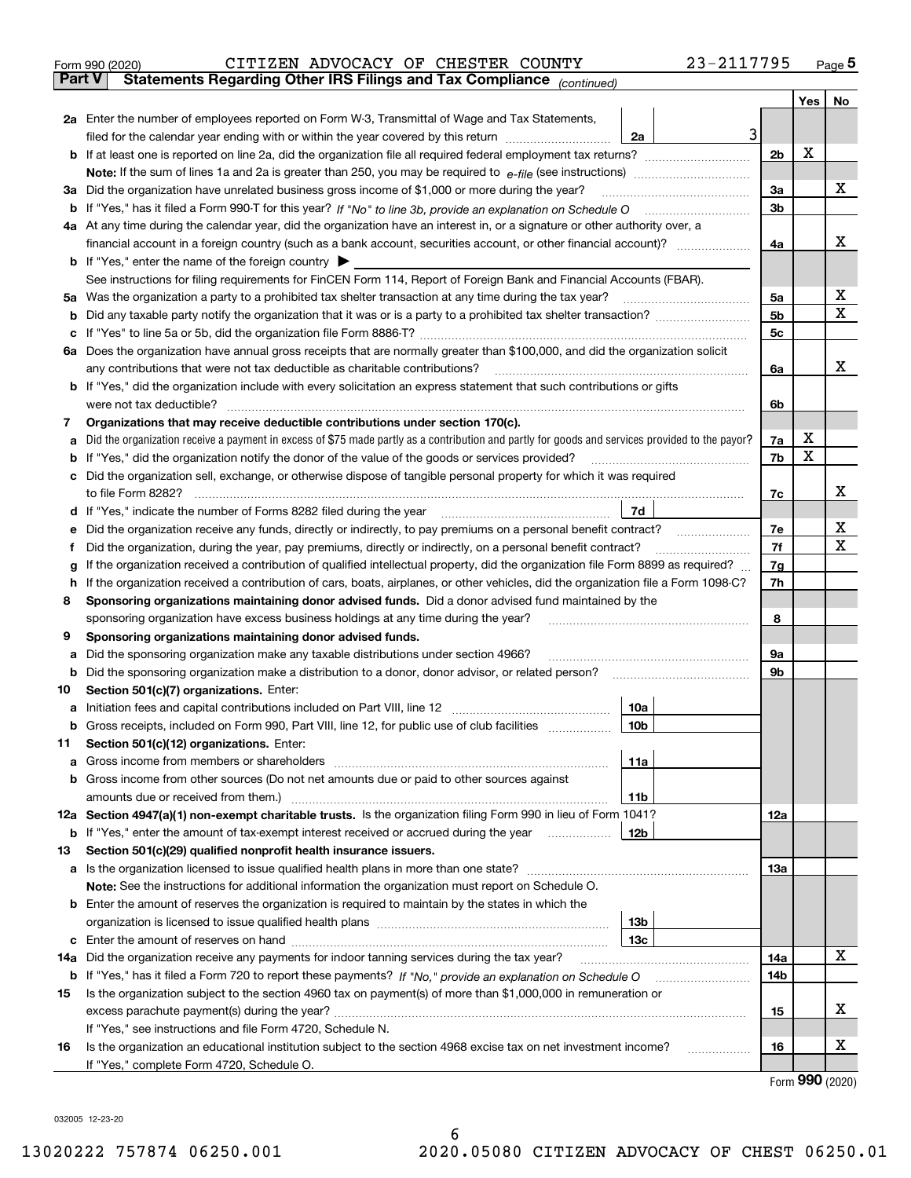|               | 23-2117795<br>CITIZEN ADVOCACY OF CHESTER COUNTY<br>Form 990 (2020)                                                                                                                                                                   |                |     | $_{\text{Page}}$ 5 |  |  |  |
|---------------|---------------------------------------------------------------------------------------------------------------------------------------------------------------------------------------------------------------------------------------|----------------|-----|--------------------|--|--|--|
| <b>Part V</b> | Statements Regarding Other IRS Filings and Tax Compliance (continued)                                                                                                                                                                 |                |     |                    |  |  |  |
|               |                                                                                                                                                                                                                                       |                | Yes | No                 |  |  |  |
|               | 2a Enter the number of employees reported on Form W-3, Transmittal of Wage and Tax Statements,                                                                                                                                        |                |     |                    |  |  |  |
|               | 3<br>filed for the calendar year ending with or within the year covered by this return<br>2a                                                                                                                                          |                |     |                    |  |  |  |
|               |                                                                                                                                                                                                                                       | 2 <sub>b</sub> | х   |                    |  |  |  |
|               |                                                                                                                                                                                                                                       |                |     |                    |  |  |  |
|               | 3a Did the organization have unrelated business gross income of \$1,000 or more during the year?                                                                                                                                      | 3a             |     | x                  |  |  |  |
|               |                                                                                                                                                                                                                                       | 3b             |     |                    |  |  |  |
|               | 4a At any time during the calendar year, did the organization have an interest in, or a signature or other authority over, a                                                                                                          |                |     |                    |  |  |  |
|               |                                                                                                                                                                                                                                       | 4a             |     | x                  |  |  |  |
|               | <b>b</b> If "Yes," enter the name of the foreign country $\blacktriangleright$                                                                                                                                                        |                |     |                    |  |  |  |
|               | See instructions for filing requirements for FinCEN Form 114, Report of Foreign Bank and Financial Accounts (FBAR).                                                                                                                   |                |     |                    |  |  |  |
|               |                                                                                                                                                                                                                                       | 5a             |     | х                  |  |  |  |
| b             |                                                                                                                                                                                                                                       | 5b             |     | X                  |  |  |  |
| c             |                                                                                                                                                                                                                                       | 5c             |     |                    |  |  |  |
|               | 6a Does the organization have annual gross receipts that are normally greater than \$100,000, and did the organization solicit                                                                                                        |                |     |                    |  |  |  |
|               |                                                                                                                                                                                                                                       | 6a             |     | х                  |  |  |  |
|               | <b>b</b> If "Yes," did the organization include with every solicitation an express statement that such contributions or gifts                                                                                                         |                |     |                    |  |  |  |
|               | were not tax deductible?                                                                                                                                                                                                              | 6b             |     |                    |  |  |  |
| 7             | Organizations that may receive deductible contributions under section 170(c).                                                                                                                                                         |                |     |                    |  |  |  |
| а             | Did the organization receive a payment in excess of \$75 made partly as a contribution and partly for goods and services provided to the payor?                                                                                       | 7a             | х   |                    |  |  |  |
| b             | If "Yes," did the organization notify the donor of the value of the goods or services provided?                                                                                                                                       | 7b             | х   |                    |  |  |  |
|               | c Did the organization sell, exchange, or otherwise dispose of tangible personal property for which it was required                                                                                                                   |                |     |                    |  |  |  |
|               |                                                                                                                                                                                                                                       | 7c             |     | х                  |  |  |  |
|               | 7d                                                                                                                                                                                                                                    |                |     |                    |  |  |  |
| е             | Did the organization receive any funds, directly or indirectly, to pay premiums on a personal benefit contract?                                                                                                                       | 7e             |     | х                  |  |  |  |
| f             | Did the organization, during the year, pay premiums, directly or indirectly, on a personal benefit contract?                                                                                                                          | 7f             |     | х                  |  |  |  |
| g             | If the organization received a contribution of qualified intellectual property, did the organization file Form 8899 as required?                                                                                                      | 7g             |     |                    |  |  |  |
| h.            | If the organization received a contribution of cars, boats, airplanes, or other vehicles, did the organization file a Form 1098-C?                                                                                                    |                |     |                    |  |  |  |
| 8             | Sponsoring organizations maintaining donor advised funds. Did a donor advised fund maintained by the                                                                                                                                  |                |     |                    |  |  |  |
|               | sponsoring organization have excess business holdings at any time during the year?                                                                                                                                                    | 8              |     |                    |  |  |  |
| 9             | Sponsoring organizations maintaining donor advised funds.                                                                                                                                                                             |                |     |                    |  |  |  |
| а             | Did the sponsoring organization make any taxable distributions under section 4966?                                                                                                                                                    | 9а             |     |                    |  |  |  |
| b             | Did the sponsoring organization make a distribution to a donor, donor advisor, or related person?                                                                                                                                     | 9b             |     |                    |  |  |  |
| 10            | Section 501(c)(7) organizations. Enter:                                                                                                                                                                                               |                |     |                    |  |  |  |
|               | 10a<br>a Initiation fees and capital contributions included on Part VIII, line 12 [111] [11] [12] [11] [12] [11] [12] [11] [12] [11] [12] [11] [12] [11] [12] [11] [12] [11] [12] [11] [12] [11] [12] [11] [12] [11] [12] [11] [12] [ |                |     |                    |  |  |  |
|               | 10 <sub>b</sub>  <br>Gross receipts, included on Form 990, Part VIII, line 12, for public use of club facilities                                                                                                                      |                |     |                    |  |  |  |
| 11            | Section 501(c)(12) organizations. Enter:                                                                                                                                                                                              |                |     |                    |  |  |  |
| a             | 11a                                                                                                                                                                                                                                   |                |     |                    |  |  |  |
|               | b Gross income from other sources (Do not net amounts due or paid to other sources against                                                                                                                                            |                |     |                    |  |  |  |
|               | <b>11b</b>                                                                                                                                                                                                                            |                |     |                    |  |  |  |
|               | 12a Section 4947(a)(1) non-exempt charitable trusts. Is the organization filing Form 990 in lieu of Form 1041?                                                                                                                        | 12a            |     |                    |  |  |  |
|               | 12b<br><b>b</b> If "Yes," enter the amount of tax-exempt interest received or accrued during the year <i>manument</i>                                                                                                                 |                |     |                    |  |  |  |
| 13            | Section 501(c)(29) qualified nonprofit health insurance issuers.                                                                                                                                                                      |                |     |                    |  |  |  |
|               | a Is the organization licensed to issue qualified health plans in more than one state?                                                                                                                                                | 13a            |     |                    |  |  |  |
|               | Note: See the instructions for additional information the organization must report on Schedule O.                                                                                                                                     |                |     |                    |  |  |  |
|               | <b>b</b> Enter the amount of reserves the organization is required to maintain by the states in which the                                                                                                                             |                |     |                    |  |  |  |
|               | 13b                                                                                                                                                                                                                                   |                |     |                    |  |  |  |
|               | 13 <sub>c</sub>                                                                                                                                                                                                                       |                |     | х                  |  |  |  |
| 14a           | Did the organization receive any payments for indoor tanning services during the tax year?                                                                                                                                            | 14a            |     |                    |  |  |  |
|               | <b>b</b> If "Yes," has it filed a Form 720 to report these payments? If "No," provide an explanation on Schedule O                                                                                                                    | 14b            |     |                    |  |  |  |
| 15            | Is the organization subject to the section 4960 tax on payment(s) of more than \$1,000,000 in remuneration or                                                                                                                         |                |     | x                  |  |  |  |
|               |                                                                                                                                                                                                                                       | 15             |     |                    |  |  |  |
| 16            | If "Yes," see instructions and file Form 4720, Schedule N.<br>Is the organization an educational institution subject to the section 4968 excise tax on net investment income?                                                         | 16             |     | х                  |  |  |  |
|               | If "Yes," complete Form 4720, Schedule O.                                                                                                                                                                                             |                |     |                    |  |  |  |
|               |                                                                                                                                                                                                                                       |                |     |                    |  |  |  |

| Form 990 (2020) |  |  |
|-----------------|--|--|
|-----------------|--|--|

032005 12-23-20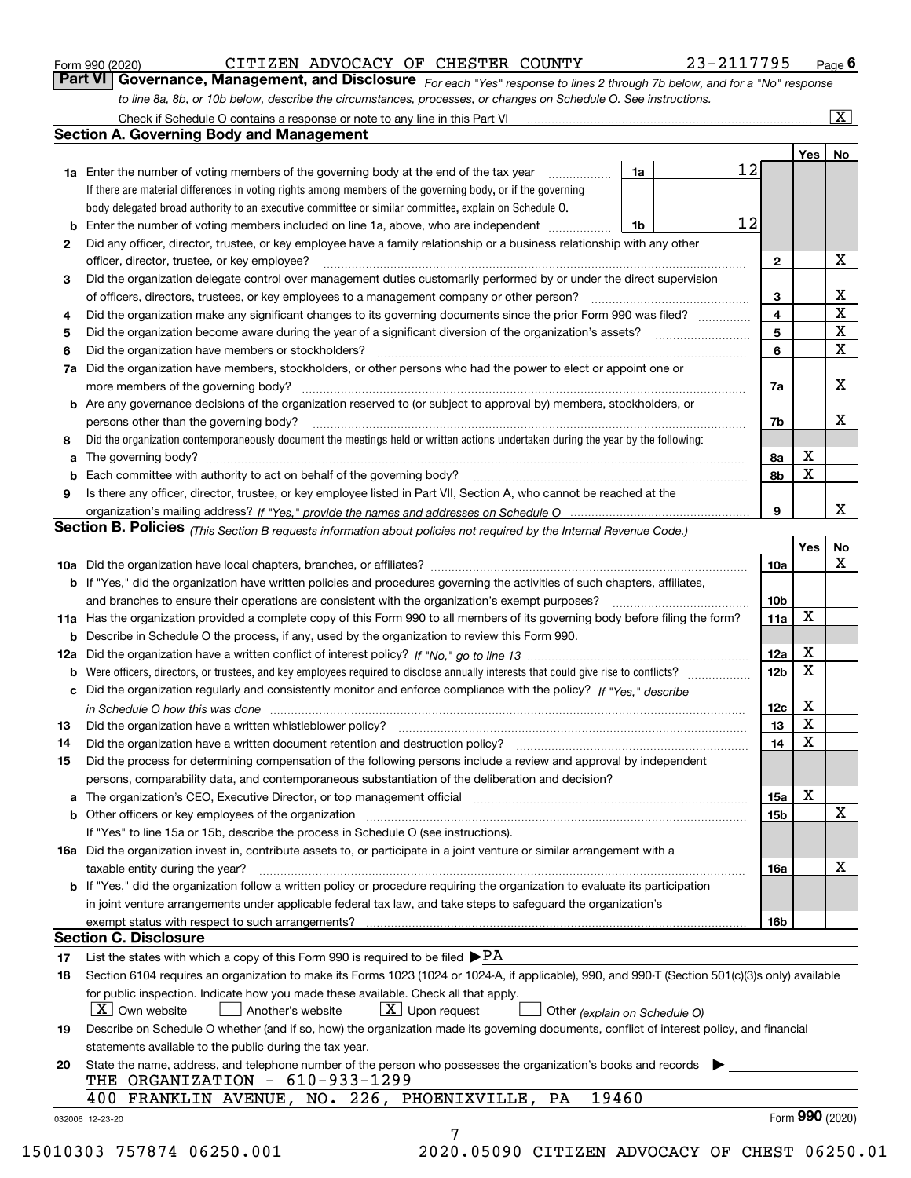|  | Form 990 (2020) |
|--|-----------------|
|  |                 |

*For each "Yes" response to lines 2 through 7b below, and for a "No" response to line 8a, 8b, or 10b below, describe the circumstances, processes, or changes on Schedule O. See instructions.* Form 990 (2020) **CITIZEN ADVOCACY OF CHESTER COUNTY** 23-2117795 Page 6<br>**Part VI Governance, Management, and Disclosure** For each "Yes" response to lines 2 through 7b below, and for a "No" response

|    |                                                                                                                                                                            |    |    |                 | Yes             | No                      |
|----|----------------------------------------------------------------------------------------------------------------------------------------------------------------------------|----|----|-----------------|-----------------|-------------------------|
|    | <b>1a</b> Enter the number of voting members of the governing body at the end of the tax year <i>manumum</i>                                                               | 1a | 12 |                 |                 |                         |
|    | If there are material differences in voting rights among members of the governing body, or if the governing                                                                |    |    |                 |                 |                         |
|    | body delegated broad authority to an executive committee or similar committee, explain on Schedule O.                                                                      |    |    |                 |                 |                         |
|    |                                                                                                                                                                            | 1b | 12 |                 |                 |                         |
| 2  | Did any officer, director, trustee, or key employee have a family relationship or a business relationship with any other                                                   |    |    |                 |                 |                         |
|    | officer, director, trustee, or key employee?                                                                                                                               |    |    | $\mathbf{2}$    |                 | X                       |
| 3  | Did the organization delegate control over management duties customarily performed by or under the direct supervision                                                      |    |    |                 |                 |                         |
|    |                                                                                                                                                                            |    |    | 3               |                 | X                       |
| 4  | Did the organization make any significant changes to its governing documents since the prior Form 990 was filed?                                                           |    |    | 4               |                 | $\overline{\mathbf{x}}$ |
| 5  |                                                                                                                                                                            |    |    | 5               |                 | $\mathbf X$             |
| 6  | Did the organization have members or stockholders?                                                                                                                         |    |    | 6               |                 | $\mathbf X$             |
|    | 7a Did the organization have members, stockholders, or other persons who had the power to elect or appoint one or                                                          |    |    |                 |                 |                         |
|    |                                                                                                                                                                            |    |    | 7a              |                 | X                       |
|    | <b>b</b> Are any governance decisions of the organization reserved to (or subject to approval by) members, stockholders, or                                                |    |    |                 |                 |                         |
|    | persons other than the governing body?                                                                                                                                     |    |    | 7b              |                 | X                       |
| 8  | Did the organization contemporaneously document the meetings held or written actions undertaken during the year by the following:                                          |    |    |                 |                 |                         |
| a  |                                                                                                                                                                            |    |    | 8a              | X               |                         |
|    |                                                                                                                                                                            |    |    | 8b              | X               |                         |
| 9  | Is there any officer, director, trustee, or key employee listed in Part VII, Section A, who cannot be reached at the                                                       |    |    |                 |                 |                         |
|    |                                                                                                                                                                            |    |    | 9               |                 | х                       |
|    | Section B. Policies (This Section B requests information about policies not required by the Internal Revenue Code.)                                                        |    |    |                 |                 |                         |
|    |                                                                                                                                                                            |    |    |                 | Yes∣            | No                      |
|    |                                                                                                                                                                            |    |    | 10a             |                 | X                       |
|    | <b>b</b> If "Yes," did the organization have written policies and procedures governing the activities of such chapters, affiliates,                                        |    |    |                 |                 |                         |
|    |                                                                                                                                                                            |    |    | 10 <sub>b</sub> |                 |                         |
|    | 11a Has the organization provided a complete copy of this Form 990 to all members of its governing body before filing the form?                                            |    |    | 11a             | $\mathbf X$     |                         |
|    | <b>b</b> Describe in Schedule O the process, if any, used by the organization to review this Form 990.                                                                     |    |    |                 |                 |                         |
|    |                                                                                                                                                                            |    |    | 12a             | X               |                         |
| b  |                                                                                                                                                                            |    |    | 12b             | X               |                         |
|    | c Did the organization regularly and consistently monitor and enforce compliance with the policy? If "Yes," describe                                                       |    |    |                 |                 |                         |
|    | in Schedule O how this was done www.communication.com/www.communications.com/www.communications.com/                                                                       |    |    | 12c             | X               |                         |
| 13 |                                                                                                                                                                            |    |    | 13              | X               |                         |
| 14 | Did the organization have a written document retention and destruction policy? manufactured and the organization have a written document retention and destruction policy? |    |    | 14              | $\mathbf X$     |                         |
| 15 | Did the process for determining compensation of the following persons include a review and approval by independent                                                         |    |    |                 |                 |                         |
|    | persons, comparability data, and contemporaneous substantiation of the deliberation and decision?                                                                          |    |    |                 |                 |                         |
|    |                                                                                                                                                                            |    |    | 15a             | X               |                         |
|    | <b>b</b> Other officers or key employees of the organization                                                                                                               |    |    | 15 <sub>b</sub> |                 | $\mathbf X$             |
|    | If "Yes" to line 15a or 15b, describe the process in Schedule O (see instructions).                                                                                        |    |    |                 |                 |                         |
|    | 16a Did the organization invest in, contribute assets to, or participate in a joint venture or similar arrangement with a                                                  |    |    |                 |                 |                         |
|    | taxable entity during the year?                                                                                                                                            |    |    | 16a             |                 | X                       |
|    | <b>b</b> If "Yes," did the organization follow a written policy or procedure requiring the organization to evaluate its participation                                      |    |    |                 |                 |                         |
|    | in joint venture arrangements under applicable federal tax law, and take steps to safeguard the organization's                                                             |    |    |                 |                 |                         |
|    |                                                                                                                                                                            |    |    | 16b             |                 |                         |
|    | <b>Section C. Disclosure</b>                                                                                                                                               |    |    |                 |                 |                         |
| 17 | List the states with which a copy of this Form 990 is required to be filed $\blacktriangleright$ PA                                                                        |    |    |                 |                 |                         |
| 18 | Section 6104 requires an organization to make its Forms 1023 (1024 or 1024-A, if applicable), 990, and 990-T (Section 501(c)(3)s only) available                           |    |    |                 |                 |                         |
|    | for public inspection. Indicate how you made these available. Check all that apply.                                                                                        |    |    |                 |                 |                         |
|    | $X$ Upon request<br>  X   Own website<br>Another's website<br>Other (explain on Schedule O)                                                                                |    |    |                 |                 |                         |
|    |                                                                                                                                                                            |    |    |                 |                 |                         |
| 19 | Describe on Schedule O whether (and if so, how) the organization made its governing documents, conflict of interest policy, and financial                                  |    |    |                 |                 |                         |
|    | statements available to the public during the tax year.<br>State the name, address, and telephone number of the person who possesses the organization's books and records  |    |    |                 |                 |                         |
| 20 | THE ORGANIZATION - 610-933-1299                                                                                                                                            |    |    |                 |                 |                         |
|    | 19460<br>400 FRANKLIN AVENUE, NO. 226, PHOENIXVILLE,<br>PA                                                                                                                 |    |    |                 |                 |                         |
|    |                                                                                                                                                                            |    |    |                 | Form 990 (2020) |                         |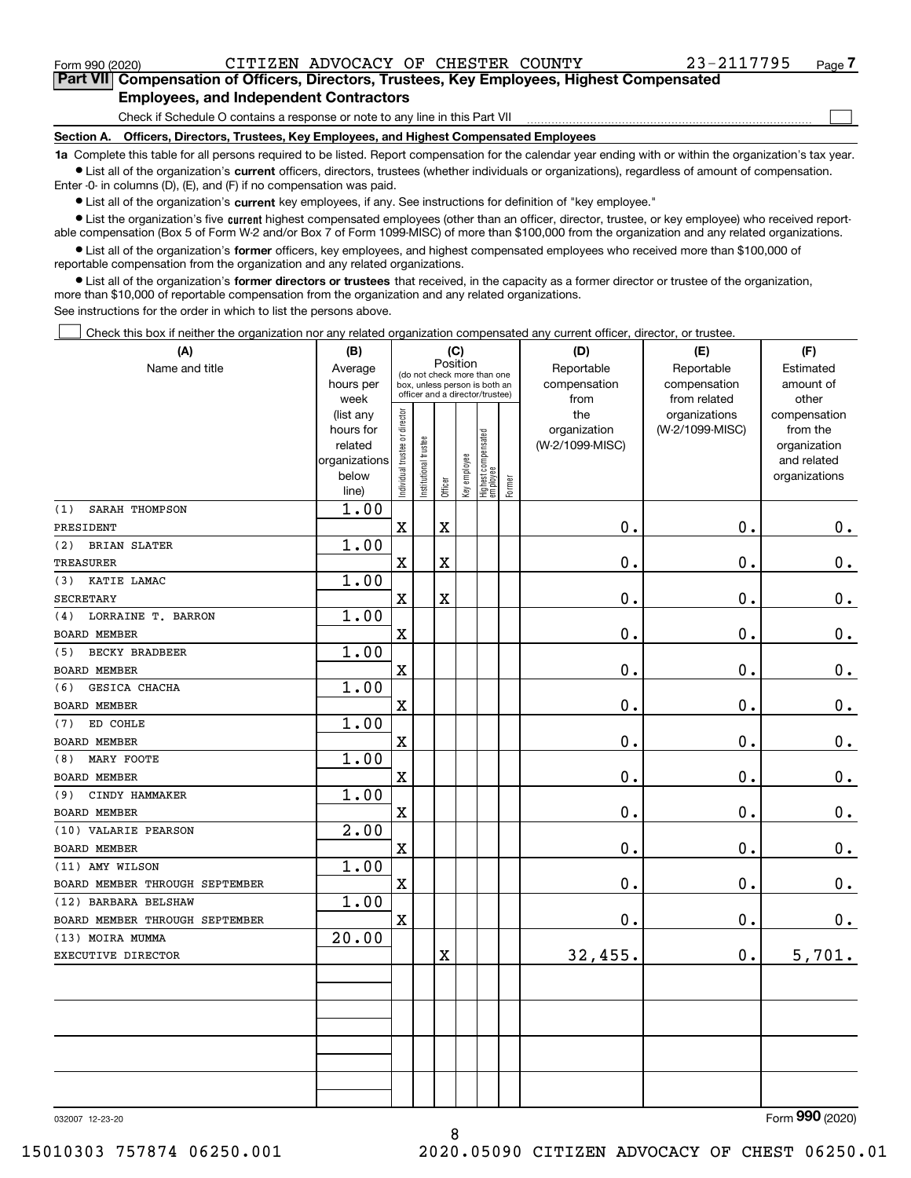$\mathcal{L}^{\text{max}}$ 

**7Part VII Compensation of Officers, Directors, Trustees, Key Employees, Highest Compensated Employees, and Independent Contractors**

Check if Schedule O contains a response or note to any line in this Part VII

**Section A. Officers, Directors, Trustees, Key Employees, and Highest Compensated Employees**

**1a**  Complete this table for all persons required to be listed. Report compensation for the calendar year ending with or within the organization's tax year. **•** List all of the organization's current officers, directors, trustees (whether individuals or organizations), regardless of amount of compensation.

Enter -0- in columns (D), (E), and (F) if no compensation was paid.

 $\bullet$  List all of the organization's  $\,$ current key employees, if any. See instructions for definition of "key employee."

**•** List the organization's five current highest compensated employees (other than an officer, director, trustee, or key employee) who received reportable compensation (Box 5 of Form W-2 and/or Box 7 of Form 1099-MISC) of more than \$100,000 from the organization and any related organizations.

**•** List all of the organization's former officers, key employees, and highest compensated employees who received more than \$100,000 of reportable compensation from the organization and any related organizations.

**former directors or trustees**  ¥ List all of the organization's that received, in the capacity as a former director or trustee of the organization, more than \$10,000 of reportable compensation from the organization and any related organizations.

See instructions for the order in which to list the persons above.

Check this box if neither the organization nor any related organization compensated any current officer, director, or trustee.  $\mathcal{L}^{\text{max}}$ 

| (A)                            | (B)<br>(C)             |                               |                               |                         |                                 |                                   |        | (D)                             | (E)                              | (F)                      |
|--------------------------------|------------------------|-------------------------------|-------------------------------|-------------------------|---------------------------------|-----------------------------------|--------|---------------------------------|----------------------------------|--------------------------|
| Name and title                 | Average                |                               |                               | Position                |                                 | (do not check more than one       |        | Reportable                      | Reportable                       | Estimated                |
|                                | hours per              |                               | box, unless person is both an |                         | officer and a director/trustee) |                                   |        | compensation                    | compensation                     | amount of                |
|                                | week                   |                               |                               |                         |                                 |                                   |        | from                            | from related                     | other                    |
|                                | (list any<br>hours for |                               |                               |                         |                                 |                                   |        | the                             | organizations<br>(W-2/1099-MISC) | compensation<br>from the |
|                                | related                |                               |                               |                         |                                 |                                   |        | organization<br>(W-2/1099-MISC) |                                  | organization             |
|                                | organizations          |                               |                               |                         |                                 |                                   |        |                                 |                                  | and related              |
|                                | below                  | ndividual trustee or director | nstitutional trustee          |                         | Key employee                    |                                   |        |                                 |                                  | organizations            |
|                                | line)                  |                               |                               | Officer                 |                                 | Highest compensated<br>  employee | Former |                                 |                                  |                          |
| SARAH THOMPSON<br>(1)          | 1.00                   |                               |                               |                         |                                 |                                   |        |                                 |                                  |                          |
| PRESIDENT                      |                        | $\mathbf X$                   |                               | $\rm X$                 |                                 |                                   |        | 0.                              | $\mathbf 0$ .                    | 0.                       |
| (2)<br><b>BRIAN SLATER</b>     | 1.00                   |                               |                               |                         |                                 |                                   |        |                                 |                                  |                          |
| <b>TREASURER</b>               |                        | X                             |                               | $\overline{\mathbf{X}}$ |                                 |                                   |        | 0.                              | $\mathbf 0$ .                    | $0$ .                    |
| KATIE LAMAC<br>(3)             | 1.00                   |                               |                               |                         |                                 |                                   |        |                                 |                                  |                          |
| <b>SECRETARY</b>               |                        | $\mathbf X$                   |                               | $\rm X$                 |                                 |                                   |        | 0.                              | $\mathbf 0$ .                    | 0.                       |
| LORRAINE T. BARRON<br>(4)      | 1.00                   |                               |                               |                         |                                 |                                   |        |                                 |                                  |                          |
| <b>BOARD MEMBER</b>            |                        | X                             |                               |                         |                                 |                                   |        | 0.                              | 0.                               | 0.                       |
| <b>BECKY BRADBEER</b><br>(5)   | 1.00                   |                               |                               |                         |                                 |                                   |        |                                 |                                  |                          |
| BOARD MEMBER                   |                        | $\rm X$                       |                               |                         |                                 |                                   |        | 0.                              | $\mathbf 0$ .                    | $\mathbf 0$ .            |
| GESICA CHACHA<br>(6)           | 1.00                   |                               |                               |                         |                                 |                                   |        |                                 |                                  |                          |
| <b>BOARD MEMBER</b>            |                        | $\overline{\mathbf{X}}$       |                               |                         |                                 |                                   |        | 0.                              | $\mathbf 0$ .                    | $0 \cdot$                |
| ED COHLE<br>(7)                | 1.00                   |                               |                               |                         |                                 |                                   |        |                                 |                                  |                          |
| <b>BOARD MEMBER</b>            |                        | $\mathbf X$                   |                               |                         |                                 |                                   |        | $\mathbf 0$ .                   | $\mathbf 0$ .                    | $\mathbf 0$ .            |
| MARY FOOTE<br>(8)              | 1.00                   |                               |                               |                         |                                 |                                   |        |                                 |                                  |                          |
| <b>BOARD MEMBER</b>            |                        | X                             |                               |                         |                                 |                                   |        | 0.                              | $\mathbf 0$ .                    | $0_{.}$                  |
| CINDY HAMMAKER<br>(9)          | 1.00                   |                               |                               |                         |                                 |                                   |        |                                 |                                  |                          |
| <b>BOARD MEMBER</b>            |                        | $\mathbf X$                   |                               |                         |                                 |                                   |        | 0.                              | $\mathbf 0$ .                    | $\mathbf 0$ .            |
| (10) VALARIE PEARSON           | $\overline{2.00}$      |                               |                               |                         |                                 |                                   |        |                                 |                                  |                          |
| <b>BOARD MEMBER</b>            |                        | $\overline{\textbf{X}}$       |                               |                         |                                 |                                   |        | 0.                              | 0.                               | $0$ .                    |
| (11) AMY WILSON                | 1.00                   |                               |                               |                         |                                 |                                   |        |                                 |                                  |                          |
| BOARD MEMBER THROUGH SEPTEMBER |                        | $\mathbf X$                   |                               |                         |                                 |                                   |        | 0.                              | 0.                               | 0.                       |
| (12) BARBARA BELSHAW           | 1.00                   |                               |                               |                         |                                 |                                   |        |                                 |                                  |                          |
| BOARD MEMBER THROUGH SEPTEMBER |                        | $\mathbf X$                   |                               |                         |                                 |                                   |        | 0.                              | 0.                               | 0.                       |
| (13) MOIRA MUMMA               | 20.00                  |                               |                               |                         |                                 |                                   |        |                                 |                                  |                          |
| EXECUTIVE DIRECTOR             |                        |                               |                               | X                       |                                 |                                   |        | 32,455.                         | $\mathbf 0$ .                    | 5,701.                   |
|                                |                        |                               |                               |                         |                                 |                                   |        |                                 |                                  |                          |
|                                |                        |                               |                               |                         |                                 |                                   |        |                                 |                                  |                          |
|                                |                        |                               |                               |                         |                                 |                                   |        |                                 |                                  |                          |
|                                |                        |                               |                               |                         |                                 |                                   |        |                                 |                                  |                          |
|                                |                        |                               |                               |                         |                                 |                                   |        |                                 |                                  |                          |
|                                |                        |                               |                               |                         |                                 |                                   |        |                                 |                                  |                          |
|                                |                        |                               |                               |                         |                                 |                                   |        |                                 |                                  |                          |
|                                |                        |                               |                               |                         |                                 |                                   |        |                                 |                                  | $\overline{0}$           |

032007 12-23-20

Form (2020) **990**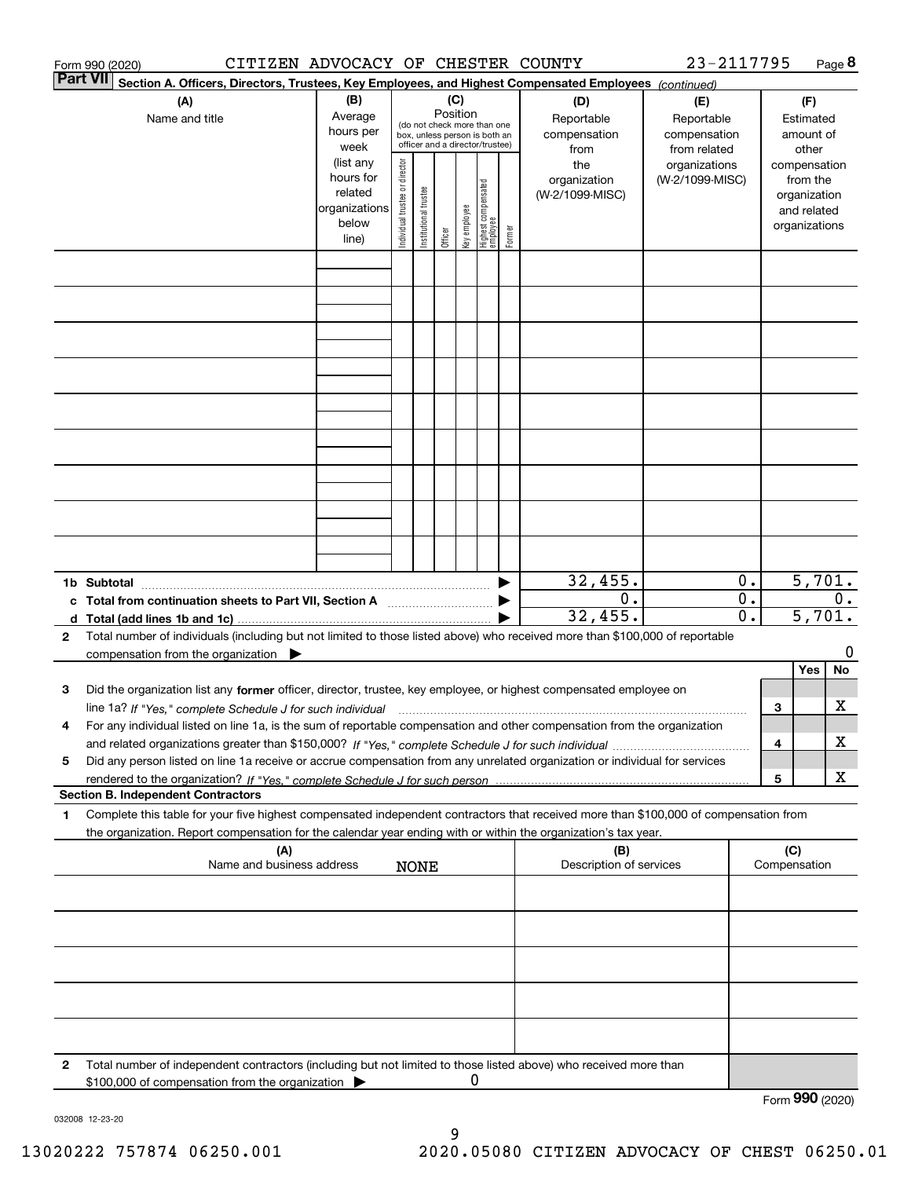|                 | CITIZEN ADVOCACY OF CHESTER COUNTY<br>Form 990 (2020)                                                                                                                                                                                                                         |                          |                                                              |                       |          |              |                                  |        |                         | 23-2117795      |                           |                 |               | Page 8 |
|-----------------|-------------------------------------------------------------------------------------------------------------------------------------------------------------------------------------------------------------------------------------------------------------------------------|--------------------------|--------------------------------------------------------------|-----------------------|----------|--------------|----------------------------------|--------|-------------------------|-----------------|---------------------------|-----------------|---------------|--------|
| <b>Part VII</b> | Section A. Officers, Directors, Trustees, Key Employees, and Highest Compensated Employees (continued)                                                                                                                                                                        |                          |                                                              |                       |          |              |                                  |        |                         |                 |                           |                 |               |        |
|                 | (A)                                                                                                                                                                                                                                                                           | (B)                      |                                                              |                       | (C)      |              |                                  |        | (D)                     | (E)             |                           |                 | (F)           |        |
|                 | Name and title                                                                                                                                                                                                                                                                | Average                  |                                                              |                       | Position |              |                                  |        | Reportable              | Reportable      |                           |                 | Estimated     |        |
|                 |                                                                                                                                                                                                                                                                               | hours per                | (do not check more than one<br>box, unless person is both an |                       |          |              |                                  |        | compensation            | compensation    |                           |                 | amount of     |        |
|                 |                                                                                                                                                                                                                                                                               | week                     |                                                              |                       |          |              | officer and a director/trustee)  |        | from                    | from related    |                           |                 | other         |        |
|                 |                                                                                                                                                                                                                                                                               | (list any                |                                                              |                       |          |              |                                  |        | the                     | organizations   |                           |                 | compensation  |        |
|                 |                                                                                                                                                                                                                                                                               | hours for                |                                                              |                       |          |              |                                  |        | organization            | (W-2/1099-MISC) |                           |                 | from the      |        |
|                 |                                                                                                                                                                                                                                                                               | related<br>organizations |                                                              |                       |          |              |                                  |        | (W-2/1099-MISC)         |                 |                           |                 | organization  |        |
|                 |                                                                                                                                                                                                                                                                               | below                    |                                                              |                       |          |              |                                  |        |                         |                 |                           |                 | and related   |        |
|                 |                                                                                                                                                                                                                                                                               | line)                    | Individual trustee or director                               | Institutional trustee | Officer  | Key employee | Highest compensated<br> employee | Former |                         |                 |                           |                 | organizations |        |
|                 |                                                                                                                                                                                                                                                                               |                          |                                                              |                       |          |              |                                  |        |                         |                 |                           |                 |               |        |
|                 |                                                                                                                                                                                                                                                                               |                          |                                                              |                       |          |              |                                  |        |                         |                 |                           |                 |               |        |
|                 |                                                                                                                                                                                                                                                                               |                          |                                                              |                       |          |              |                                  |        |                         |                 |                           |                 |               |        |
|                 |                                                                                                                                                                                                                                                                               |                          |                                                              |                       |          |              |                                  |        |                         |                 |                           |                 |               |        |
|                 |                                                                                                                                                                                                                                                                               |                          |                                                              |                       |          |              |                                  |        |                         |                 |                           |                 |               |        |
|                 |                                                                                                                                                                                                                                                                               |                          |                                                              |                       |          |              |                                  |        |                         |                 |                           |                 |               |        |
|                 |                                                                                                                                                                                                                                                                               |                          |                                                              |                       |          |              |                                  |        |                         |                 |                           |                 |               |        |
|                 |                                                                                                                                                                                                                                                                               |                          |                                                              |                       |          |              |                                  |        |                         |                 |                           |                 |               |        |
|                 |                                                                                                                                                                                                                                                                               |                          |                                                              |                       |          |              |                                  |        |                         |                 |                           |                 |               |        |
|                 |                                                                                                                                                                                                                                                                               |                          |                                                              |                       |          |              |                                  |        |                         |                 |                           |                 |               |        |
|                 |                                                                                                                                                                                                                                                                               |                          |                                                              |                       |          |              |                                  |        |                         |                 |                           |                 |               |        |
|                 |                                                                                                                                                                                                                                                                               |                          |                                                              |                       |          |              |                                  |        |                         |                 |                           |                 |               |        |
|                 |                                                                                                                                                                                                                                                                               |                          |                                                              |                       |          |              |                                  |        |                         |                 |                           |                 |               |        |
|                 |                                                                                                                                                                                                                                                                               |                          |                                                              |                       |          |              |                                  |        |                         |                 |                           |                 |               |        |
|                 |                                                                                                                                                                                                                                                                               |                          |                                                              |                       |          |              |                                  |        |                         |                 |                           |                 |               |        |
|                 |                                                                                                                                                                                                                                                                               |                          |                                                              |                       |          |              |                                  |        |                         |                 |                           |                 |               |        |
|                 |                                                                                                                                                                                                                                                                               |                          |                                                              |                       |          |              |                                  |        |                         |                 |                           |                 |               |        |
|                 |                                                                                                                                                                                                                                                                               |                          |                                                              |                       |          |              |                                  |        |                         |                 |                           |                 |               |        |
|                 |                                                                                                                                                                                                                                                                               |                          |                                                              |                       |          |              |                                  |        | 32,455.                 |                 | 0.                        |                 | 5,701.        |        |
|                 |                                                                                                                                                                                                                                                                               |                          |                                                              |                       |          |              |                                  |        | 0.                      |                 | $\overline{0}$ .          |                 |               | $0$ .  |
|                 | c Total from continuation sheets to Part VII, Section A manufactured by                                                                                                                                                                                                       |                          |                                                              |                       |          |              |                                  |        | 32,455.                 |                 | $\overline{5,701.}$<br>0. |                 |               |        |
| 2               |                                                                                                                                                                                                                                                                               |                          |                                                              |                       |          |              |                                  |        |                         |                 |                           |                 |               |        |
|                 | Total number of individuals (including but not limited to those listed above) who received more than \$100,000 of reportable                                                                                                                                                  |                          |                                                              |                       |          |              |                                  |        |                         |                 |                           |                 |               | 0      |
|                 | compensation from the organization $\blacktriangleright$                                                                                                                                                                                                                      |                          |                                                              |                       |          |              |                                  |        |                         |                 |                           |                 | Yes           | No     |
| 3               | Did the organization list any former officer, director, trustee, key employee, or highest compensated employee on                                                                                                                                                             |                          |                                                              |                       |          |              |                                  |        |                         |                 |                           |                 |               |        |
|                 |                                                                                                                                                                                                                                                                               |                          |                                                              |                       |          |              |                                  |        |                         |                 |                           | З               |               | х      |
|                 | line 1a? If "Yes," complete Schedule J for such individual material content content to the content of the complete Schedule J for such individual<br>For any individual listed on line 1a, is the sum of reportable compensation and other compensation from the organization |                          |                                                              |                       |          |              |                                  |        |                         |                 |                           |                 |               |        |
|                 |                                                                                                                                                                                                                                                                               |                          |                                                              |                       |          |              |                                  |        |                         |                 |                           | 4               |               | х      |
| 5               | Did any person listed on line 1a receive or accrue compensation from any unrelated organization or individual for services                                                                                                                                                    |                          |                                                              |                       |          |              |                                  |        |                         |                 |                           |                 |               |        |
|                 |                                                                                                                                                                                                                                                                               |                          |                                                              |                       |          |              |                                  |        |                         |                 |                           | 5               |               | х      |
|                 | <b>Section B. Independent Contractors</b>                                                                                                                                                                                                                                     |                          |                                                              |                       |          |              |                                  |        |                         |                 |                           |                 |               |        |
| 1               | Complete this table for your five highest compensated independent contractors that received more than \$100,000 of compensation from                                                                                                                                          |                          |                                                              |                       |          |              |                                  |        |                         |                 |                           |                 |               |        |
|                 | the organization. Report compensation for the calendar year ending with or within the organization's tax year.                                                                                                                                                                |                          |                                                              |                       |          |              |                                  |        |                         |                 |                           |                 |               |        |
|                 | (A)                                                                                                                                                                                                                                                                           |                          |                                                              |                       |          |              |                                  |        | (B)                     |                 |                           | (C)             |               |        |
|                 | Name and business address                                                                                                                                                                                                                                                     |                          |                                                              | <b>NONE</b>           |          |              |                                  |        | Description of services |                 |                           | Compensation    |               |        |
|                 |                                                                                                                                                                                                                                                                               |                          |                                                              |                       |          |              |                                  |        |                         |                 |                           |                 |               |        |
|                 |                                                                                                                                                                                                                                                                               |                          |                                                              |                       |          |              |                                  |        |                         |                 |                           |                 |               |        |
|                 |                                                                                                                                                                                                                                                                               |                          |                                                              |                       |          |              |                                  |        |                         |                 |                           |                 |               |        |
|                 |                                                                                                                                                                                                                                                                               |                          |                                                              |                       |          |              |                                  |        |                         |                 |                           |                 |               |        |
|                 |                                                                                                                                                                                                                                                                               |                          |                                                              |                       |          |              |                                  |        |                         |                 |                           |                 |               |        |
|                 |                                                                                                                                                                                                                                                                               |                          |                                                              |                       |          |              |                                  |        |                         |                 |                           |                 |               |        |
|                 |                                                                                                                                                                                                                                                                               |                          |                                                              |                       |          |              |                                  |        |                         |                 |                           |                 |               |        |
|                 |                                                                                                                                                                                                                                                                               |                          |                                                              |                       |          |              |                                  |        |                         |                 |                           |                 |               |        |
|                 |                                                                                                                                                                                                                                                                               |                          |                                                              |                       |          |              |                                  |        |                         |                 |                           |                 |               |        |
|                 |                                                                                                                                                                                                                                                                               |                          |                                                              |                       |          |              |                                  |        |                         |                 |                           |                 |               |        |
| 2               | Total number of independent contractors (including but not limited to those listed above) who received more than                                                                                                                                                              |                          |                                                              |                       |          |              |                                  |        |                         |                 |                           |                 |               |        |
|                 | \$100,000 of compensation from the organization                                                                                                                                                                                                                               |                          |                                                              |                       |          | 0            |                                  |        |                         |                 |                           |                 |               |        |
|                 |                                                                                                                                                                                                                                                                               |                          |                                                              |                       |          |              |                                  |        |                         |                 |                           | Form 990 (2020) |               |        |

032008 12-23-20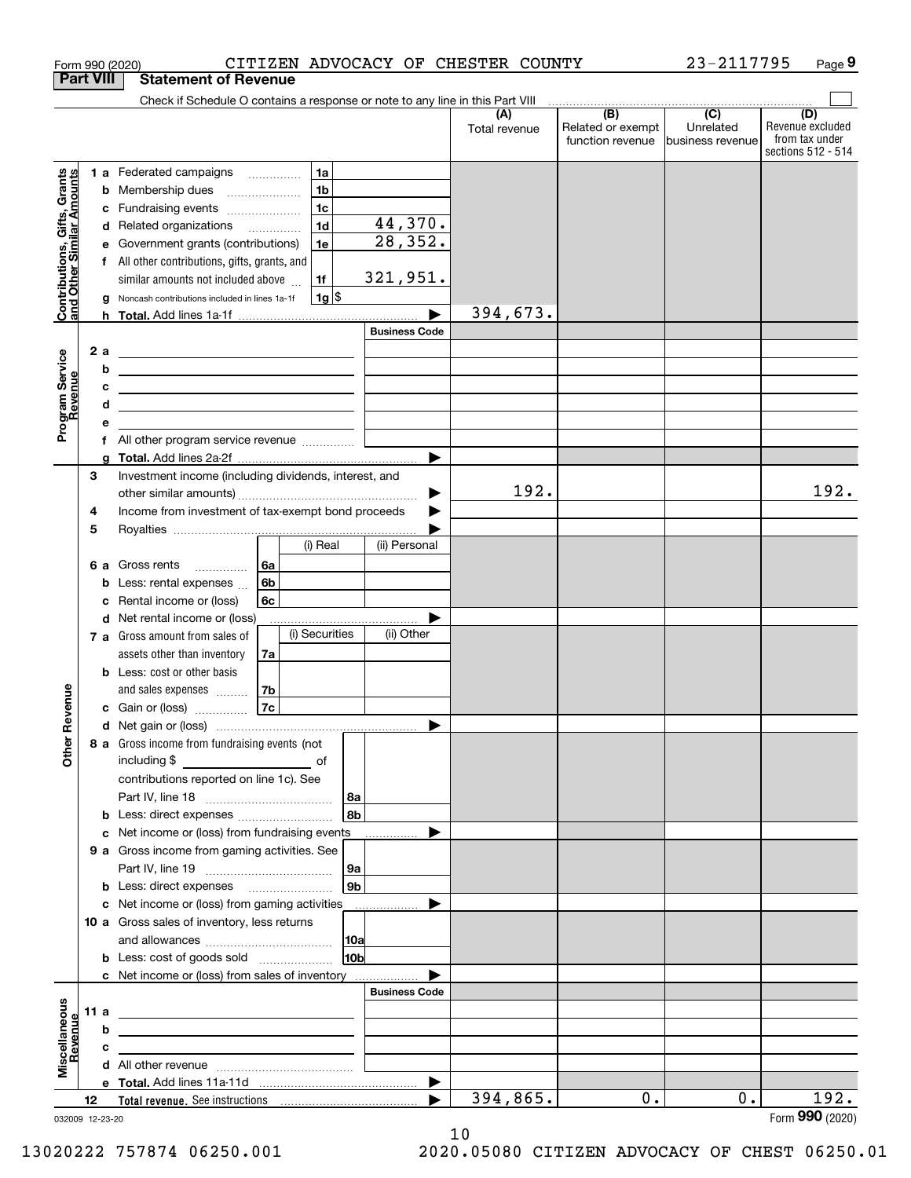| <b>Part VIII</b><br>Check if Schedule O contains a response or note to any line in this Part VIII<br>$\begin{array}{c c c c c c} \hline \textbf{(B)} & \textbf{(C)} & \textbf{1} & \textbf{1} & \textbf{1} & \textbf{1} \\ \hline \end{array}$<br>(D)<br>(A)<br>Related or exempt<br>Unrelated<br>Total revenue<br>function revenue<br>Ibusiness revenue<br>Contributions, Gifts, Grants<br>and Other Similar Amounts<br>1 a Federated campaigns<br>1a<br>1 <sub>b</sub><br>Membership dues<br>b<br>$\overline{\phantom{a}}$<br>1 <sub>c</sub><br>Fundraising events<br>с<br>44,370.<br>1 <sub>d</sub><br>Related organizations<br>d<br>28, 352.<br>Government grants (contributions)<br>1e<br>е<br>All other contributions, gifts, grants, and<br>f<br>321,951.<br>1f<br>similar amounts not included above<br>$1g$ \$<br>Noncash contributions included in lines 1a-1f<br>g<br>394,673.<br><b>Business Code</b><br>Program Service<br>Revenue<br>2a<br><u> 1989 - Johann Harry Harry Harry Harry Harry Harry Harry Harry Harry Harry Harry Harry Harry Harry Harry Harry</u><br>b<br><u> 1989 - Johann Barn, fransk politik amerikansk politik (</u><br>с<br><u> Alexandria de la contrada de la contrada de la contrada de la contrada de la contrada de la contrada de la c</u><br>d<br><u> 1989 - Johann Stein, mars an de Brasilia (b. 1989)</u><br>е<br>f All other program service revenue<br>g<br>3<br>Investment income (including dividends, interest, and<br>192.<br>Income from investment of tax-exempt bond proceeds<br>4<br>5<br>(i) Real<br>(ii) Personal<br>6a<br>6 a Gross rents<br>6b<br>Less: rental expenses<br>b<br>Rental income or (loss)<br>6с<br>с<br>Net rental income or (loss)<br>d<br>(i) Securities<br>(ii) Other<br>7 a Gross amount from sales of<br>assets other than inventory<br>7a<br><b>b</b> Less: cost or other basis<br>evenue<br>and sales expenses<br>7b<br>7c<br>c Gain or (loss)<br>Other <sub>R</sub><br>8 a Gross income from fundraising events (not<br>contributions reported on line 1c). See<br>  8a<br>l 8b<br><b>b</b> Less: direct expenses <i></i><br>Net income or (loss) from fundraising events<br>c<br>9 a Gross income from gaming activities. See<br> 9a<br>9b<br><b>b</b> Less: direct expenses <b>manually</b><br>c Net income or (loss) from gaming activities _______________<br>10 a Gross sales of inventory, less returns<br> 10a<br>10 <sub>b</sub><br><b>b</b> Less: cost of goods sold<br>c Net income or (loss) from sales of inventory<br><b>Business Code</b><br>Miscellaneous<br>Revenue<br>11 a<br><u> 1989 - Johann Barn, mars eta bainar eta bainar eta baina eta baina eta baina eta baina eta baina eta baina e</u><br>b<br>the contract of the contract of the contract of the contract of the contract of<br>c<br>the contract of the contract of the contract of the contract of the contract of<br>$\blacktriangleright$<br>394,865.<br>192.<br>$0$ .<br>0.<br>12 |  | CITIZEN ADVOCACY OF CHESTER COUNTY<br>Form 990 (2020) |  | 23-2117795 | Page 9                                                   |
|--------------------------------------------------------------------------------------------------------------------------------------------------------------------------------------------------------------------------------------------------------------------------------------------------------------------------------------------------------------------------------------------------------------------------------------------------------------------------------------------------------------------------------------------------------------------------------------------------------------------------------------------------------------------------------------------------------------------------------------------------------------------------------------------------------------------------------------------------------------------------------------------------------------------------------------------------------------------------------------------------------------------------------------------------------------------------------------------------------------------------------------------------------------------------------------------------------------------------------------------------------------------------------------------------------------------------------------------------------------------------------------------------------------------------------------------------------------------------------------------------------------------------------------------------------------------------------------------------------------------------------------------------------------------------------------------------------------------------------------------------------------------------------------------------------------------------------------------------------------------------------------------------------------------------------------------------------------------------------------------------------------------------------------------------------------------------------------------------------------------------------------------------------------------------------------------------------------------------------------------------------------------------------------------------------------------------------------------------------------------------------------------------------------------------------------------------------------------------------------------------------------------------------------------------------------------------------------------------------------------------------------------------------------------------------------------------------------------------------------------------------------------------------------------------------------------------------------------------------------------------------------------------------------------------------------------------------|--|-------------------------------------------------------|--|------------|----------------------------------------------------------|
|                                                                                                                                                                                                                                                                                                                                                                                                                                                                                                                                                                                                                                                                                                                                                                                                                                                                                                                                                                                                                                                                                                                                                                                                                                                                                                                                                                                                                                                                                                                                                                                                                                                                                                                                                                                                                                                                                                                                                                                                                                                                                                                                                                                                                                                                                                                                                                                                                                                                                                                                                                                                                                                                                                                                                                                                                                                                                                                                                        |  | <b>Statement of Revenue</b>                           |  |            |                                                          |
|                                                                                                                                                                                                                                                                                                                                                                                                                                                                                                                                                                                                                                                                                                                                                                                                                                                                                                                                                                                                                                                                                                                                                                                                                                                                                                                                                                                                                                                                                                                                                                                                                                                                                                                                                                                                                                                                                                                                                                                                                                                                                                                                                                                                                                                                                                                                                                                                                                                                                                                                                                                                                                                                                                                                                                                                                                                                                                                                                        |  |                                                       |  |            |                                                          |
|                                                                                                                                                                                                                                                                                                                                                                                                                                                                                                                                                                                                                                                                                                                                                                                                                                                                                                                                                                                                                                                                                                                                                                                                                                                                                                                                                                                                                                                                                                                                                                                                                                                                                                                                                                                                                                                                                                                                                                                                                                                                                                                                                                                                                                                                                                                                                                                                                                                                                                                                                                                                                                                                                                                                                                                                                                                                                                                                                        |  |                                                       |  |            | Revenue excluded<br>from tax under<br>sections 512 - 514 |
|                                                                                                                                                                                                                                                                                                                                                                                                                                                                                                                                                                                                                                                                                                                                                                                                                                                                                                                                                                                                                                                                                                                                                                                                                                                                                                                                                                                                                                                                                                                                                                                                                                                                                                                                                                                                                                                                                                                                                                                                                                                                                                                                                                                                                                                                                                                                                                                                                                                                                                                                                                                                                                                                                                                                                                                                                                                                                                                                                        |  |                                                       |  |            |                                                          |
|                                                                                                                                                                                                                                                                                                                                                                                                                                                                                                                                                                                                                                                                                                                                                                                                                                                                                                                                                                                                                                                                                                                                                                                                                                                                                                                                                                                                                                                                                                                                                                                                                                                                                                                                                                                                                                                                                                                                                                                                                                                                                                                                                                                                                                                                                                                                                                                                                                                                                                                                                                                                                                                                                                                                                                                                                                                                                                                                                        |  |                                                       |  |            |                                                          |
|                                                                                                                                                                                                                                                                                                                                                                                                                                                                                                                                                                                                                                                                                                                                                                                                                                                                                                                                                                                                                                                                                                                                                                                                                                                                                                                                                                                                                                                                                                                                                                                                                                                                                                                                                                                                                                                                                                                                                                                                                                                                                                                                                                                                                                                                                                                                                                                                                                                                                                                                                                                                                                                                                                                                                                                                                                                                                                                                                        |  |                                                       |  |            |                                                          |
|                                                                                                                                                                                                                                                                                                                                                                                                                                                                                                                                                                                                                                                                                                                                                                                                                                                                                                                                                                                                                                                                                                                                                                                                                                                                                                                                                                                                                                                                                                                                                                                                                                                                                                                                                                                                                                                                                                                                                                                                                                                                                                                                                                                                                                                                                                                                                                                                                                                                                                                                                                                                                                                                                                                                                                                                                                                                                                                                                        |  |                                                       |  |            |                                                          |
|                                                                                                                                                                                                                                                                                                                                                                                                                                                                                                                                                                                                                                                                                                                                                                                                                                                                                                                                                                                                                                                                                                                                                                                                                                                                                                                                                                                                                                                                                                                                                                                                                                                                                                                                                                                                                                                                                                                                                                                                                                                                                                                                                                                                                                                                                                                                                                                                                                                                                                                                                                                                                                                                                                                                                                                                                                                                                                                                                        |  |                                                       |  |            |                                                          |
|                                                                                                                                                                                                                                                                                                                                                                                                                                                                                                                                                                                                                                                                                                                                                                                                                                                                                                                                                                                                                                                                                                                                                                                                                                                                                                                                                                                                                                                                                                                                                                                                                                                                                                                                                                                                                                                                                                                                                                                                                                                                                                                                                                                                                                                                                                                                                                                                                                                                                                                                                                                                                                                                                                                                                                                                                                                                                                                                                        |  |                                                       |  |            |                                                          |
|                                                                                                                                                                                                                                                                                                                                                                                                                                                                                                                                                                                                                                                                                                                                                                                                                                                                                                                                                                                                                                                                                                                                                                                                                                                                                                                                                                                                                                                                                                                                                                                                                                                                                                                                                                                                                                                                                                                                                                                                                                                                                                                                                                                                                                                                                                                                                                                                                                                                                                                                                                                                                                                                                                                                                                                                                                                                                                                                                        |  |                                                       |  |            |                                                          |
|                                                                                                                                                                                                                                                                                                                                                                                                                                                                                                                                                                                                                                                                                                                                                                                                                                                                                                                                                                                                                                                                                                                                                                                                                                                                                                                                                                                                                                                                                                                                                                                                                                                                                                                                                                                                                                                                                                                                                                                                                                                                                                                                                                                                                                                                                                                                                                                                                                                                                                                                                                                                                                                                                                                                                                                                                                                                                                                                                        |  |                                                       |  |            |                                                          |
|                                                                                                                                                                                                                                                                                                                                                                                                                                                                                                                                                                                                                                                                                                                                                                                                                                                                                                                                                                                                                                                                                                                                                                                                                                                                                                                                                                                                                                                                                                                                                                                                                                                                                                                                                                                                                                                                                                                                                                                                                                                                                                                                                                                                                                                                                                                                                                                                                                                                                                                                                                                                                                                                                                                                                                                                                                                                                                                                                        |  |                                                       |  |            |                                                          |
|                                                                                                                                                                                                                                                                                                                                                                                                                                                                                                                                                                                                                                                                                                                                                                                                                                                                                                                                                                                                                                                                                                                                                                                                                                                                                                                                                                                                                                                                                                                                                                                                                                                                                                                                                                                                                                                                                                                                                                                                                                                                                                                                                                                                                                                                                                                                                                                                                                                                                                                                                                                                                                                                                                                                                                                                                                                                                                                                                        |  |                                                       |  |            |                                                          |
|                                                                                                                                                                                                                                                                                                                                                                                                                                                                                                                                                                                                                                                                                                                                                                                                                                                                                                                                                                                                                                                                                                                                                                                                                                                                                                                                                                                                                                                                                                                                                                                                                                                                                                                                                                                                                                                                                                                                                                                                                                                                                                                                                                                                                                                                                                                                                                                                                                                                                                                                                                                                                                                                                                                                                                                                                                                                                                                                                        |  |                                                       |  |            |                                                          |
|                                                                                                                                                                                                                                                                                                                                                                                                                                                                                                                                                                                                                                                                                                                                                                                                                                                                                                                                                                                                                                                                                                                                                                                                                                                                                                                                                                                                                                                                                                                                                                                                                                                                                                                                                                                                                                                                                                                                                                                                                                                                                                                                                                                                                                                                                                                                                                                                                                                                                                                                                                                                                                                                                                                                                                                                                                                                                                                                                        |  |                                                       |  |            |                                                          |
|                                                                                                                                                                                                                                                                                                                                                                                                                                                                                                                                                                                                                                                                                                                                                                                                                                                                                                                                                                                                                                                                                                                                                                                                                                                                                                                                                                                                                                                                                                                                                                                                                                                                                                                                                                                                                                                                                                                                                                                                                                                                                                                                                                                                                                                                                                                                                                                                                                                                                                                                                                                                                                                                                                                                                                                                                                                                                                                                                        |  |                                                       |  |            |                                                          |
|                                                                                                                                                                                                                                                                                                                                                                                                                                                                                                                                                                                                                                                                                                                                                                                                                                                                                                                                                                                                                                                                                                                                                                                                                                                                                                                                                                                                                                                                                                                                                                                                                                                                                                                                                                                                                                                                                                                                                                                                                                                                                                                                                                                                                                                                                                                                                                                                                                                                                                                                                                                                                                                                                                                                                                                                                                                                                                                                                        |  |                                                       |  |            |                                                          |
|                                                                                                                                                                                                                                                                                                                                                                                                                                                                                                                                                                                                                                                                                                                                                                                                                                                                                                                                                                                                                                                                                                                                                                                                                                                                                                                                                                                                                                                                                                                                                                                                                                                                                                                                                                                                                                                                                                                                                                                                                                                                                                                                                                                                                                                                                                                                                                                                                                                                                                                                                                                                                                                                                                                                                                                                                                                                                                                                                        |  |                                                       |  |            |                                                          |
|                                                                                                                                                                                                                                                                                                                                                                                                                                                                                                                                                                                                                                                                                                                                                                                                                                                                                                                                                                                                                                                                                                                                                                                                                                                                                                                                                                                                                                                                                                                                                                                                                                                                                                                                                                                                                                                                                                                                                                                                                                                                                                                                                                                                                                                                                                                                                                                                                                                                                                                                                                                                                                                                                                                                                                                                                                                                                                                                                        |  |                                                       |  |            |                                                          |
|                                                                                                                                                                                                                                                                                                                                                                                                                                                                                                                                                                                                                                                                                                                                                                                                                                                                                                                                                                                                                                                                                                                                                                                                                                                                                                                                                                                                                                                                                                                                                                                                                                                                                                                                                                                                                                                                                                                                                                                                                                                                                                                                                                                                                                                                                                                                                                                                                                                                                                                                                                                                                                                                                                                                                                                                                                                                                                                                                        |  |                                                       |  |            |                                                          |
|                                                                                                                                                                                                                                                                                                                                                                                                                                                                                                                                                                                                                                                                                                                                                                                                                                                                                                                                                                                                                                                                                                                                                                                                                                                                                                                                                                                                                                                                                                                                                                                                                                                                                                                                                                                                                                                                                                                                                                                                                                                                                                                                                                                                                                                                                                                                                                                                                                                                                                                                                                                                                                                                                                                                                                                                                                                                                                                                                        |  |                                                       |  |            | 192.                                                     |
|                                                                                                                                                                                                                                                                                                                                                                                                                                                                                                                                                                                                                                                                                                                                                                                                                                                                                                                                                                                                                                                                                                                                                                                                                                                                                                                                                                                                                                                                                                                                                                                                                                                                                                                                                                                                                                                                                                                                                                                                                                                                                                                                                                                                                                                                                                                                                                                                                                                                                                                                                                                                                                                                                                                                                                                                                                                                                                                                                        |  |                                                       |  |            |                                                          |
|                                                                                                                                                                                                                                                                                                                                                                                                                                                                                                                                                                                                                                                                                                                                                                                                                                                                                                                                                                                                                                                                                                                                                                                                                                                                                                                                                                                                                                                                                                                                                                                                                                                                                                                                                                                                                                                                                                                                                                                                                                                                                                                                                                                                                                                                                                                                                                                                                                                                                                                                                                                                                                                                                                                                                                                                                                                                                                                                                        |  |                                                       |  |            |                                                          |
|                                                                                                                                                                                                                                                                                                                                                                                                                                                                                                                                                                                                                                                                                                                                                                                                                                                                                                                                                                                                                                                                                                                                                                                                                                                                                                                                                                                                                                                                                                                                                                                                                                                                                                                                                                                                                                                                                                                                                                                                                                                                                                                                                                                                                                                                                                                                                                                                                                                                                                                                                                                                                                                                                                                                                                                                                                                                                                                                                        |  |                                                       |  |            |                                                          |
|                                                                                                                                                                                                                                                                                                                                                                                                                                                                                                                                                                                                                                                                                                                                                                                                                                                                                                                                                                                                                                                                                                                                                                                                                                                                                                                                                                                                                                                                                                                                                                                                                                                                                                                                                                                                                                                                                                                                                                                                                                                                                                                                                                                                                                                                                                                                                                                                                                                                                                                                                                                                                                                                                                                                                                                                                                                                                                                                                        |  |                                                       |  |            |                                                          |
|                                                                                                                                                                                                                                                                                                                                                                                                                                                                                                                                                                                                                                                                                                                                                                                                                                                                                                                                                                                                                                                                                                                                                                                                                                                                                                                                                                                                                                                                                                                                                                                                                                                                                                                                                                                                                                                                                                                                                                                                                                                                                                                                                                                                                                                                                                                                                                                                                                                                                                                                                                                                                                                                                                                                                                                                                                                                                                                                                        |  |                                                       |  |            |                                                          |
|                                                                                                                                                                                                                                                                                                                                                                                                                                                                                                                                                                                                                                                                                                                                                                                                                                                                                                                                                                                                                                                                                                                                                                                                                                                                                                                                                                                                                                                                                                                                                                                                                                                                                                                                                                                                                                                                                                                                                                                                                                                                                                                                                                                                                                                                                                                                                                                                                                                                                                                                                                                                                                                                                                                                                                                                                                                                                                                                                        |  |                                                       |  |            |                                                          |
|                                                                                                                                                                                                                                                                                                                                                                                                                                                                                                                                                                                                                                                                                                                                                                                                                                                                                                                                                                                                                                                                                                                                                                                                                                                                                                                                                                                                                                                                                                                                                                                                                                                                                                                                                                                                                                                                                                                                                                                                                                                                                                                                                                                                                                                                                                                                                                                                                                                                                                                                                                                                                                                                                                                                                                                                                                                                                                                                                        |  |                                                       |  |            |                                                          |
|                                                                                                                                                                                                                                                                                                                                                                                                                                                                                                                                                                                                                                                                                                                                                                                                                                                                                                                                                                                                                                                                                                                                                                                                                                                                                                                                                                                                                                                                                                                                                                                                                                                                                                                                                                                                                                                                                                                                                                                                                                                                                                                                                                                                                                                                                                                                                                                                                                                                                                                                                                                                                                                                                                                                                                                                                                                                                                                                                        |  |                                                       |  |            |                                                          |
|                                                                                                                                                                                                                                                                                                                                                                                                                                                                                                                                                                                                                                                                                                                                                                                                                                                                                                                                                                                                                                                                                                                                                                                                                                                                                                                                                                                                                                                                                                                                                                                                                                                                                                                                                                                                                                                                                                                                                                                                                                                                                                                                                                                                                                                                                                                                                                                                                                                                                                                                                                                                                                                                                                                                                                                                                                                                                                                                                        |  |                                                       |  |            |                                                          |
|                                                                                                                                                                                                                                                                                                                                                                                                                                                                                                                                                                                                                                                                                                                                                                                                                                                                                                                                                                                                                                                                                                                                                                                                                                                                                                                                                                                                                                                                                                                                                                                                                                                                                                                                                                                                                                                                                                                                                                                                                                                                                                                                                                                                                                                                                                                                                                                                                                                                                                                                                                                                                                                                                                                                                                                                                                                                                                                                                        |  |                                                       |  |            |                                                          |
|                                                                                                                                                                                                                                                                                                                                                                                                                                                                                                                                                                                                                                                                                                                                                                                                                                                                                                                                                                                                                                                                                                                                                                                                                                                                                                                                                                                                                                                                                                                                                                                                                                                                                                                                                                                                                                                                                                                                                                                                                                                                                                                                                                                                                                                                                                                                                                                                                                                                                                                                                                                                                                                                                                                                                                                                                                                                                                                                                        |  |                                                       |  |            |                                                          |
|                                                                                                                                                                                                                                                                                                                                                                                                                                                                                                                                                                                                                                                                                                                                                                                                                                                                                                                                                                                                                                                                                                                                                                                                                                                                                                                                                                                                                                                                                                                                                                                                                                                                                                                                                                                                                                                                                                                                                                                                                                                                                                                                                                                                                                                                                                                                                                                                                                                                                                                                                                                                                                                                                                                                                                                                                                                                                                                                                        |  |                                                       |  |            |                                                          |
|                                                                                                                                                                                                                                                                                                                                                                                                                                                                                                                                                                                                                                                                                                                                                                                                                                                                                                                                                                                                                                                                                                                                                                                                                                                                                                                                                                                                                                                                                                                                                                                                                                                                                                                                                                                                                                                                                                                                                                                                                                                                                                                                                                                                                                                                                                                                                                                                                                                                                                                                                                                                                                                                                                                                                                                                                                                                                                                                                        |  |                                                       |  |            |                                                          |
|                                                                                                                                                                                                                                                                                                                                                                                                                                                                                                                                                                                                                                                                                                                                                                                                                                                                                                                                                                                                                                                                                                                                                                                                                                                                                                                                                                                                                                                                                                                                                                                                                                                                                                                                                                                                                                                                                                                                                                                                                                                                                                                                                                                                                                                                                                                                                                                                                                                                                                                                                                                                                                                                                                                                                                                                                                                                                                                                                        |  |                                                       |  |            |                                                          |
|                                                                                                                                                                                                                                                                                                                                                                                                                                                                                                                                                                                                                                                                                                                                                                                                                                                                                                                                                                                                                                                                                                                                                                                                                                                                                                                                                                                                                                                                                                                                                                                                                                                                                                                                                                                                                                                                                                                                                                                                                                                                                                                                                                                                                                                                                                                                                                                                                                                                                                                                                                                                                                                                                                                                                                                                                                                                                                                                                        |  |                                                       |  |            |                                                          |
|                                                                                                                                                                                                                                                                                                                                                                                                                                                                                                                                                                                                                                                                                                                                                                                                                                                                                                                                                                                                                                                                                                                                                                                                                                                                                                                                                                                                                                                                                                                                                                                                                                                                                                                                                                                                                                                                                                                                                                                                                                                                                                                                                                                                                                                                                                                                                                                                                                                                                                                                                                                                                                                                                                                                                                                                                                                                                                                                                        |  |                                                       |  |            |                                                          |
|                                                                                                                                                                                                                                                                                                                                                                                                                                                                                                                                                                                                                                                                                                                                                                                                                                                                                                                                                                                                                                                                                                                                                                                                                                                                                                                                                                                                                                                                                                                                                                                                                                                                                                                                                                                                                                                                                                                                                                                                                                                                                                                                                                                                                                                                                                                                                                                                                                                                                                                                                                                                                                                                                                                                                                                                                                                                                                                                                        |  |                                                       |  |            |                                                          |
|                                                                                                                                                                                                                                                                                                                                                                                                                                                                                                                                                                                                                                                                                                                                                                                                                                                                                                                                                                                                                                                                                                                                                                                                                                                                                                                                                                                                                                                                                                                                                                                                                                                                                                                                                                                                                                                                                                                                                                                                                                                                                                                                                                                                                                                                                                                                                                                                                                                                                                                                                                                                                                                                                                                                                                                                                                                                                                                                                        |  |                                                       |  |            |                                                          |
|                                                                                                                                                                                                                                                                                                                                                                                                                                                                                                                                                                                                                                                                                                                                                                                                                                                                                                                                                                                                                                                                                                                                                                                                                                                                                                                                                                                                                                                                                                                                                                                                                                                                                                                                                                                                                                                                                                                                                                                                                                                                                                                                                                                                                                                                                                                                                                                                                                                                                                                                                                                                                                                                                                                                                                                                                                                                                                                                                        |  |                                                       |  |            |                                                          |
|                                                                                                                                                                                                                                                                                                                                                                                                                                                                                                                                                                                                                                                                                                                                                                                                                                                                                                                                                                                                                                                                                                                                                                                                                                                                                                                                                                                                                                                                                                                                                                                                                                                                                                                                                                                                                                                                                                                                                                                                                                                                                                                                                                                                                                                                                                                                                                                                                                                                                                                                                                                                                                                                                                                                                                                                                                                                                                                                                        |  |                                                       |  |            |                                                          |
|                                                                                                                                                                                                                                                                                                                                                                                                                                                                                                                                                                                                                                                                                                                                                                                                                                                                                                                                                                                                                                                                                                                                                                                                                                                                                                                                                                                                                                                                                                                                                                                                                                                                                                                                                                                                                                                                                                                                                                                                                                                                                                                                                                                                                                                                                                                                                                                                                                                                                                                                                                                                                                                                                                                                                                                                                                                                                                                                                        |  |                                                       |  |            |                                                          |
|                                                                                                                                                                                                                                                                                                                                                                                                                                                                                                                                                                                                                                                                                                                                                                                                                                                                                                                                                                                                                                                                                                                                                                                                                                                                                                                                                                                                                                                                                                                                                                                                                                                                                                                                                                                                                                                                                                                                                                                                                                                                                                                                                                                                                                                                                                                                                                                                                                                                                                                                                                                                                                                                                                                                                                                                                                                                                                                                                        |  |                                                       |  |            |                                                          |
|                                                                                                                                                                                                                                                                                                                                                                                                                                                                                                                                                                                                                                                                                                                                                                                                                                                                                                                                                                                                                                                                                                                                                                                                                                                                                                                                                                                                                                                                                                                                                                                                                                                                                                                                                                                                                                                                                                                                                                                                                                                                                                                                                                                                                                                                                                                                                                                                                                                                                                                                                                                                                                                                                                                                                                                                                                                                                                                                                        |  |                                                       |  |            |                                                          |
|                                                                                                                                                                                                                                                                                                                                                                                                                                                                                                                                                                                                                                                                                                                                                                                                                                                                                                                                                                                                                                                                                                                                                                                                                                                                                                                                                                                                                                                                                                                                                                                                                                                                                                                                                                                                                                                                                                                                                                                                                                                                                                                                                                                                                                                                                                                                                                                                                                                                                                                                                                                                                                                                                                                                                                                                                                                                                                                                                        |  |                                                       |  |            |                                                          |
|                                                                                                                                                                                                                                                                                                                                                                                                                                                                                                                                                                                                                                                                                                                                                                                                                                                                                                                                                                                                                                                                                                                                                                                                                                                                                                                                                                                                                                                                                                                                                                                                                                                                                                                                                                                                                                                                                                                                                                                                                                                                                                                                                                                                                                                                                                                                                                                                                                                                                                                                                                                                                                                                                                                                                                                                                                                                                                                                                        |  |                                                       |  |            |                                                          |
|                                                                                                                                                                                                                                                                                                                                                                                                                                                                                                                                                                                                                                                                                                                                                                                                                                                                                                                                                                                                                                                                                                                                                                                                                                                                                                                                                                                                                                                                                                                                                                                                                                                                                                                                                                                                                                                                                                                                                                                                                                                                                                                                                                                                                                                                                                                                                                                                                                                                                                                                                                                                                                                                                                                                                                                                                                                                                                                                                        |  |                                                       |  |            |                                                          |
|                                                                                                                                                                                                                                                                                                                                                                                                                                                                                                                                                                                                                                                                                                                                                                                                                                                                                                                                                                                                                                                                                                                                                                                                                                                                                                                                                                                                                                                                                                                                                                                                                                                                                                                                                                                                                                                                                                                                                                                                                                                                                                                                                                                                                                                                                                                                                                                                                                                                                                                                                                                                                                                                                                                                                                                                                                                                                                                                                        |  |                                                       |  |            |                                                          |
|                                                                                                                                                                                                                                                                                                                                                                                                                                                                                                                                                                                                                                                                                                                                                                                                                                                                                                                                                                                                                                                                                                                                                                                                                                                                                                                                                                                                                                                                                                                                                                                                                                                                                                                                                                                                                                                                                                                                                                                                                                                                                                                                                                                                                                                                                                                                                                                                                                                                                                                                                                                                                                                                                                                                                                                                                                                                                                                                                        |  |                                                       |  |            |                                                          |
|                                                                                                                                                                                                                                                                                                                                                                                                                                                                                                                                                                                                                                                                                                                                                                                                                                                                                                                                                                                                                                                                                                                                                                                                                                                                                                                                                                                                                                                                                                                                                                                                                                                                                                                                                                                                                                                                                                                                                                                                                                                                                                                                                                                                                                                                                                                                                                                                                                                                                                                                                                                                                                                                                                                                                                                                                                                                                                                                                        |  |                                                       |  |            |                                                          |
|                                                                                                                                                                                                                                                                                                                                                                                                                                                                                                                                                                                                                                                                                                                                                                                                                                                                                                                                                                                                                                                                                                                                                                                                                                                                                                                                                                                                                                                                                                                                                                                                                                                                                                                                                                                                                                                                                                                                                                                                                                                                                                                                                                                                                                                                                                                                                                                                                                                                                                                                                                                                                                                                                                                                                                                                                                                                                                                                                        |  |                                                       |  |            |                                                          |
|                                                                                                                                                                                                                                                                                                                                                                                                                                                                                                                                                                                                                                                                                                                                                                                                                                                                                                                                                                                                                                                                                                                                                                                                                                                                                                                                                                                                                                                                                                                                                                                                                                                                                                                                                                                                                                                                                                                                                                                                                                                                                                                                                                                                                                                                                                                                                                                                                                                                                                                                                                                                                                                                                                                                                                                                                                                                                                                                                        |  |                                                       |  |            |                                                          |
|                                                                                                                                                                                                                                                                                                                                                                                                                                                                                                                                                                                                                                                                                                                                                                                                                                                                                                                                                                                                                                                                                                                                                                                                                                                                                                                                                                                                                                                                                                                                                                                                                                                                                                                                                                                                                                                                                                                                                                                                                                                                                                                                                                                                                                                                                                                                                                                                                                                                                                                                                                                                                                                                                                                                                                                                                                                                                                                                                        |  |                                                       |  |            |                                                          |
| 032009 12-23-20                                                                                                                                                                                                                                                                                                                                                                                                                                                                                                                                                                                                                                                                                                                                                                                                                                                                                                                                                                                                                                                                                                                                                                                                                                                                                                                                                                                                                                                                                                                                                                                                                                                                                                                                                                                                                                                                                                                                                                                                                                                                                                                                                                                                                                                                                                                                                                                                                                                                                                                                                                                                                                                                                                                                                                                                                                                                                                                                        |  |                                                       |  |            | Form 990 (2020)                                          |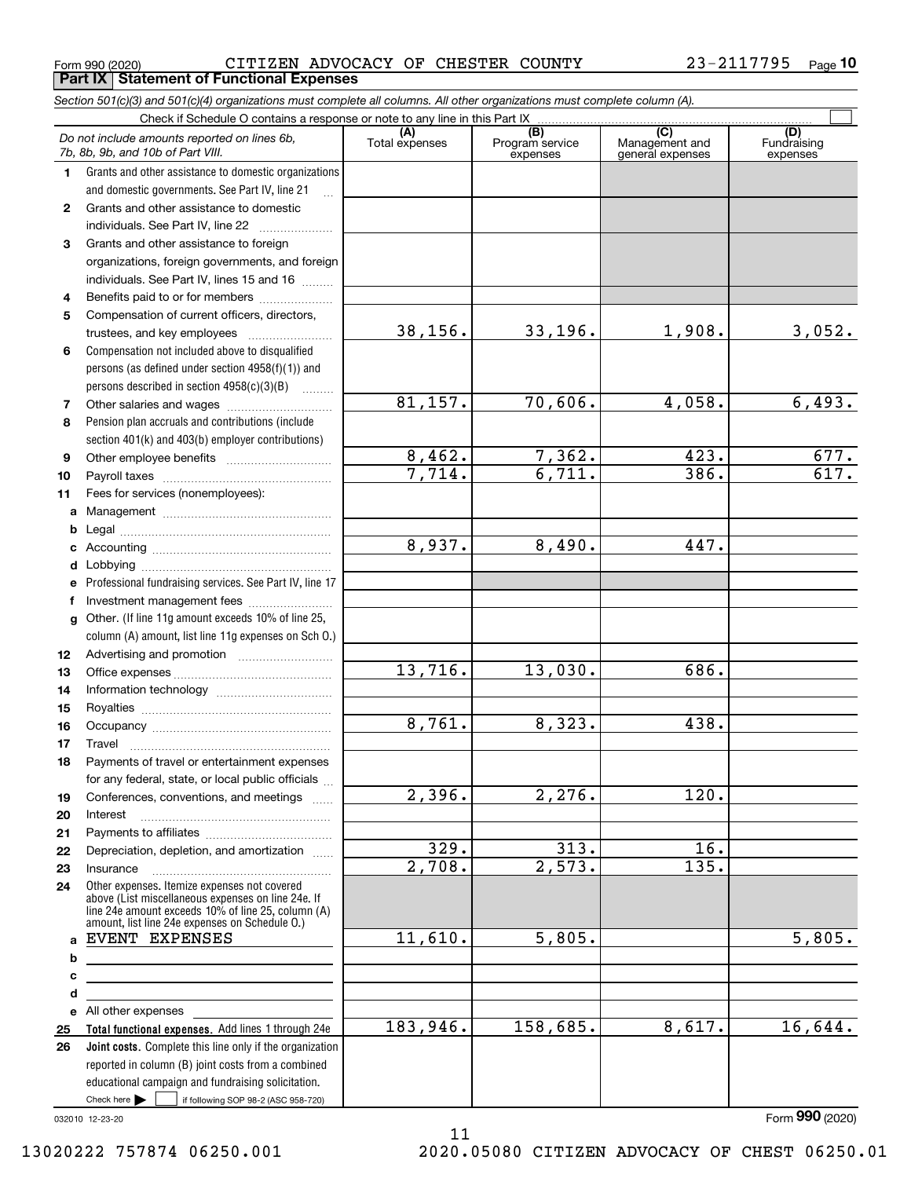Form 990 (2020) CITIZEN ADVOCACY OF CHESTER COUNTY 23-2117795  $\,$  Page **Part IX Statement of Functional Expenses**

|              | Section 501(c)(3) and 501(c)(4) organizations must complete all columns. All other organizations must complete column (A).                                                                                 |                    |                                    |                                           |                                |
|--------------|------------------------------------------------------------------------------------------------------------------------------------------------------------------------------------------------------------|--------------------|------------------------------------|-------------------------------------------|--------------------------------|
|              |                                                                                                                                                                                                            |                    |                                    |                                           |                                |
|              | Do not include amounts reported on lines 6b,<br>7b, 8b, 9b, and 10b of Part VIII.                                                                                                                          | Total expenses     | (B)<br>Program service<br>expenses | (C)<br>Management and<br>general expenses | (D)<br>Fundraising<br>expenses |
| 1.           | Grants and other assistance to domestic organizations                                                                                                                                                      |                    |                                    |                                           |                                |
|              | and domestic governments. See Part IV, line 21                                                                                                                                                             |                    |                                    |                                           |                                |
| $\mathbf{2}$ | Grants and other assistance to domestic                                                                                                                                                                    |                    |                                    |                                           |                                |
|              | individuals. See Part IV, line 22                                                                                                                                                                          |                    |                                    |                                           |                                |
| 3            | Grants and other assistance to foreign                                                                                                                                                                     |                    |                                    |                                           |                                |
|              | organizations, foreign governments, and foreign                                                                                                                                                            |                    |                                    |                                           |                                |
|              | individuals. See Part IV, lines 15 and 16                                                                                                                                                                  |                    |                                    |                                           |                                |
| 4            | Benefits paid to or for members                                                                                                                                                                            |                    |                                    |                                           |                                |
| 5            | Compensation of current officers, directors,                                                                                                                                                               |                    |                                    |                                           |                                |
|              |                                                                                                                                                                                                            | 38,156.            | $33,196$ .                         | 1,908.                                    | 3,052.                         |
| 6            | Compensation not included above to disqualified                                                                                                                                                            |                    |                                    |                                           |                                |
|              | persons (as defined under section 4958(f)(1)) and                                                                                                                                                          |                    |                                    |                                           |                                |
|              | persons described in section 4958(c)(3)(B)                                                                                                                                                                 |                    |                                    |                                           |                                |
| 7            |                                                                                                                                                                                                            | 81,157.            | 70,606.                            | 4,058.                                    | 6,493.                         |
| 8            | Pension plan accruals and contributions (include                                                                                                                                                           |                    |                                    |                                           |                                |
|              | section 401(k) and 403(b) employer contributions)                                                                                                                                                          |                    |                                    |                                           |                                |
| 9            |                                                                                                                                                                                                            | 8,462.             | 7,362.                             | 423.                                      | 677.                           |
| 10           |                                                                                                                                                                                                            | 7,714.             | 6,711.                             | 386.                                      | 617.                           |
| 11           | Fees for services (nonemployees):                                                                                                                                                                          |                    |                                    |                                           |                                |
| a            |                                                                                                                                                                                                            |                    |                                    |                                           |                                |
| b            |                                                                                                                                                                                                            |                    |                                    |                                           |                                |
| c            |                                                                                                                                                                                                            | 8,937.             | 8,490.                             | 447.                                      |                                |
| d            |                                                                                                                                                                                                            |                    |                                    |                                           |                                |
| е            | Professional fundraising services. See Part IV, line 17                                                                                                                                                    |                    |                                    |                                           |                                |
| f            | Investment management fees                                                                                                                                                                                 |                    |                                    |                                           |                                |
| $\mathbf{q}$ | Other. (If line 11g amount exceeds 10% of line 25,                                                                                                                                                         |                    |                                    |                                           |                                |
|              | column (A) amount, list line 11g expenses on Sch 0.)                                                                                                                                                       |                    |                                    |                                           |                                |
| 12           |                                                                                                                                                                                                            |                    |                                    |                                           |                                |
| 13           |                                                                                                                                                                                                            | 13,716.            | 13,030.                            | 686.                                      |                                |
| 14           |                                                                                                                                                                                                            |                    |                                    |                                           |                                |
| 15           |                                                                                                                                                                                                            |                    |                                    |                                           |                                |
| 16           |                                                                                                                                                                                                            | 8,761.             | 8,323.                             | 438.                                      |                                |
| 17           |                                                                                                                                                                                                            |                    |                                    |                                           |                                |
| 18           | Payments of travel or entertainment expenses                                                                                                                                                               |                    |                                    |                                           |                                |
|              | for any federal, state, or local public officials                                                                                                                                                          |                    |                                    |                                           |                                |
| 19           | Conferences, conventions, and meetings                                                                                                                                                                     | 2,396.             | 2,276.                             | 120.                                      |                                |
| 20           | Interest                                                                                                                                                                                                   |                    |                                    |                                           |                                |
| 21           |                                                                                                                                                                                                            |                    |                                    |                                           |                                |
| 22           | Depreciation, depletion, and amortization                                                                                                                                                                  | $\overline{329}$ . | $\overline{313}$ .                 | 16.                                       |                                |
| 23           | Insurance                                                                                                                                                                                                  | 2,708.             | 2,573.                             | $\overline{135}$ .                        |                                |
| 24           | Other expenses. Itemize expenses not covered<br>above (List miscellaneous expenses on line 24e. If<br>line 24e amount exceeds 10% of line 25, column (A)<br>amount, list line 24e expenses on Schedule O.) |                    |                                    |                                           |                                |
| a            | EVENT EXPENSES                                                                                                                                                                                             | 11,610.            | 5,805.                             |                                           | 5,805.                         |
| b            |                                                                                                                                                                                                            |                    |                                    |                                           |                                |
| с            |                                                                                                                                                                                                            |                    |                                    |                                           |                                |
| d            | <u> 1989 - Johann Stoff, Amerikaansk politiker (</u>                                                                                                                                                       |                    |                                    |                                           |                                |
|              | e All other expenses                                                                                                                                                                                       |                    |                                    |                                           |                                |
| 25           | Total functional expenses. Add lines 1 through 24e                                                                                                                                                         | 183,946.           | 158,685.                           | 8,617.                                    | 16,644.                        |
| 26           | <b>Joint costs.</b> Complete this line only if the organization                                                                                                                                            |                    |                                    |                                           |                                |
|              | reported in column (B) joint costs from a combined                                                                                                                                                         |                    |                                    |                                           |                                |
|              | educational campaign and fundraising solicitation.                                                                                                                                                         |                    |                                    |                                           |                                |
|              | Check here $\blacktriangleright$<br>if following SOP 98-2 (ASC 958-720)                                                                                                                                    |                    |                                    |                                           |                                |

11

032010 12-23-20

Form (2020) **990**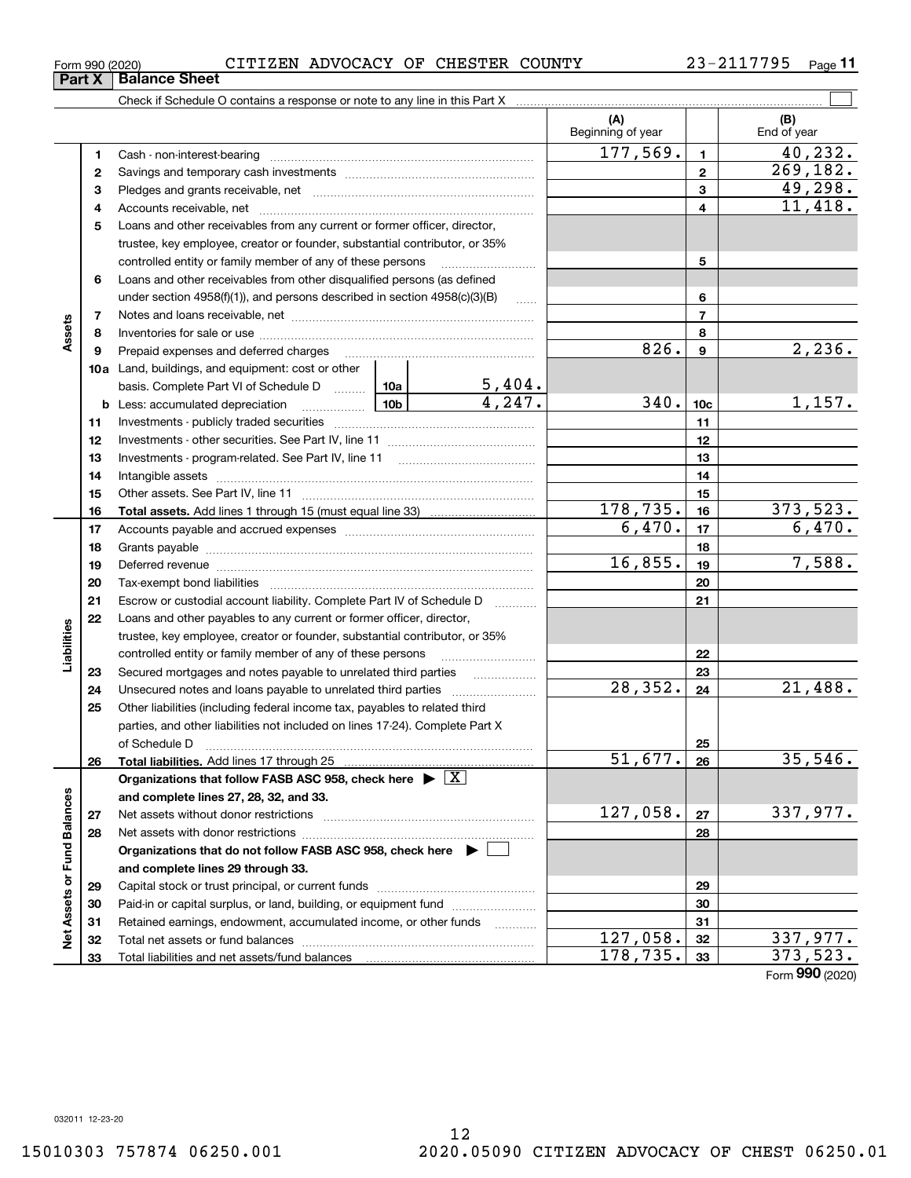| Form 990 (2020) | CITIZEN ADVOCACY OF CHESTER COUNTY |  | 23-2117795 | Page |
|-----------------|------------------------------------|--|------------|------|
|                 |                                    |  |            |      |

| (A)<br>(B)<br>Beginning of year<br>End of year<br>177,569.<br>40, 232.<br>1<br>1<br>269, 182.<br>$\mathbf{2}$<br>2<br>49,298.<br>3<br>3<br>11,418.<br>4<br>4<br>Loans and other receivables from any current or former officer, director,<br>5<br>trustee, key employee, creator or founder, substantial contributor, or 35%<br>5<br>controlled entity or family member of any of these persons<br>Loans and other receivables from other disqualified persons (as defined<br>6<br>under section 4958(f)(1)), and persons described in section 4958(c)(3)(B)<br>6<br>$\ldots$<br>$\overline{7}$<br>$\overline{7}$<br>Assets<br>8<br>8<br>2,236.<br>826.<br>9<br>9<br><b>10a</b> Land, buildings, and equipment: cost or other<br><u>5,404.</u><br>basis. Complete Part VI of Schedule D  10a<br>4,247.<br>340.<br>1,157.<br>10 <sub>c</sub><br>11<br>11<br>12<br>12<br>13<br>13<br>14<br>14<br>15<br>15<br>373,523.<br>178,735.<br>16<br>16<br>6,470.<br>6,470.<br>17<br>17<br>18<br>18<br>16,855.<br>7,588.<br>19<br>19<br>20<br>20<br>21<br>Escrow or custodial account liability. Complete Part IV of Schedule D<br>21<br>22<br>Loans and other payables to any current or former officer, director,<br>Liabilities<br>trustee, key employee, creator or founder, substantial contributor, or 35%<br>controlled entity or family member of any of these persons<br>22<br>23<br>23<br>28, 352.<br>21,488.<br>24<br>24<br>25<br>Other liabilities (including federal income tax, payables to related third<br>parties, and other liabilities not included on lines 17-24). Complete Part X<br>of Schedule D<br>25<br>35,546.<br>$\overline{51,677.}$<br>26<br>Total liabilities. Add lines 17 through 25<br>26<br>Organizations that follow FASB ASC 958, check here $\blacktriangleright \lfloor X \rfloor$<br>Net Assets or Fund Balances<br>and complete lines 27, 28, 32, and 33.<br>127,058.<br>337,977.<br>27<br>27<br>28<br>Net assets with donor restrictions<br>28<br>Organizations that do not follow FASB ASC 958, check here ▶ [<br>and complete lines 29 through 33.<br>29<br>29<br>30<br>Paid-in or capital surplus, or land, building, or equipment fund<br>30<br>Retained earnings, endowment, accumulated income, or other funds<br>31<br>31<br>127,058.<br>32<br>32<br>373, 523.<br>178,735.<br>33<br>33<br>Total liabilities and net assets/fund balances |  | Check if Schedule O contains a response or note to any line in this Part X |  |  |  |                 |
|-------------------------------------------------------------------------------------------------------------------------------------------------------------------------------------------------------------------------------------------------------------------------------------------------------------------------------------------------------------------------------------------------------------------------------------------------------------------------------------------------------------------------------------------------------------------------------------------------------------------------------------------------------------------------------------------------------------------------------------------------------------------------------------------------------------------------------------------------------------------------------------------------------------------------------------------------------------------------------------------------------------------------------------------------------------------------------------------------------------------------------------------------------------------------------------------------------------------------------------------------------------------------------------------------------------------------------------------------------------------------------------------------------------------------------------------------------------------------------------------------------------------------------------------------------------------------------------------------------------------------------------------------------------------------------------------------------------------------------------------------------------------------------------------------------------------------------------------------------------------------------------------------------------------------------------------------------------------------------------------------------------------------------------------------------------------------------------------------------------------------------------------------------------------------------------------------------------------------------------------------------------------------------------------------------------------------------------------------------------------------------|--|----------------------------------------------------------------------------|--|--|--|-----------------|
|                                                                                                                                                                                                                                                                                                                                                                                                                                                                                                                                                                                                                                                                                                                                                                                                                                                                                                                                                                                                                                                                                                                                                                                                                                                                                                                                                                                                                                                                                                                                                                                                                                                                                                                                                                                                                                                                                                                                                                                                                                                                                                                                                                                                                                                                                                                                                                               |  |                                                                            |  |  |  |                 |
|                                                                                                                                                                                                                                                                                                                                                                                                                                                                                                                                                                                                                                                                                                                                                                                                                                                                                                                                                                                                                                                                                                                                                                                                                                                                                                                                                                                                                                                                                                                                                                                                                                                                                                                                                                                                                                                                                                                                                                                                                                                                                                                                                                                                                                                                                                                                                                               |  |                                                                            |  |  |  |                 |
|                                                                                                                                                                                                                                                                                                                                                                                                                                                                                                                                                                                                                                                                                                                                                                                                                                                                                                                                                                                                                                                                                                                                                                                                                                                                                                                                                                                                                                                                                                                                                                                                                                                                                                                                                                                                                                                                                                                                                                                                                                                                                                                                                                                                                                                                                                                                                                               |  |                                                                            |  |  |  |                 |
|                                                                                                                                                                                                                                                                                                                                                                                                                                                                                                                                                                                                                                                                                                                                                                                                                                                                                                                                                                                                                                                                                                                                                                                                                                                                                                                                                                                                                                                                                                                                                                                                                                                                                                                                                                                                                                                                                                                                                                                                                                                                                                                                                                                                                                                                                                                                                                               |  |                                                                            |  |  |  |                 |
|                                                                                                                                                                                                                                                                                                                                                                                                                                                                                                                                                                                                                                                                                                                                                                                                                                                                                                                                                                                                                                                                                                                                                                                                                                                                                                                                                                                                                                                                                                                                                                                                                                                                                                                                                                                                                                                                                                                                                                                                                                                                                                                                                                                                                                                                                                                                                                               |  |                                                                            |  |  |  |                 |
|                                                                                                                                                                                                                                                                                                                                                                                                                                                                                                                                                                                                                                                                                                                                                                                                                                                                                                                                                                                                                                                                                                                                                                                                                                                                                                                                                                                                                                                                                                                                                                                                                                                                                                                                                                                                                                                                                                                                                                                                                                                                                                                                                                                                                                                                                                                                                                               |  |                                                                            |  |  |  |                 |
|                                                                                                                                                                                                                                                                                                                                                                                                                                                                                                                                                                                                                                                                                                                                                                                                                                                                                                                                                                                                                                                                                                                                                                                                                                                                                                                                                                                                                                                                                                                                                                                                                                                                                                                                                                                                                                                                                                                                                                                                                                                                                                                                                                                                                                                                                                                                                                               |  |                                                                            |  |  |  |                 |
|                                                                                                                                                                                                                                                                                                                                                                                                                                                                                                                                                                                                                                                                                                                                                                                                                                                                                                                                                                                                                                                                                                                                                                                                                                                                                                                                                                                                                                                                                                                                                                                                                                                                                                                                                                                                                                                                                                                                                                                                                                                                                                                                                                                                                                                                                                                                                                               |  |                                                                            |  |  |  |                 |
|                                                                                                                                                                                                                                                                                                                                                                                                                                                                                                                                                                                                                                                                                                                                                                                                                                                                                                                                                                                                                                                                                                                                                                                                                                                                                                                                                                                                                                                                                                                                                                                                                                                                                                                                                                                                                                                                                                                                                                                                                                                                                                                                                                                                                                                                                                                                                                               |  |                                                                            |  |  |  |                 |
| 337,977.                                                                                                                                                                                                                                                                                                                                                                                                                                                                                                                                                                                                                                                                                                                                                                                                                                                                                                                                                                                                                                                                                                                                                                                                                                                                                                                                                                                                                                                                                                                                                                                                                                                                                                                                                                                                                                                                                                                                                                                                                                                                                                                                                                                                                                                                                                                                                                      |  |                                                                            |  |  |  |                 |
|                                                                                                                                                                                                                                                                                                                                                                                                                                                                                                                                                                                                                                                                                                                                                                                                                                                                                                                                                                                                                                                                                                                                                                                                                                                                                                                                                                                                                                                                                                                                                                                                                                                                                                                                                                                                                                                                                                                                                                                                                                                                                                                                                                                                                                                                                                                                                                               |  |                                                                            |  |  |  |                 |
|                                                                                                                                                                                                                                                                                                                                                                                                                                                                                                                                                                                                                                                                                                                                                                                                                                                                                                                                                                                                                                                                                                                                                                                                                                                                                                                                                                                                                                                                                                                                                                                                                                                                                                                                                                                                                                                                                                                                                                                                                                                                                                                                                                                                                                                                                                                                                                               |  |                                                                            |  |  |  |                 |
|                                                                                                                                                                                                                                                                                                                                                                                                                                                                                                                                                                                                                                                                                                                                                                                                                                                                                                                                                                                                                                                                                                                                                                                                                                                                                                                                                                                                                                                                                                                                                                                                                                                                                                                                                                                                                                                                                                                                                                                                                                                                                                                                                                                                                                                                                                                                                                               |  |                                                                            |  |  |  |                 |
|                                                                                                                                                                                                                                                                                                                                                                                                                                                                                                                                                                                                                                                                                                                                                                                                                                                                                                                                                                                                                                                                                                                                                                                                                                                                                                                                                                                                                                                                                                                                                                                                                                                                                                                                                                                                                                                                                                                                                                                                                                                                                                                                                                                                                                                                                                                                                                               |  |                                                                            |  |  |  |                 |
|                                                                                                                                                                                                                                                                                                                                                                                                                                                                                                                                                                                                                                                                                                                                                                                                                                                                                                                                                                                                                                                                                                                                                                                                                                                                                                                                                                                                                                                                                                                                                                                                                                                                                                                                                                                                                                                                                                                                                                                                                                                                                                                                                                                                                                                                                                                                                                               |  |                                                                            |  |  |  |                 |
|                                                                                                                                                                                                                                                                                                                                                                                                                                                                                                                                                                                                                                                                                                                                                                                                                                                                                                                                                                                                                                                                                                                                                                                                                                                                                                                                                                                                                                                                                                                                                                                                                                                                                                                                                                                                                                                                                                                                                                                                                                                                                                                                                                                                                                                                                                                                                                               |  |                                                                            |  |  |  |                 |
|                                                                                                                                                                                                                                                                                                                                                                                                                                                                                                                                                                                                                                                                                                                                                                                                                                                                                                                                                                                                                                                                                                                                                                                                                                                                                                                                                                                                                                                                                                                                                                                                                                                                                                                                                                                                                                                                                                                                                                                                                                                                                                                                                                                                                                                                                                                                                                               |  |                                                                            |  |  |  |                 |
|                                                                                                                                                                                                                                                                                                                                                                                                                                                                                                                                                                                                                                                                                                                                                                                                                                                                                                                                                                                                                                                                                                                                                                                                                                                                                                                                                                                                                                                                                                                                                                                                                                                                                                                                                                                                                                                                                                                                                                                                                                                                                                                                                                                                                                                                                                                                                                               |  |                                                                            |  |  |  |                 |
|                                                                                                                                                                                                                                                                                                                                                                                                                                                                                                                                                                                                                                                                                                                                                                                                                                                                                                                                                                                                                                                                                                                                                                                                                                                                                                                                                                                                                                                                                                                                                                                                                                                                                                                                                                                                                                                                                                                                                                                                                                                                                                                                                                                                                                                                                                                                                                               |  |                                                                            |  |  |  |                 |
|                                                                                                                                                                                                                                                                                                                                                                                                                                                                                                                                                                                                                                                                                                                                                                                                                                                                                                                                                                                                                                                                                                                                                                                                                                                                                                                                                                                                                                                                                                                                                                                                                                                                                                                                                                                                                                                                                                                                                                                                                                                                                                                                                                                                                                                                                                                                                                               |  |                                                                            |  |  |  |                 |
|                                                                                                                                                                                                                                                                                                                                                                                                                                                                                                                                                                                                                                                                                                                                                                                                                                                                                                                                                                                                                                                                                                                                                                                                                                                                                                                                                                                                                                                                                                                                                                                                                                                                                                                                                                                                                                                                                                                                                                                                                                                                                                                                                                                                                                                                                                                                                                               |  |                                                                            |  |  |  |                 |
|                                                                                                                                                                                                                                                                                                                                                                                                                                                                                                                                                                                                                                                                                                                                                                                                                                                                                                                                                                                                                                                                                                                                                                                                                                                                                                                                                                                                                                                                                                                                                                                                                                                                                                                                                                                                                                                                                                                                                                                                                                                                                                                                                                                                                                                                                                                                                                               |  |                                                                            |  |  |  |                 |
|                                                                                                                                                                                                                                                                                                                                                                                                                                                                                                                                                                                                                                                                                                                                                                                                                                                                                                                                                                                                                                                                                                                                                                                                                                                                                                                                                                                                                                                                                                                                                                                                                                                                                                                                                                                                                                                                                                                                                                                                                                                                                                                                                                                                                                                                                                                                                                               |  |                                                                            |  |  |  |                 |
|                                                                                                                                                                                                                                                                                                                                                                                                                                                                                                                                                                                                                                                                                                                                                                                                                                                                                                                                                                                                                                                                                                                                                                                                                                                                                                                                                                                                                                                                                                                                                                                                                                                                                                                                                                                                                                                                                                                                                                                                                                                                                                                                                                                                                                                                                                                                                                               |  |                                                                            |  |  |  |                 |
|                                                                                                                                                                                                                                                                                                                                                                                                                                                                                                                                                                                                                                                                                                                                                                                                                                                                                                                                                                                                                                                                                                                                                                                                                                                                                                                                                                                                                                                                                                                                                                                                                                                                                                                                                                                                                                                                                                                                                                                                                                                                                                                                                                                                                                                                                                                                                                               |  |                                                                            |  |  |  |                 |
|                                                                                                                                                                                                                                                                                                                                                                                                                                                                                                                                                                                                                                                                                                                                                                                                                                                                                                                                                                                                                                                                                                                                                                                                                                                                                                                                                                                                                                                                                                                                                                                                                                                                                                                                                                                                                                                                                                                                                                                                                                                                                                                                                                                                                                                                                                                                                                               |  |                                                                            |  |  |  |                 |
|                                                                                                                                                                                                                                                                                                                                                                                                                                                                                                                                                                                                                                                                                                                                                                                                                                                                                                                                                                                                                                                                                                                                                                                                                                                                                                                                                                                                                                                                                                                                                                                                                                                                                                                                                                                                                                                                                                                                                                                                                                                                                                                                                                                                                                                                                                                                                                               |  |                                                                            |  |  |  |                 |
|                                                                                                                                                                                                                                                                                                                                                                                                                                                                                                                                                                                                                                                                                                                                                                                                                                                                                                                                                                                                                                                                                                                                                                                                                                                                                                                                                                                                                                                                                                                                                                                                                                                                                                                                                                                                                                                                                                                                                                                                                                                                                                                                                                                                                                                                                                                                                                               |  |                                                                            |  |  |  |                 |
|                                                                                                                                                                                                                                                                                                                                                                                                                                                                                                                                                                                                                                                                                                                                                                                                                                                                                                                                                                                                                                                                                                                                                                                                                                                                                                                                                                                                                                                                                                                                                                                                                                                                                                                                                                                                                                                                                                                                                                                                                                                                                                                                                                                                                                                                                                                                                                               |  |                                                                            |  |  |  |                 |
|                                                                                                                                                                                                                                                                                                                                                                                                                                                                                                                                                                                                                                                                                                                                                                                                                                                                                                                                                                                                                                                                                                                                                                                                                                                                                                                                                                                                                                                                                                                                                                                                                                                                                                                                                                                                                                                                                                                                                                                                                                                                                                                                                                                                                                                                                                                                                                               |  |                                                                            |  |  |  |                 |
|                                                                                                                                                                                                                                                                                                                                                                                                                                                                                                                                                                                                                                                                                                                                                                                                                                                                                                                                                                                                                                                                                                                                                                                                                                                                                                                                                                                                                                                                                                                                                                                                                                                                                                                                                                                                                                                                                                                                                                                                                                                                                                                                                                                                                                                                                                                                                                               |  |                                                                            |  |  |  |                 |
|                                                                                                                                                                                                                                                                                                                                                                                                                                                                                                                                                                                                                                                                                                                                                                                                                                                                                                                                                                                                                                                                                                                                                                                                                                                                                                                                                                                                                                                                                                                                                                                                                                                                                                                                                                                                                                                                                                                                                                                                                                                                                                                                                                                                                                                                                                                                                                               |  |                                                                            |  |  |  |                 |
|                                                                                                                                                                                                                                                                                                                                                                                                                                                                                                                                                                                                                                                                                                                                                                                                                                                                                                                                                                                                                                                                                                                                                                                                                                                                                                                                                                                                                                                                                                                                                                                                                                                                                                                                                                                                                                                                                                                                                                                                                                                                                                                                                                                                                                                                                                                                                                               |  |                                                                            |  |  |  |                 |
|                                                                                                                                                                                                                                                                                                                                                                                                                                                                                                                                                                                                                                                                                                                                                                                                                                                                                                                                                                                                                                                                                                                                                                                                                                                                                                                                                                                                                                                                                                                                                                                                                                                                                                                                                                                                                                                                                                                                                                                                                                                                                                                                                                                                                                                                                                                                                                               |  |                                                                            |  |  |  |                 |
|                                                                                                                                                                                                                                                                                                                                                                                                                                                                                                                                                                                                                                                                                                                                                                                                                                                                                                                                                                                                                                                                                                                                                                                                                                                                                                                                                                                                                                                                                                                                                                                                                                                                                                                                                                                                                                                                                                                                                                                                                                                                                                                                                                                                                                                                                                                                                                               |  |                                                                            |  |  |  |                 |
|                                                                                                                                                                                                                                                                                                                                                                                                                                                                                                                                                                                                                                                                                                                                                                                                                                                                                                                                                                                                                                                                                                                                                                                                                                                                                                                                                                                                                                                                                                                                                                                                                                                                                                                                                                                                                                                                                                                                                                                                                                                                                                                                                                                                                                                                                                                                                                               |  |                                                                            |  |  |  |                 |
|                                                                                                                                                                                                                                                                                                                                                                                                                                                                                                                                                                                                                                                                                                                                                                                                                                                                                                                                                                                                                                                                                                                                                                                                                                                                                                                                                                                                                                                                                                                                                                                                                                                                                                                                                                                                                                                                                                                                                                                                                                                                                                                                                                                                                                                                                                                                                                               |  |                                                                            |  |  |  |                 |
|                                                                                                                                                                                                                                                                                                                                                                                                                                                                                                                                                                                                                                                                                                                                                                                                                                                                                                                                                                                                                                                                                                                                                                                                                                                                                                                                                                                                                                                                                                                                                                                                                                                                                                                                                                                                                                                                                                                                                                                                                                                                                                                                                                                                                                                                                                                                                                               |  |                                                                            |  |  |  |                 |
|                                                                                                                                                                                                                                                                                                                                                                                                                                                                                                                                                                                                                                                                                                                                                                                                                                                                                                                                                                                                                                                                                                                                                                                                                                                                                                                                                                                                                                                                                                                                                                                                                                                                                                                                                                                                                                                                                                                                                                                                                                                                                                                                                                                                                                                                                                                                                                               |  |                                                                            |  |  |  |                 |
|                                                                                                                                                                                                                                                                                                                                                                                                                                                                                                                                                                                                                                                                                                                                                                                                                                                                                                                                                                                                                                                                                                                                                                                                                                                                                                                                                                                                                                                                                                                                                                                                                                                                                                                                                                                                                                                                                                                                                                                                                                                                                                                                                                                                                                                                                                                                                                               |  |                                                                            |  |  |  |                 |
|                                                                                                                                                                                                                                                                                                                                                                                                                                                                                                                                                                                                                                                                                                                                                                                                                                                                                                                                                                                                                                                                                                                                                                                                                                                                                                                                                                                                                                                                                                                                                                                                                                                                                                                                                                                                                                                                                                                                                                                                                                                                                                                                                                                                                                                                                                                                                                               |  |                                                                            |  |  |  |                 |
|                                                                                                                                                                                                                                                                                                                                                                                                                                                                                                                                                                                                                                                                                                                                                                                                                                                                                                                                                                                                                                                                                                                                                                                                                                                                                                                                                                                                                                                                                                                                                                                                                                                                                                                                                                                                                                                                                                                                                                                                                                                                                                                                                                                                                                                                                                                                                                               |  |                                                                            |  |  |  |                 |
|                                                                                                                                                                                                                                                                                                                                                                                                                                                                                                                                                                                                                                                                                                                                                                                                                                                                                                                                                                                                                                                                                                                                                                                                                                                                                                                                                                                                                                                                                                                                                                                                                                                                                                                                                                                                                                                                                                                                                                                                                                                                                                                                                                                                                                                                                                                                                                               |  |                                                                            |  |  |  |                 |
|                                                                                                                                                                                                                                                                                                                                                                                                                                                                                                                                                                                                                                                                                                                                                                                                                                                                                                                                                                                                                                                                                                                                                                                                                                                                                                                                                                                                                                                                                                                                                                                                                                                                                                                                                                                                                                                                                                                                                                                                                                                                                                                                                                                                                                                                                                                                                                               |  |                                                                            |  |  |  |                 |
|                                                                                                                                                                                                                                                                                                                                                                                                                                                                                                                                                                                                                                                                                                                                                                                                                                                                                                                                                                                                                                                                                                                                                                                                                                                                                                                                                                                                                                                                                                                                                                                                                                                                                                                                                                                                                                                                                                                                                                                                                                                                                                                                                                                                                                                                                                                                                                               |  |                                                                            |  |  |  |                 |
|                                                                                                                                                                                                                                                                                                                                                                                                                                                                                                                                                                                                                                                                                                                                                                                                                                                                                                                                                                                                                                                                                                                                                                                                                                                                                                                                                                                                                                                                                                                                                                                                                                                                                                                                                                                                                                                                                                                                                                                                                                                                                                                                                                                                                                                                                                                                                                               |  |                                                                            |  |  |  |                 |
|                                                                                                                                                                                                                                                                                                                                                                                                                                                                                                                                                                                                                                                                                                                                                                                                                                                                                                                                                                                                                                                                                                                                                                                                                                                                                                                                                                                                                                                                                                                                                                                                                                                                                                                                                                                                                                                                                                                                                                                                                                                                                                                                                                                                                                                                                                                                                                               |  |                                                                            |  |  |  | Form 990 (2020) |

**Part X Balance Sheet**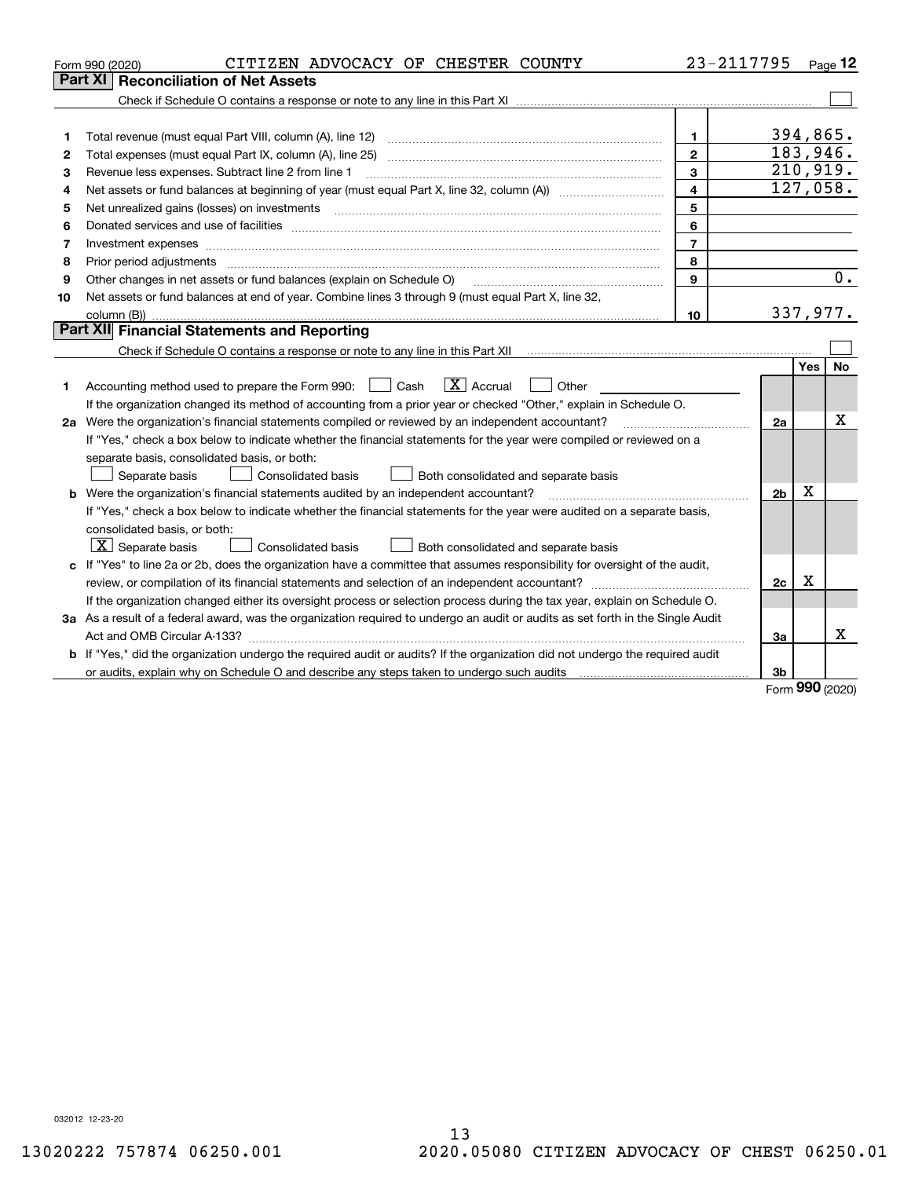|    | CITIZEN ADVOCACY OF CHESTER COUNTY<br>Form 990 (2020)                                                                                                                                                                          | 23-2117795     |                |            | Page $12$            |  |  |
|----|--------------------------------------------------------------------------------------------------------------------------------------------------------------------------------------------------------------------------------|----------------|----------------|------------|----------------------|--|--|
|    | Part XI<br><b>Reconciliation of Net Assets</b>                                                                                                                                                                                 |                |                |            |                      |  |  |
|    |                                                                                                                                                                                                                                |                |                |            |                      |  |  |
|    |                                                                                                                                                                                                                                |                |                |            |                      |  |  |
| 1  |                                                                                                                                                                                                                                | 1              |                | 394,865.   |                      |  |  |
| 2  |                                                                                                                                                                                                                                | $\overline{2}$ |                | 183,946.   |                      |  |  |
| з  | Revenue less expenses. Subtract line 2 from line 1                                                                                                                                                                             | $\mathbf{3}$   |                |            | 210,919.<br>127,058. |  |  |
| 4  | $\overline{4}$                                                                                                                                                                                                                 |                |                |            |                      |  |  |
| 5  |                                                                                                                                                                                                                                | 5              |                |            |                      |  |  |
| 6  | Donated services and use of facilities [111] matter contracts and the service of facilities [11] matter contracts and use of facilities [11] matter contracts and the service of facilities [11] matter contracts and the serv | 6              |                |            |                      |  |  |
| 7  | Investment expenses www.communication.communication.com/internation.com/internation.com/internation.com/intern                                                                                                                 | $\overline{7}$ |                |            |                      |  |  |
| 8  | Prior period adjustments material contents and content of the content of the content of the content of the content of the content of the content of the content of the content of the content of the content of the content of | 8              |                |            |                      |  |  |
| 9  | Other changes in net assets or fund balances (explain on Schedule O)                                                                                                                                                           | 9              |                |            | 0.                   |  |  |
| 10 | Net assets or fund balances at end of year. Combine lines 3 through 9 (must equal Part X, line 32,                                                                                                                             |                |                |            |                      |  |  |
|    |                                                                                                                                                                                                                                | 10             |                |            | 337,977.             |  |  |
|    | Part XII Financial Statements and Reporting                                                                                                                                                                                    |                |                |            |                      |  |  |
|    |                                                                                                                                                                                                                                |                |                |            |                      |  |  |
|    |                                                                                                                                                                                                                                |                |                | <b>Yes</b> | <b>No</b>            |  |  |
| 1  | $\mathbf{X}$ Accrual<br>Accounting method used to prepare the Form 990: <u>[</u> Cash<br>Other<br>$\perp$                                                                                                                      |                |                |            |                      |  |  |
|    | If the organization changed its method of accounting from a prior year or checked "Other," explain in Schedule O.                                                                                                              |                |                |            |                      |  |  |
|    | 2a Were the organization's financial statements compiled or reviewed by an independent accountant?                                                                                                                             |                | 2a             |            | Χ                    |  |  |
|    | If "Yes," check a box below to indicate whether the financial statements for the year were compiled or reviewed on a                                                                                                           |                |                |            |                      |  |  |
|    | separate basis, consolidated basis, or both:                                                                                                                                                                                   |                |                |            |                      |  |  |
|    | Consolidated basis<br>Both consolidated and separate basis<br>Separate basis                                                                                                                                                   |                |                |            |                      |  |  |
|    | <b>b</b> Were the organization's financial statements audited by an independent accountant?                                                                                                                                    |                | 2 <sub>b</sub> | X          |                      |  |  |
|    | If "Yes," check a box below to indicate whether the financial statements for the year were audited on a separate basis,                                                                                                        |                |                |            |                      |  |  |
|    | consolidated basis, or both:                                                                                                                                                                                                   |                |                |            |                      |  |  |
|    | $X$ Separate basis<br><b>Consolidated basis</b><br>Both consolidated and separate basis                                                                                                                                        |                |                |            |                      |  |  |
|    | c If "Yes" to line 2a or 2b, does the organization have a committee that assumes responsibility for oversight of the audit,                                                                                                    |                |                |            |                      |  |  |
|    |                                                                                                                                                                                                                                |                | 2c             | X          |                      |  |  |
|    | If the organization changed either its oversight process or selection process during the tax year, explain on Schedule O.                                                                                                      |                |                |            |                      |  |  |
|    | 3a As a result of a federal award, was the organization required to undergo an audit or audits as set forth in the Single Audit                                                                                                |                |                |            |                      |  |  |
|    |                                                                                                                                                                                                                                |                | За             |            | х                    |  |  |
|    | <b>b</b> If "Yes," did the organization undergo the required audit or audits? If the organization did not undergo the required audit                                                                                           |                |                |            |                      |  |  |
|    |                                                                                                                                                                                                                                |                | 3b             |            |                      |  |  |

Form (2020) **990**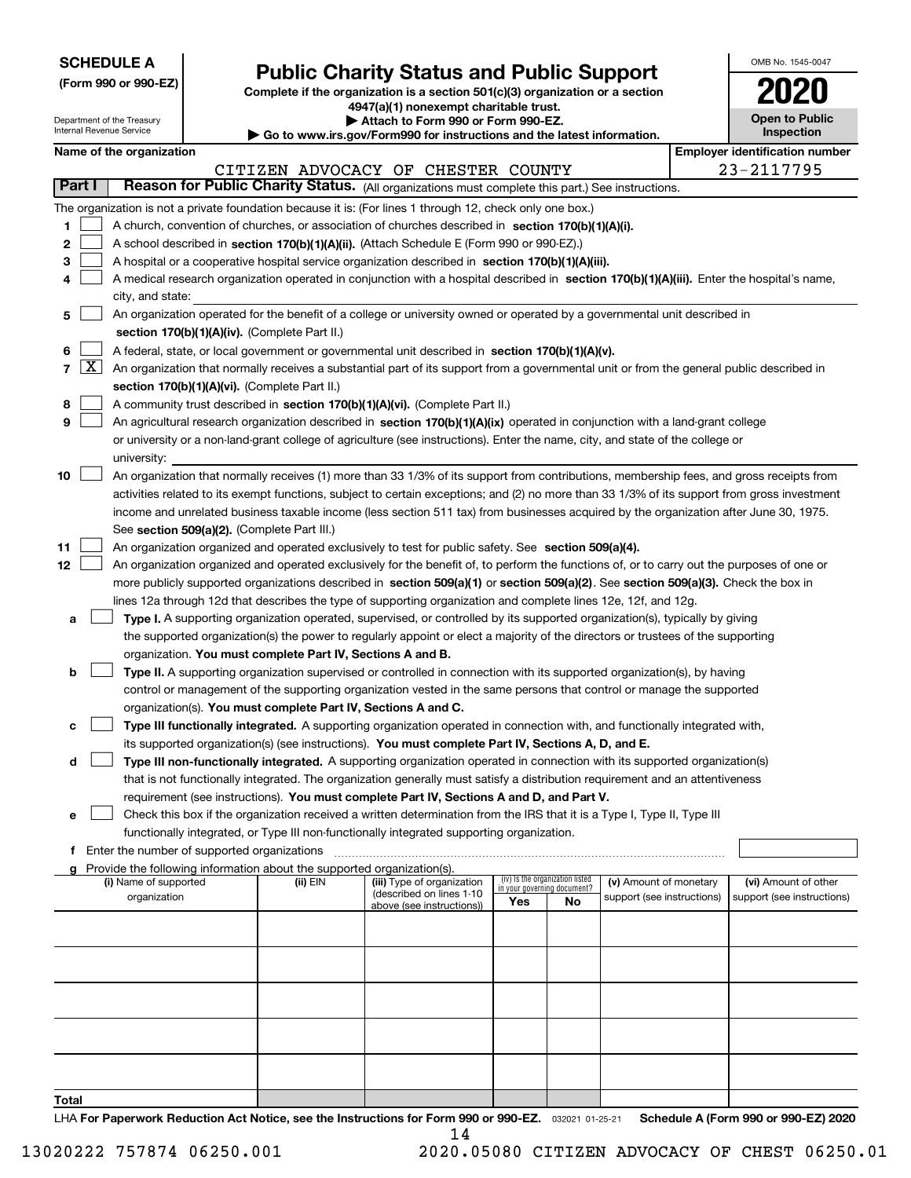| <b>SCHEDULE A</b> |
|-------------------|
|-------------------|

Department of the Treasury

**(Form 990 or 990-EZ)**

## **Public Charity Status and Public Support**

**Complete if the organization is a section 501(c)(3) organization or a section 4947(a)(1) nonexempt charitable trust. | Attach to Form 990 or Form 990-EZ.** 

| , www.irs.αov/Form990 for instructions and the latest information. |  |
|--------------------------------------------------------------------|--|

|                                       | OMB No. 1545-0047                   |  |  |  |  |  |  |
|---------------------------------------|-------------------------------------|--|--|--|--|--|--|
|                                       | 2020                                |  |  |  |  |  |  |
|                                       | <b>Open to Public</b><br>Inspection |  |  |  |  |  |  |
| <b>Employer identification number</b> |                                     |  |  |  |  |  |  |
|                                       | 011550F                             |  |  |  |  |  |  |

 $\mathbf{I}$ 

|        |                     | Internal Revenue Service |                                                      |                                                                                                                                                   | Go to www.irs.gov/Form990 for instructions and the latest information.                                                                                                                                                           |     |                                                                |                            |  | Inspection                            |
|--------|---------------------|--------------------------|------------------------------------------------------|---------------------------------------------------------------------------------------------------------------------------------------------------|----------------------------------------------------------------------------------------------------------------------------------------------------------------------------------------------------------------------------------|-----|----------------------------------------------------------------|----------------------------|--|---------------------------------------|
|        |                     | Name of the organization |                                                      |                                                                                                                                                   |                                                                                                                                                                                                                                  |     |                                                                |                            |  | <b>Employer identification number</b> |
|        |                     |                          |                                                      |                                                                                                                                                   | CITIZEN ADVOCACY OF CHESTER COUNTY                                                                                                                                                                                               |     |                                                                |                            |  | 23-2117795                            |
|        | Part I              |                          |                                                      |                                                                                                                                                   | Reason for Public Charity Status. (All organizations must complete this part.) See instructions.                                                                                                                                 |     |                                                                |                            |  |                                       |
|        |                     |                          |                                                      |                                                                                                                                                   | The organization is not a private foundation because it is: (For lines 1 through 12, check only one box.)                                                                                                                        |     |                                                                |                            |  |                                       |
| 1      |                     |                          |                                                      |                                                                                                                                                   | A church, convention of churches, or association of churches described in section 170(b)(1)(A)(i).                                                                                                                               |     |                                                                |                            |  |                                       |
| 2      |                     |                          |                                                      |                                                                                                                                                   | A school described in section 170(b)(1)(A)(ii). (Attach Schedule E (Form 990 or 990-EZ).)                                                                                                                                        |     |                                                                |                            |  |                                       |
| 3      |                     |                          |                                                      |                                                                                                                                                   | A hospital or a cooperative hospital service organization described in section 170(b)(1)(A)(iii).                                                                                                                                |     |                                                                |                            |  |                                       |
| 4      |                     |                          |                                                      |                                                                                                                                                   | A medical research organization operated in conjunction with a hospital described in section 170(b)(1)(A)(iii), Enter the hospital's name,                                                                                       |     |                                                                |                            |  |                                       |
|        |                     | city, and state:         |                                                      |                                                                                                                                                   |                                                                                                                                                                                                                                  |     |                                                                |                            |  |                                       |
| 5      |                     |                          |                                                      |                                                                                                                                                   | An organization operated for the benefit of a college or university owned or operated by a governmental unit described in                                                                                                        |     |                                                                |                            |  |                                       |
|        |                     |                          |                                                      | section 170(b)(1)(A)(iv). (Complete Part II.)<br>A federal, state, or local government or governmental unit described in section 170(b)(1)(A)(v). |                                                                                                                                                                                                                                  |     |                                                                |                            |  |                                       |
| 6<br>7 | $\lfloor x \rfloor$ |                          |                                                      |                                                                                                                                                   | An organization that normally receives a substantial part of its support from a governmental unit or from the general public described in                                                                                        |     |                                                                |                            |  |                                       |
|        |                     |                          |                                                      | section 170(b)(1)(A)(vi). (Complete Part II.)                                                                                                     |                                                                                                                                                                                                                                  |     |                                                                |                            |  |                                       |
| 8      |                     |                          |                                                      |                                                                                                                                                   | A community trust described in section 170(b)(1)(A)(vi). (Complete Part II.)                                                                                                                                                     |     |                                                                |                            |  |                                       |
| 9      |                     |                          |                                                      |                                                                                                                                                   | An agricultural research organization described in section 170(b)(1)(A)(ix) operated in conjunction with a land-grant college                                                                                                    |     |                                                                |                            |  |                                       |
|        |                     |                          |                                                      |                                                                                                                                                   | or university or a non-land-grant college of agriculture (see instructions). Enter the name, city, and state of the college or                                                                                                   |     |                                                                |                            |  |                                       |
|        |                     | university:              |                                                      |                                                                                                                                                   |                                                                                                                                                                                                                                  |     |                                                                |                            |  |                                       |
| 10     |                     |                          |                                                      |                                                                                                                                                   | An organization that normally receives (1) more than 33 1/3% of its support from contributions, membership fees, and gross receipts from                                                                                         |     |                                                                |                            |  |                                       |
|        |                     |                          |                                                      |                                                                                                                                                   | activities related to its exempt functions, subject to certain exceptions; and (2) no more than 33 1/3% of its support from gross investment                                                                                     |     |                                                                |                            |  |                                       |
|        |                     |                          |                                                      |                                                                                                                                                   | income and unrelated business taxable income (less section 511 tax) from businesses acquired by the organization after June 30, 1975.                                                                                            |     |                                                                |                            |  |                                       |
|        |                     |                          |                                                      | See section 509(a)(2). (Complete Part III.)                                                                                                       |                                                                                                                                                                                                                                  |     |                                                                |                            |  |                                       |
| 11     |                     |                          |                                                      |                                                                                                                                                   | An organization organized and operated exclusively to test for public safety. See section 509(a)(4).                                                                                                                             |     |                                                                |                            |  |                                       |
| 12     |                     |                          |                                                      |                                                                                                                                                   | An organization organized and operated exclusively for the benefit of, to perform the functions of, or to carry out the purposes of one or                                                                                       |     |                                                                |                            |  |                                       |
|        |                     |                          |                                                      |                                                                                                                                                   | more publicly supported organizations described in section 509(a)(1) or section 509(a)(2). See section 509(a)(3). Check the box in                                                                                               |     |                                                                |                            |  |                                       |
|        |                     |                          |                                                      |                                                                                                                                                   | lines 12a through 12d that describes the type of supporting organization and complete lines 12e, 12f, and 12g.                                                                                                                   |     |                                                                |                            |  |                                       |
| а      |                     |                          |                                                      |                                                                                                                                                   | Type I. A supporting organization operated, supervised, or controlled by its supported organization(s), typically by giving                                                                                                      |     |                                                                |                            |  |                                       |
|        |                     |                          |                                                      |                                                                                                                                                   | the supported organization(s) the power to regularly appoint or elect a majority of the directors or trustees of the supporting                                                                                                  |     |                                                                |                            |  |                                       |
|        |                     |                          |                                                      | organization. You must complete Part IV, Sections A and B.                                                                                        |                                                                                                                                                                                                                                  |     |                                                                |                            |  |                                       |
| b      |                     |                          |                                                      |                                                                                                                                                   | Type II. A supporting organization supervised or controlled in connection with its supported organization(s), by having                                                                                                          |     |                                                                |                            |  |                                       |
|        |                     |                          |                                                      |                                                                                                                                                   | control or management of the supporting organization vested in the same persons that control or manage the supported                                                                                                             |     |                                                                |                            |  |                                       |
|        |                     |                          |                                                      |                                                                                                                                                   | organization(s). You must complete Part IV, Sections A and C.                                                                                                                                                                    |     |                                                                |                            |  |                                       |
| с      |                     |                          |                                                      |                                                                                                                                                   | Type III functionally integrated. A supporting organization operated in connection with, and functionally integrated with,<br>its supported organization(s) (see instructions). You must complete Part IV, Sections A, D, and E. |     |                                                                |                            |  |                                       |
| d      |                     |                          |                                                      |                                                                                                                                                   | Type III non-functionally integrated. A supporting organization operated in connection with its supported organization(s)                                                                                                        |     |                                                                |                            |  |                                       |
|        |                     |                          |                                                      |                                                                                                                                                   | that is not functionally integrated. The organization generally must satisfy a distribution requirement and an attentiveness                                                                                                     |     |                                                                |                            |  |                                       |
|        |                     |                          |                                                      |                                                                                                                                                   | requirement (see instructions). You must complete Part IV, Sections A and D, and Part V.                                                                                                                                         |     |                                                                |                            |  |                                       |
| е      |                     |                          |                                                      |                                                                                                                                                   | Check this box if the organization received a written determination from the IRS that it is a Type I, Type II, Type III                                                                                                          |     |                                                                |                            |  |                                       |
|        |                     |                          |                                                      |                                                                                                                                                   | functionally integrated, or Type III non-functionally integrated supporting organization.                                                                                                                                        |     |                                                                |                            |  |                                       |
|        |                     |                          | <b>f</b> Enter the number of supported organizations |                                                                                                                                                   |                                                                                                                                                                                                                                  |     |                                                                |                            |  |                                       |
|        |                     |                          |                                                      | Provide the following information about the supported organization(s).                                                                            |                                                                                                                                                                                                                                  |     |                                                                |                            |  |                                       |
|        |                     | (i) Name of supported    |                                                      | (ii) EIN                                                                                                                                          | (iii) Type of organization<br>(described on lines 1-10                                                                                                                                                                           |     | (iv) Is the organization listed<br>in your governing document? | (v) Amount of monetary     |  | (vi) Amount of other                  |
|        |                     | organization             |                                                      |                                                                                                                                                   | above (see instructions))                                                                                                                                                                                                        | Yes | No                                                             | support (see instructions) |  | support (see instructions)            |
|        |                     |                          |                                                      |                                                                                                                                                   |                                                                                                                                                                                                                                  |     |                                                                |                            |  |                                       |
|        |                     |                          |                                                      |                                                                                                                                                   |                                                                                                                                                                                                                                  |     |                                                                |                            |  |                                       |
|        |                     |                          |                                                      |                                                                                                                                                   |                                                                                                                                                                                                                                  |     |                                                                |                            |  |                                       |
|        |                     |                          |                                                      |                                                                                                                                                   |                                                                                                                                                                                                                                  |     |                                                                |                            |  |                                       |
|        |                     |                          |                                                      |                                                                                                                                                   |                                                                                                                                                                                                                                  |     |                                                                |                            |  |                                       |
|        |                     |                          |                                                      |                                                                                                                                                   |                                                                                                                                                                                                                                  |     |                                                                |                            |  |                                       |
|        |                     |                          |                                                      |                                                                                                                                                   |                                                                                                                                                                                                                                  |     |                                                                |                            |  |                                       |
|        |                     |                          |                                                      |                                                                                                                                                   |                                                                                                                                                                                                                                  |     |                                                                |                            |  |                                       |
|        |                     |                          |                                                      |                                                                                                                                                   |                                                                                                                                                                                                                                  |     |                                                                |                            |  |                                       |
|        |                     |                          |                                                      |                                                                                                                                                   |                                                                                                                                                                                                                                  |     |                                                                |                            |  |                                       |

**Total**

LHA For Paperwork Reduction Act Notice, see the Instructions for Form 990 or 990-EZ. <sub>032021</sub> o1-25-21 Schedule A (Form 990 or 990-EZ) 2020 14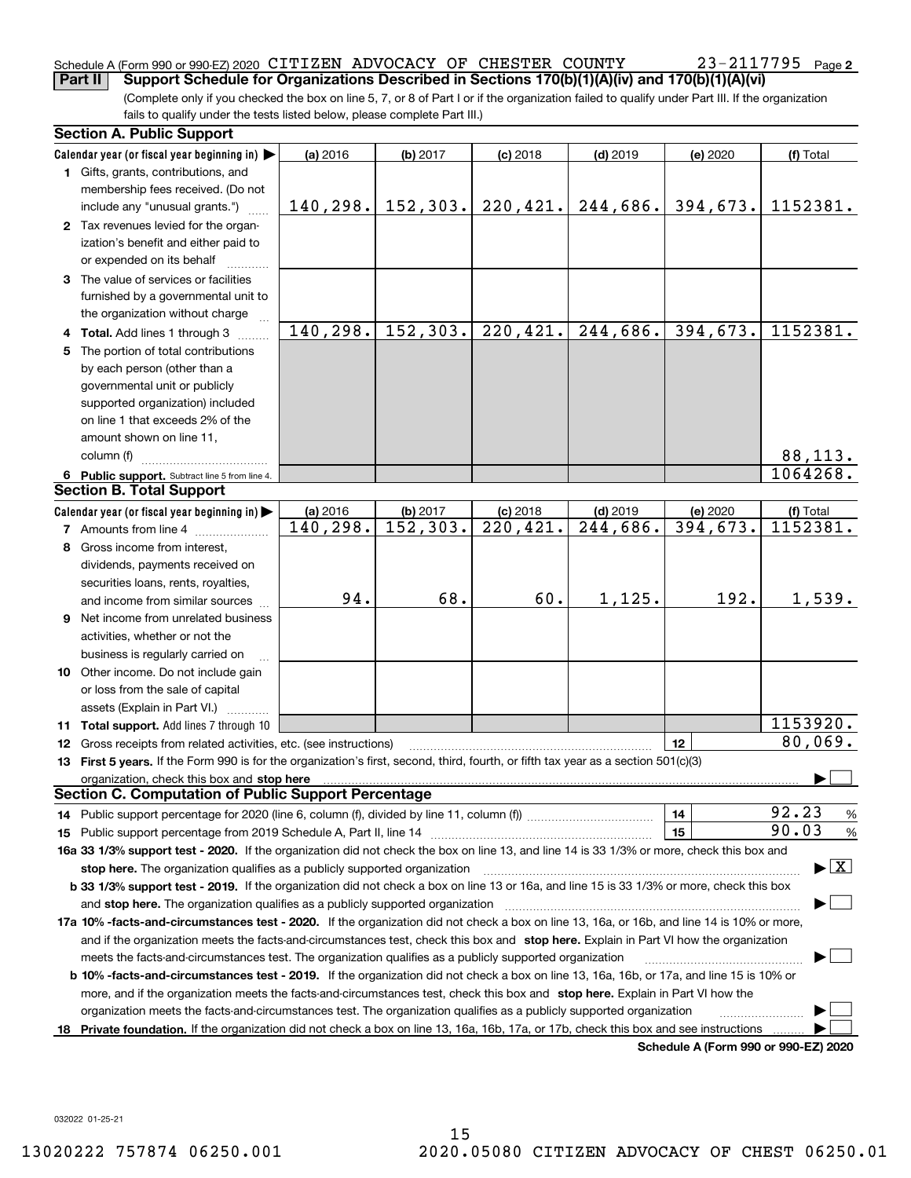#### Schedule A (Form 990 or 990-EZ) 2020 <code>CITIZEN ADVOCACY OF CHESTER COUNTY</code>  $23-2117795$  <code>Page</code> **Part II Support Schedule for Organizations Described in Sections 170(b)(1)(A)(iv) and 170(b)(1)(A)(vi)**

(Complete only if you checked the box on line 5, 7, or 8 of Part I or if the organization failed to qualify under Part III. If the organization fails to qualify under the tests listed below, please complete Part III.)

|    | <b>Section A. Public Support</b>                                                                                                                                                                                               |            |           |                         |            |                                      |                                          |  |  |
|----|--------------------------------------------------------------------------------------------------------------------------------------------------------------------------------------------------------------------------------|------------|-----------|-------------------------|------------|--------------------------------------|------------------------------------------|--|--|
|    | Calendar year (or fiscal year beginning in) $\blacktriangleright$                                                                                                                                                              | (a) 2016   | (b) 2017  | $(c)$ 2018              | $(d)$ 2019 | (e) 2020                             | (f) Total                                |  |  |
|    | 1 Gifts, grants, contributions, and                                                                                                                                                                                            |            |           |                         |            |                                      |                                          |  |  |
|    | membership fees received. (Do not                                                                                                                                                                                              |            |           |                         |            |                                      |                                          |  |  |
|    | include any "unusual grants.")                                                                                                                                                                                                 | 140, 298.  | 152, 303. | 220, 421.               | 244,686.   | 394,673.                             | 1152381.                                 |  |  |
|    | 2 Tax revenues levied for the organ-                                                                                                                                                                                           |            |           |                         |            |                                      |                                          |  |  |
|    | ization's benefit and either paid to                                                                                                                                                                                           |            |           |                         |            |                                      |                                          |  |  |
|    | or expended on its behalf                                                                                                                                                                                                      |            |           |                         |            |                                      |                                          |  |  |
|    | 3 The value of services or facilities                                                                                                                                                                                          |            |           |                         |            |                                      |                                          |  |  |
|    | furnished by a governmental unit to                                                                                                                                                                                            |            |           |                         |            |                                      |                                          |  |  |
|    | the organization without charge                                                                                                                                                                                                |            |           |                         |            |                                      |                                          |  |  |
|    | 4 Total. Add lines 1 through 3                                                                                                                                                                                                 | 140,298.   | 152, 303. | $\overline{220, 421}$ . | 244,686.   | 394, 673.                            | 1152381.                                 |  |  |
|    | 5 The portion of total contributions                                                                                                                                                                                           |            |           |                         |            |                                      |                                          |  |  |
|    | by each person (other than a                                                                                                                                                                                                   |            |           |                         |            |                                      |                                          |  |  |
|    | governmental unit or publicly                                                                                                                                                                                                  |            |           |                         |            |                                      |                                          |  |  |
|    | supported organization) included                                                                                                                                                                                               |            |           |                         |            |                                      |                                          |  |  |
|    | on line 1 that exceeds 2% of the                                                                                                                                                                                               |            |           |                         |            |                                      |                                          |  |  |
|    | amount shown on line 11,                                                                                                                                                                                                       |            |           |                         |            |                                      |                                          |  |  |
|    | column (f)                                                                                                                                                                                                                     |            |           |                         |            |                                      | 88,113.                                  |  |  |
|    | 6 Public support. Subtract line 5 from line 4.                                                                                                                                                                                 |            |           |                         |            |                                      | 1064268.                                 |  |  |
|    | <b>Section B. Total Support</b>                                                                                                                                                                                                |            |           |                         |            |                                      |                                          |  |  |
|    | Calendar year (or fiscal year beginning in) $\blacktriangleright$                                                                                                                                                              | $(a)$ 2016 | (b) 2017  | $(c)$ 2018              | $(d)$ 2019 | (e) 2020                             | (f) Total                                |  |  |
|    | <b>7</b> Amounts from line 4                                                                                                                                                                                                   | 140, 298.  | 152,303.  | $\overline{220}$ , 421. | 244,686.   | 394, 673.                            | 1152381.                                 |  |  |
|    | 8 Gross income from interest,                                                                                                                                                                                                  |            |           |                         |            |                                      |                                          |  |  |
|    | dividends, payments received on                                                                                                                                                                                                |            |           |                         |            |                                      |                                          |  |  |
|    | securities loans, rents, royalties,                                                                                                                                                                                            |            |           |                         |            |                                      |                                          |  |  |
|    | and income from similar sources                                                                                                                                                                                                | 94.        | 68.       | 60.                     | 1,125.     | 192.                                 | 1,539.                                   |  |  |
|    | <b>9</b> Net income from unrelated business                                                                                                                                                                                    |            |           |                         |            |                                      |                                          |  |  |
|    | activities, whether or not the                                                                                                                                                                                                 |            |           |                         |            |                                      |                                          |  |  |
|    | business is regularly carried on                                                                                                                                                                                               |            |           |                         |            |                                      |                                          |  |  |
|    | 10 Other income. Do not include gain                                                                                                                                                                                           |            |           |                         |            |                                      |                                          |  |  |
|    | or loss from the sale of capital                                                                                                                                                                                               |            |           |                         |            |                                      |                                          |  |  |
|    | assets (Explain in Part VI.)                                                                                                                                                                                                   |            |           |                         |            |                                      |                                          |  |  |
|    | 11 Total support. Add lines 7 through 10                                                                                                                                                                                       |            |           |                         |            |                                      | 1153920.                                 |  |  |
|    | 12 Gross receipts from related activities, etc. (see instructions)                                                                                                                                                             |            |           |                         |            | 12                                   | 80,069.                                  |  |  |
|    | 13 First 5 years. If the Form 990 is for the organization's first, second, third, fourth, or fifth tax year as a section 501(c)(3)                                                                                             |            |           |                         |            |                                      |                                          |  |  |
|    | organization, check this box and stop here manufactured and stop here are all the contractions of the state of the state of the contraction of the contract of the contract of the contract of the contract of the contract of |            |           |                         |            |                                      |                                          |  |  |
|    | <b>Section C. Computation of Public Support Percentage</b>                                                                                                                                                                     |            |           |                         |            |                                      |                                          |  |  |
|    |                                                                                                                                                                                                                                |            |           |                         |            | 14                                   | 92.23<br>%                               |  |  |
|    |                                                                                                                                                                                                                                |            |           |                         |            | 15                                   | 90.03<br>$\%$                            |  |  |
|    | 16a 33 1/3% support test - 2020. If the organization did not check the box on line 13, and line 14 is 33 1/3% or more, check this box and                                                                                      |            |           |                         |            |                                      |                                          |  |  |
|    | stop here. The organization qualifies as a publicly supported organization                                                                                                                                                     |            |           |                         |            |                                      | $\blacktriangleright$ $\boxed{\text{X}}$ |  |  |
|    | b 33 1/3% support test - 2019. If the organization did not check a box on line 13 or 16a, and line 15 is 33 1/3% or more, check this box                                                                                       |            |           |                         |            |                                      |                                          |  |  |
|    | and stop here. The organization qualifies as a publicly supported organization                                                                                                                                                 |            |           |                         |            |                                      |                                          |  |  |
|    | 17a 10% -facts-and-circumstances test - 2020. If the organization did not check a box on line 13, 16a, or 16b, and line 14 is 10% or more,                                                                                     |            |           |                         |            |                                      |                                          |  |  |
|    | and if the organization meets the facts-and-circumstances test, check this box and stop here. Explain in Part VI how the organization                                                                                          |            |           |                         |            |                                      |                                          |  |  |
|    | meets the facts-and-circumstances test. The organization qualifies as a publicly supported organization                                                                                                                        |            |           |                         |            |                                      |                                          |  |  |
|    | <b>b 10% -facts-and-circumstances test - 2019.</b> If the organization did not check a box on line 13, 16a, 16b, or 17a, and line 15 is 10% or                                                                                 |            |           |                         |            |                                      |                                          |  |  |
|    | more, and if the organization meets the facts-and-circumstances test, check this box and stop here. Explain in Part VI how the                                                                                                 |            |           |                         |            |                                      |                                          |  |  |
|    | organization meets the facts-and-circumstances test. The organization qualifies as a publicly supported organization                                                                                                           |            |           |                         |            |                                      |                                          |  |  |
| 18 | Private foundation. If the organization did not check a box on line 13, 16a, 16b, 17a, or 17b, check this box and see instructions                                                                                             |            |           |                         |            |                                      |                                          |  |  |
|    |                                                                                                                                                                                                                                |            |           |                         |            | Schedule A (Form 990 or 990-F7) 2020 |                                          |  |  |

**Schedule A (Form 990 or 990-EZ) 2020**

032022 01-25-21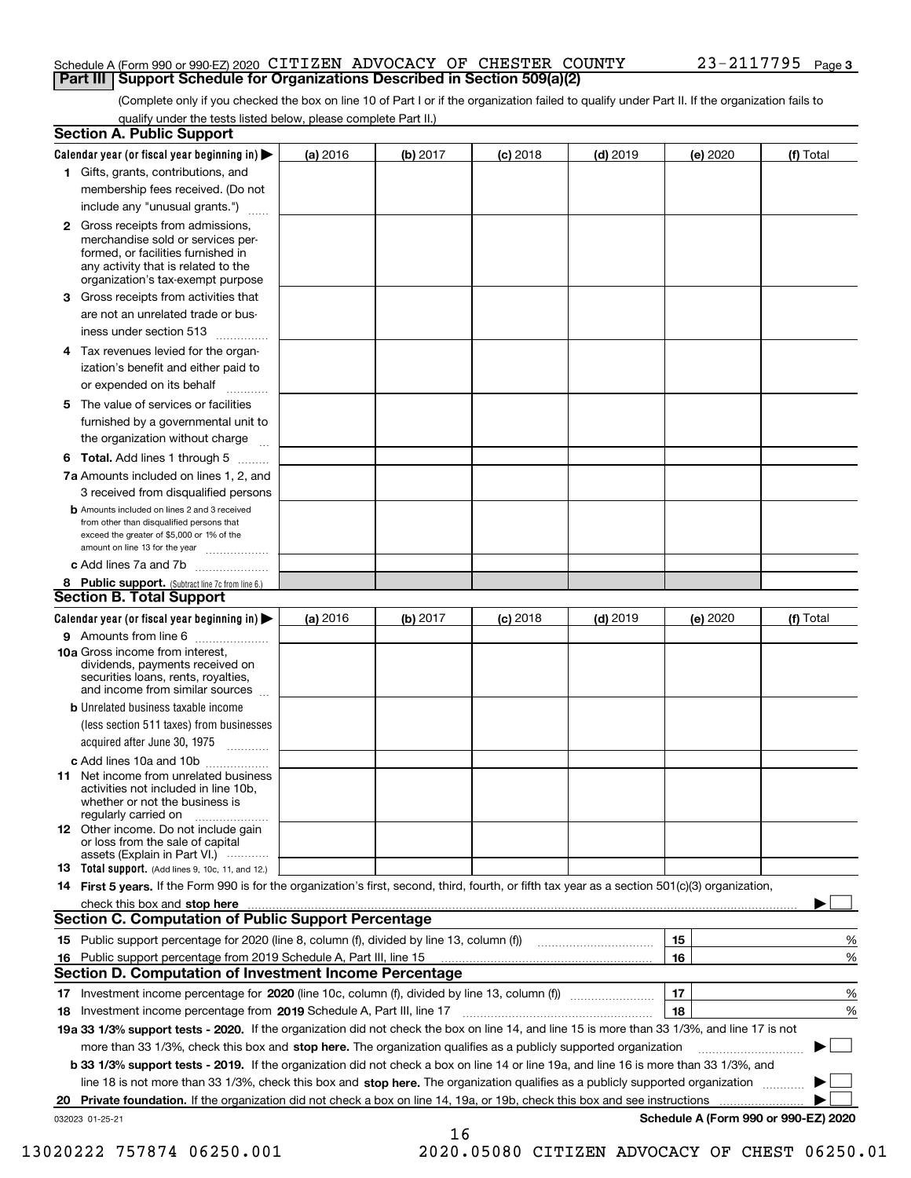#### Schedule A (Form 990 or 990-EZ) 2020 <code>CITIZEN ADVOCACY OF CHESTER COUNTY</code>  $23-2117795$  <code>Page</code> **Part III Support Schedule for Organizations Described in Section 509(a)(2)**

(Complete only if you checked the box on line 10 of Part I or if the organization failed to qualify under Part II. If the organization fails to qualify under the tests listed below, please complete Part II.)

| <b>Section A. Public Support</b>                                                                                                                                                                                               |          |          |            |            |          |                                      |
|--------------------------------------------------------------------------------------------------------------------------------------------------------------------------------------------------------------------------------|----------|----------|------------|------------|----------|--------------------------------------|
| Calendar year (or fiscal year beginning in) $\blacktriangleright$                                                                                                                                                              | (a) 2016 | (b) 2017 | $(c)$ 2018 | $(d)$ 2019 | (e) 2020 | (f) Total                            |
| 1 Gifts, grants, contributions, and                                                                                                                                                                                            |          |          |            |            |          |                                      |
| membership fees received. (Do not                                                                                                                                                                                              |          |          |            |            |          |                                      |
| include any "unusual grants.")                                                                                                                                                                                                 |          |          |            |            |          |                                      |
| 2 Gross receipts from admissions,<br>merchandise sold or services per-<br>formed, or facilities furnished in<br>any activity that is related to the<br>organization's tax-exempt purpose                                       |          |          |            |            |          |                                      |
| 3 Gross receipts from activities that<br>are not an unrelated trade or bus-                                                                                                                                                    |          |          |            |            |          |                                      |
| iness under section 513                                                                                                                                                                                                        |          |          |            |            |          |                                      |
| 4 Tax revenues levied for the organ-<br>ization's benefit and either paid to<br>or expended on its behalf                                                                                                                      |          |          |            |            |          |                                      |
| .<br>5 The value of services or facilities<br>furnished by a governmental unit to                                                                                                                                              |          |          |            |            |          |                                      |
| the organization without charge                                                                                                                                                                                                |          |          |            |            |          |                                      |
| <b>6 Total.</b> Add lines 1 through 5                                                                                                                                                                                          |          |          |            |            |          |                                      |
| 7a Amounts included on lines 1, 2, and<br>3 received from disqualified persons                                                                                                                                                 |          |          |            |            |          |                                      |
| <b>b</b> Amounts included on lines 2 and 3 received<br>from other than disqualified persons that<br>exceed the greater of \$5,000 or 1% of the<br>amount on line 13 for the year                                               |          |          |            |            |          |                                      |
| c Add lines 7a and 7b                                                                                                                                                                                                          |          |          |            |            |          |                                      |
| 8 Public support. (Subtract line 7c from line 6.)<br><b>Section B. Total Support</b>                                                                                                                                           |          |          |            |            |          |                                      |
| Calendar year (or fiscal year beginning in)                                                                                                                                                                                    | (a) 2016 | (b) 2017 | $(c)$ 2018 | $(d)$ 2019 | (e) 2020 | (f) Total                            |
| 9 Amounts from line 6                                                                                                                                                                                                          |          |          |            |            |          |                                      |
| 10a Gross income from interest,<br>dividends, payments received on<br>securities loans, rents, royalties,<br>and income from similar sources                                                                                   |          |          |            |            |          |                                      |
| <b>b</b> Unrelated business taxable income<br>(less section 511 taxes) from businesses<br>acquired after June 30, 1975                                                                                                         |          |          |            |            |          |                                      |
| c Add lines 10a and 10b                                                                                                                                                                                                        |          |          |            |            |          |                                      |
| <b>11</b> Net income from unrelated business<br>activities not included in line 10b,<br>whether or not the business is<br>regularly carried on                                                                                 |          |          |            |            |          |                                      |
| <b>12</b> Other income. Do not include gain<br>or loss from the sale of capital<br>assets (Explain in Part VI.)                                                                                                                |          |          |            |            |          |                                      |
| <b>13 Total support.</b> (Add lines 9, 10c, 11, and 12.)                                                                                                                                                                       |          |          |            |            |          |                                      |
| 14 First 5 years. If the Form 990 is for the organization's first, second, third, fourth, or fifth tax year as a section 501(c)(3) organization,                                                                               |          |          |            |            |          |                                      |
| check this box and stop here measurements and contact the contract of the contract of the contract of the contract of the contract of the contract of the contract of the contract of the contract of the contract of the cont |          |          |            |            |          |                                      |
| <b>Section C. Computation of Public Support Percentage</b>                                                                                                                                                                     |          |          |            |            |          |                                      |
|                                                                                                                                                                                                                                |          |          |            |            | 15       | %                                    |
| 16 Public support percentage from 2019 Schedule A, Part III, line 15                                                                                                                                                           |          |          |            |            | 16       | %                                    |
| <b>Section D. Computation of Investment Income Percentage</b>                                                                                                                                                                  |          |          |            |            |          |                                      |
| 17 Investment income percentage for 2020 (line 10c, column (f), divided by line 13, column (f))<br>18 Investment income percentage from 2019 Schedule A, Part III, line 17                                                     |          |          |            |            | 17<br>18 | %<br>%                               |
| 19a 33 1/3% support tests - 2020. If the organization did not check the box on line 14, and line 15 is more than 33 1/3%, and line 17 is not                                                                                   |          |          |            |            |          |                                      |
| more than 33 1/3%, check this box and stop here. The organization qualifies as a publicly supported organization                                                                                                               |          |          |            |            |          | ▶                                    |
| b 33 1/3% support tests - 2019. If the organization did not check a box on line 14 or line 19a, and line 16 is more than 33 1/3%, and                                                                                          |          |          |            |            |          |                                      |
| line 18 is not more than 33 1/3%, check this box and stop here. The organization qualifies as a publicly supported organization                                                                                                |          |          |            |            |          |                                      |
| 20 Private foundation. If the organization did not check a box on line 14, 19a, or 19b, check this box and see instructions                                                                                                    |          |          |            |            |          |                                      |
| 032023 01-25-21                                                                                                                                                                                                                |          |          |            |            |          | Schedule A (Form 990 or 990-EZ) 2020 |
|                                                                                                                                                                                                                                |          | 16       |            |            |          |                                      |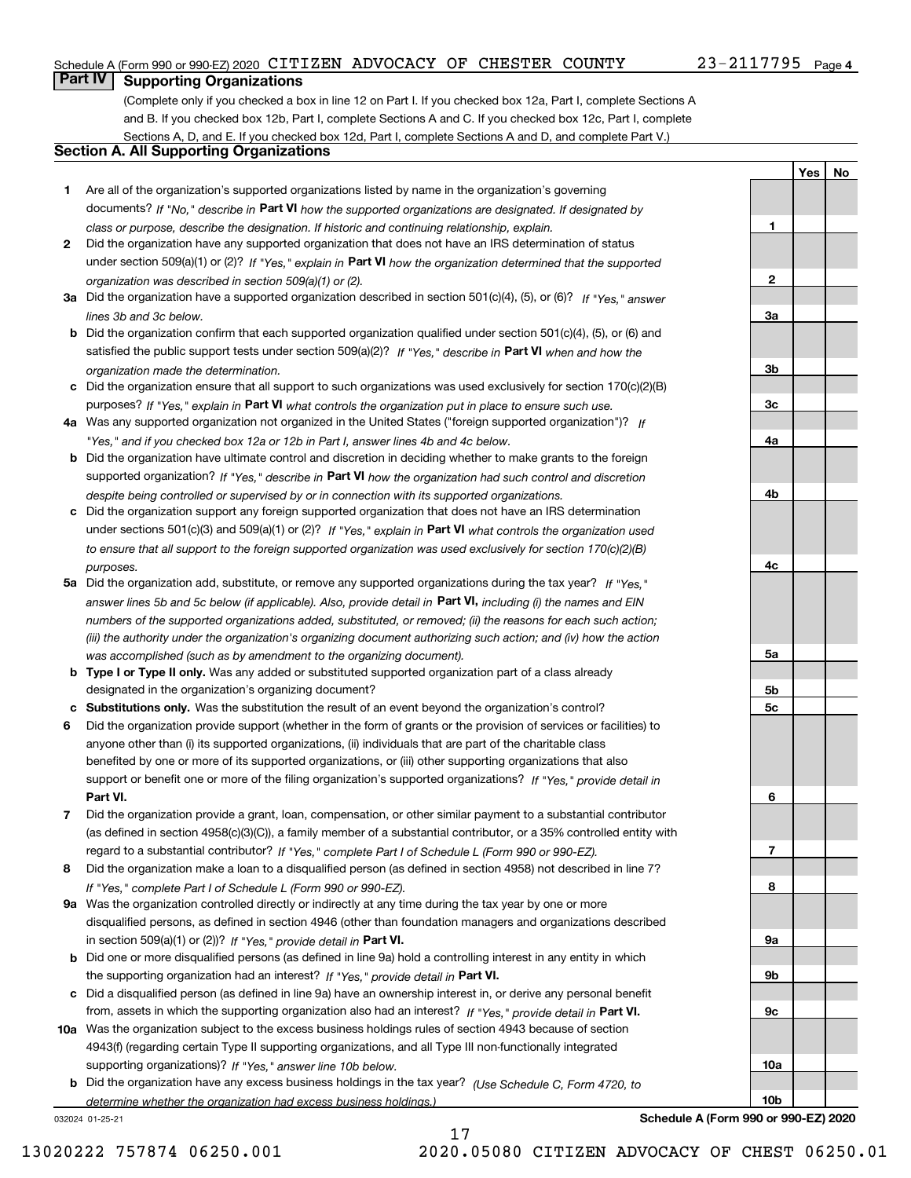#### Schedule A (Form 990 or 990-EZ) 2020 <code>CITIZEN ADVOCACY OF CHESTER COUNTY</code>  $23-2117795$  <code>Page</code>

## 23-2117795 Page 4

**1**

**2**

**3a**

**3b**

**3c**

**4a**

**4b**

**4c**

**5a**

**5b5c**

**6**

**7**

**8**

**9a**

**9b**

**9c**

**10a**

**10b**

**YesNo**

## **Part IV Supporting Organizations**

(Complete only if you checked a box in line 12 on Part I. If you checked box 12a, Part I, complete Sections A and B. If you checked box 12b, Part I, complete Sections A and C. If you checked box 12c, Part I, complete Sections A, D, and E. If you checked box 12d, Part I, complete Sections A and D, and complete Part V.)

## **Section A. All Supporting Organizations**

- **1** Are all of the organization's supported organizations listed by name in the organization's governing documents? If "No," describe in **Part VI** how the supported organizations are designated. If designated by *class or purpose, describe the designation. If historic and continuing relationship, explain.*
- **2** Did the organization have any supported organization that does not have an IRS determination of status under section 509(a)(1) or (2)? If "Yes," explain in Part VI how the organization determined that the supported *organization was described in section 509(a)(1) or (2).*
- **3a** Did the organization have a supported organization described in section 501(c)(4), (5), or (6)? If "Yes," answer *lines 3b and 3c below.*
- **b** Did the organization confirm that each supported organization qualified under section 501(c)(4), (5), or (6) and satisfied the public support tests under section 509(a)(2)? If "Yes," describe in **Part VI** when and how the *organization made the determination.*
- **c**Did the organization ensure that all support to such organizations was used exclusively for section 170(c)(2)(B) purposes? If "Yes," explain in **Part VI** what controls the organization put in place to ensure such use.
- **4a***If* Was any supported organization not organized in the United States ("foreign supported organization")? *"Yes," and if you checked box 12a or 12b in Part I, answer lines 4b and 4c below.*
- **b** Did the organization have ultimate control and discretion in deciding whether to make grants to the foreign supported organization? If "Yes," describe in **Part VI** how the organization had such control and discretion *despite being controlled or supervised by or in connection with its supported organizations.*
- **c** Did the organization support any foreign supported organization that does not have an IRS determination under sections 501(c)(3) and 509(a)(1) or (2)? If "Yes," explain in **Part VI** what controls the organization used *to ensure that all support to the foreign supported organization was used exclusively for section 170(c)(2)(B) purposes.*
- **5a** Did the organization add, substitute, or remove any supported organizations during the tax year? If "Yes," answer lines 5b and 5c below (if applicable). Also, provide detail in **Part VI,** including (i) the names and EIN *numbers of the supported organizations added, substituted, or removed; (ii) the reasons for each such action; (iii) the authority under the organization's organizing document authorizing such action; and (iv) how the action was accomplished (such as by amendment to the organizing document).*
- **b** Type I or Type II only. Was any added or substituted supported organization part of a class already designated in the organization's organizing document?
- **cSubstitutions only.**  Was the substitution the result of an event beyond the organization's control?
- **6** Did the organization provide support (whether in the form of grants or the provision of services or facilities) to **Part VI.** *If "Yes," provide detail in* support or benefit one or more of the filing organization's supported organizations? anyone other than (i) its supported organizations, (ii) individuals that are part of the charitable class benefited by one or more of its supported organizations, or (iii) other supporting organizations that also
- **7**Did the organization provide a grant, loan, compensation, or other similar payment to a substantial contributor *If "Yes," complete Part I of Schedule L (Form 990 or 990-EZ).* regard to a substantial contributor? (as defined in section 4958(c)(3)(C)), a family member of a substantial contributor, or a 35% controlled entity with
- **8** Did the organization make a loan to a disqualified person (as defined in section 4958) not described in line 7? *If "Yes," complete Part I of Schedule L (Form 990 or 990-EZ).*
- **9a** Was the organization controlled directly or indirectly at any time during the tax year by one or more in section 509(a)(1) or (2))? If "Yes," *provide detail in* <code>Part VI.</code> disqualified persons, as defined in section 4946 (other than foundation managers and organizations described
- **b** Did one or more disqualified persons (as defined in line 9a) hold a controlling interest in any entity in which the supporting organization had an interest? If "Yes," provide detail in P**art VI**.
- **c**Did a disqualified person (as defined in line 9a) have an ownership interest in, or derive any personal benefit from, assets in which the supporting organization also had an interest? If "Yes," provide detail in P**art VI.**
- **10a** Was the organization subject to the excess business holdings rules of section 4943 because of section supporting organizations)? If "Yes," answer line 10b below. 4943(f) (regarding certain Type II supporting organizations, and all Type III non-functionally integrated
- **b** Did the organization have any excess business holdings in the tax year? (Use Schedule C, Form 4720, to *determine whether the organization had excess business holdings.)*

17

032024 01-25-21

**Schedule A (Form 990 or 990-EZ) 2020**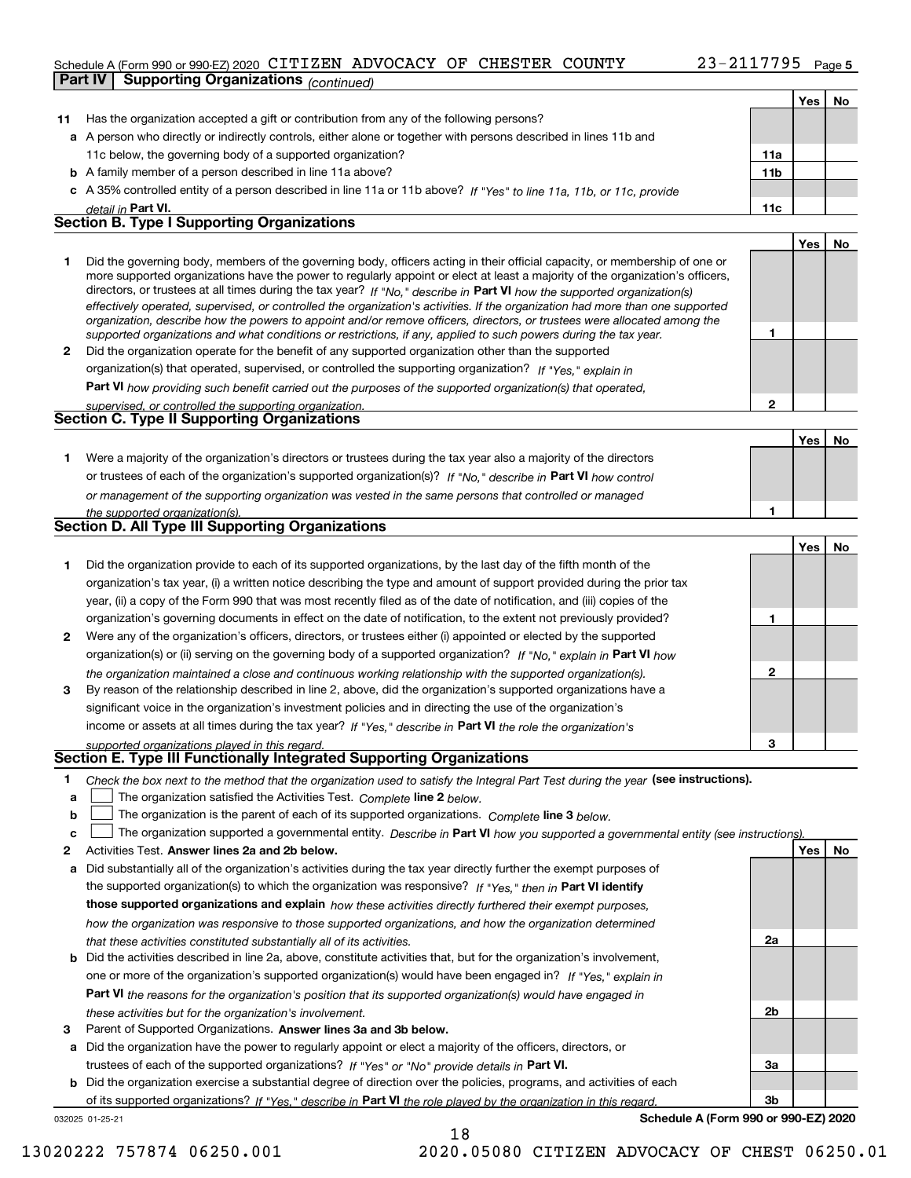#### Schedule A (Form 990 or 990-EZ) 2020 <code>CITIZEN ADVOCACY OF CHESTER COUNTY</code>  $23-2117795$  <code>Page</code> **Part IV Supporting Organizations** *(continued)*

**Yes No**

| 11 | Has the organization accepted a gift or contribution from any of the following persons?                                                                                                                                                                   |                 |     |    |
|----|-----------------------------------------------------------------------------------------------------------------------------------------------------------------------------------------------------------------------------------------------------------|-----------------|-----|----|
|    | a A person who directly or indirectly controls, either alone or together with persons described in lines 11b and                                                                                                                                          |                 |     |    |
|    | 11c below, the governing body of a supported organization?                                                                                                                                                                                                | 11a             |     |    |
|    | <b>b</b> A family member of a person described in line 11a above?                                                                                                                                                                                         | 11 <sub>b</sub> |     |    |
|    | c A 35% controlled entity of a person described in line 11a or 11b above? If "Yes" to line 11a, 11b, or 11c, provide                                                                                                                                      |                 |     |    |
|    | detail in Part VI.                                                                                                                                                                                                                                        | 11c             |     |    |
|    | <b>Section B. Type I Supporting Organizations</b>                                                                                                                                                                                                         |                 |     |    |
|    |                                                                                                                                                                                                                                                           |                 | Yes | No |
| 1  | Did the governing body, members of the governing body, officers acting in their official capacity, or membership of one or                                                                                                                                |                 |     |    |
|    | more supported organizations have the power to regularly appoint or elect at least a majority of the organization's officers,                                                                                                                             |                 |     |    |
|    | directors, or trustees at all times during the tax year? If "No," describe in Part VI how the supported organization(s)<br>effectively operated, supervised, or controlled the organization's activities. If the organization had more than one supported |                 |     |    |
|    | organization, describe how the powers to appoint and/or remove officers, directors, or trustees were allocated among the                                                                                                                                  |                 |     |    |
|    | supported organizations and what conditions or restrictions, if any, applied to such powers during the tax year.                                                                                                                                          | 1               |     |    |
| 2  | Did the organization operate for the benefit of any supported organization other than the supported                                                                                                                                                       |                 |     |    |
|    | organization(s) that operated, supervised, or controlled the supporting organization? If "Yes," explain in                                                                                                                                                |                 |     |    |
|    | Part VI how providing such benefit carried out the purposes of the supported organization(s) that operated,                                                                                                                                               |                 |     |    |
|    | supervised, or controlled the supporting organization.                                                                                                                                                                                                    | $\mathbf 2$     |     |    |
|    | <b>Section C. Type II Supporting Organizations</b>                                                                                                                                                                                                        |                 |     |    |
|    |                                                                                                                                                                                                                                                           |                 | Yes | No |
| 1  | Were a majority of the organization's directors or trustees during the tax year also a majority of the directors                                                                                                                                          |                 |     |    |
|    | or trustees of each of the organization's supported organization(s)? If "No," describe in Part VI how control                                                                                                                                             |                 |     |    |
|    | or management of the supporting organization was vested in the same persons that controlled or managed                                                                                                                                                    |                 |     |    |
|    | the supported organization(s).                                                                                                                                                                                                                            | 1               |     |    |
|    | <b>Section D. All Type III Supporting Organizations</b>                                                                                                                                                                                                   |                 |     |    |
|    |                                                                                                                                                                                                                                                           |                 | Yes | No |
| 1  | Did the organization provide to each of its supported organizations, by the last day of the fifth month of the                                                                                                                                            |                 |     |    |
|    | organization's tax year, (i) a written notice describing the type and amount of support provided during the prior tax                                                                                                                                     |                 |     |    |
|    | year, (ii) a copy of the Form 990 that was most recently filed as of the date of notification, and (iii) copies of the                                                                                                                                    |                 |     |    |
|    | organization's governing documents in effect on the date of notification, to the extent not previously provided?                                                                                                                                          | 1               |     |    |
| 2  | Were any of the organization's officers, directors, or trustees either (i) appointed or elected by the supported                                                                                                                                          |                 |     |    |
|    | organization(s) or (ii) serving on the governing body of a supported organization? If "No," explain in Part VI how                                                                                                                                        |                 |     |    |
|    | the organization maintained a close and continuous working relationship with the supported organization(s).                                                                                                                                               | 2               |     |    |
| 3  | By reason of the relationship described in line 2, above, did the organization's supported organizations have a                                                                                                                                           |                 |     |    |
|    | significant voice in the organization's investment policies and in directing the use of the organization's                                                                                                                                                |                 |     |    |
|    | income or assets at all times during the tax year? If "Yes," describe in Part VI the role the organization's                                                                                                                                              |                 |     |    |
|    | supported organizations played in this regard.<br>Section E. Type III Functionally Integrated Supporting Organizations                                                                                                                                    | з               |     |    |
|    |                                                                                                                                                                                                                                                           |                 |     |    |
|    | Check the box next to the method that the organization used to satisfy the Integral Part Test during the year (see instructions)                                                                                                                          |                 |     |    |
| а  | The organization satisfied the Activities Test. Complete line 2 below.                                                                                                                                                                                    |                 |     |    |
| b  | The organization is the parent of each of its supported organizations. Complete line 3 below.                                                                                                                                                             |                 |     |    |
| c  | The organization supported a governmental entity. Describe in Part VI how you supported a governmental entity (see instructions).<br>Activities Test. Answer lines 2a and 2b below.                                                                       |                 | Yes | No |
| 2  |                                                                                                                                                                                                                                                           |                 |     |    |
| a  | Did substantially all of the organization's activities during the tax year directly further the exempt purposes of                                                                                                                                        |                 |     |    |
|    | the supported organization(s) to which the organization was responsive? If "Yes," then in Part VI identify<br>those supported organizations and explain how these activities directly furthered their exempt purposes,                                    |                 |     |    |
|    |                                                                                                                                                                                                                                                           |                 |     |    |
|    | how the organization was responsive to those supported organizations, and how the organization determined                                                                                                                                                 | 2a              |     |    |
| b  | that these activities constituted substantially all of its activities.<br>Did the activities described in line 2a, above, constitute activities that, but for the organization's involvement,                                                             |                 |     |    |
|    | one or more of the organization's supported organization(s) would have been engaged in? If "Yes," explain in                                                                                                                                              |                 |     |    |
|    | <b>Part VI</b> the reasons for the organization's position that its supported organization(s) would have engaged in                                                                                                                                       |                 |     |    |
|    | these activities but for the organization's involvement.                                                                                                                                                                                                  | 2 <sub>b</sub>  |     |    |
| з  | Parent of Supported Organizations. Answer lines 3a and 3b below.                                                                                                                                                                                          |                 |     |    |
| а  | Did the organization have the power to regularly appoint or elect a majority of the officers, directors, or                                                                                                                                               |                 |     |    |
|    | trustees of each of the supported organizations? If "Yes" or "No" provide details in Part VI.                                                                                                                                                             | За              |     |    |
| b  | Did the organization exercise a substantial degree of direction over the policies, programs, and activities of each                                                                                                                                       |                 |     |    |
|    | of its supported organizations? If "Yes." describe in Part VI the role played by the organization in this regard.                                                                                                                                         | 3b              |     |    |

18

032025 01-25-21

**Schedule A (Form 990 or 990-EZ) 2020**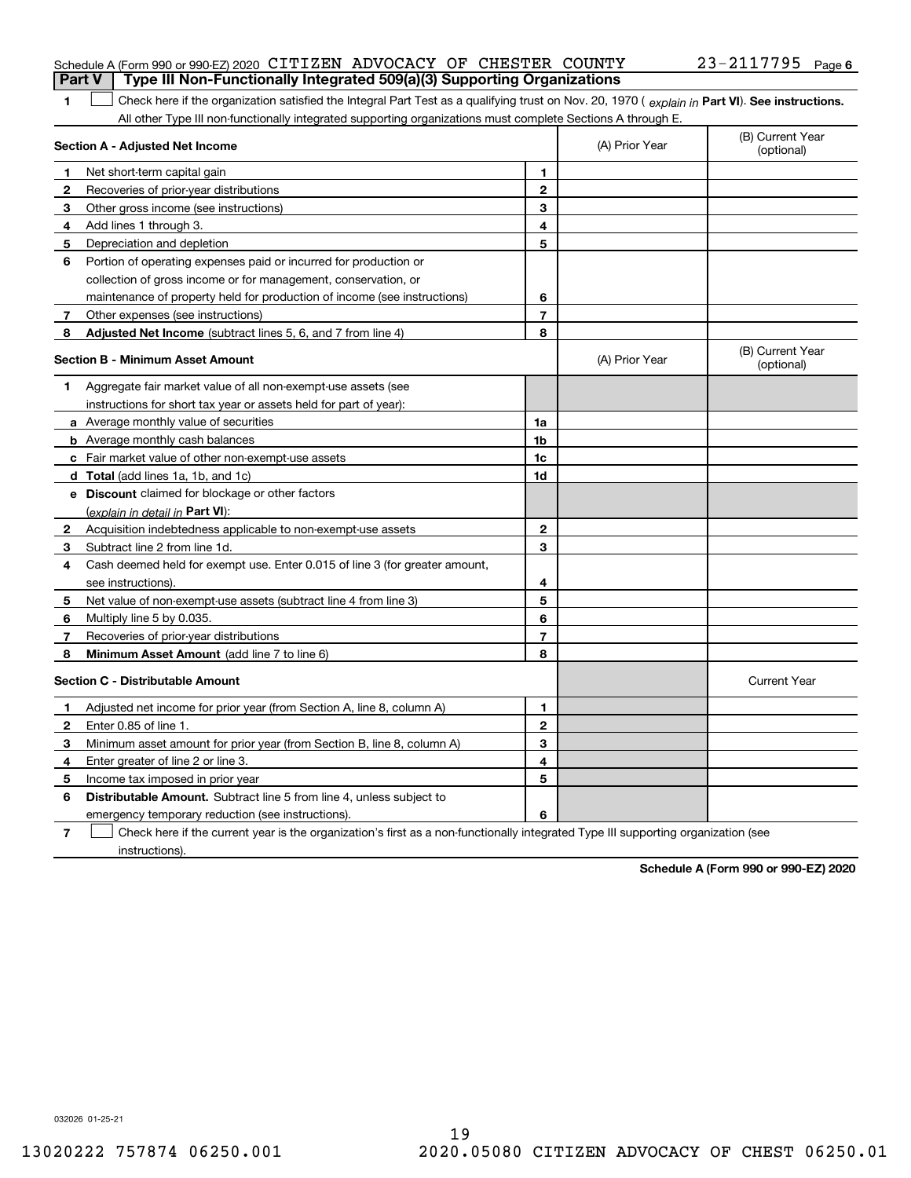|  | Schedule A (Form 990 or 990-EZ) 2020 CITIZEN ADVOCACY OF CHESTER COUNTY               |  |  | $23 - 2117795$ Page 6 |  |
|--|---------------------------------------------------------------------------------------|--|--|-----------------------|--|
|  | <b>Part V</b> Type III Non-Functionally Integrated 509(a)(3) Supporting Organizations |  |  |                       |  |

1 Check here if the organization satisfied the Integral Part Test as a qualifying trust on Nov. 20, 1970 (explain in Part VI). See instructions. All other Type III non-functionally integrated supporting organizations must complete Sections A through E.

|   | Section A - Adjusted Net Income                                                                                                   | (A) Prior Year | (B) Current Year<br>(optional) |                                |
|---|-----------------------------------------------------------------------------------------------------------------------------------|----------------|--------------------------------|--------------------------------|
| 1 | Net short-term capital gain                                                                                                       | 1              |                                |                                |
| 2 | Recoveries of prior-year distributions                                                                                            | $\overline{2}$ |                                |                                |
| 3 | Other gross income (see instructions)                                                                                             | 3              |                                |                                |
| 4 | Add lines 1 through 3.                                                                                                            | 4              |                                |                                |
| 5 | Depreciation and depletion                                                                                                        | 5              |                                |                                |
| 6 | Portion of operating expenses paid or incurred for production or                                                                  |                |                                |                                |
|   | collection of gross income or for management, conservation, or                                                                    |                |                                |                                |
|   | maintenance of property held for production of income (see instructions)                                                          | 6              |                                |                                |
| 7 | Other expenses (see instructions)                                                                                                 | $\overline{7}$ |                                |                                |
| 8 | Adjusted Net Income (subtract lines 5, 6, and 7 from line 4)                                                                      | 8              |                                |                                |
|   | <b>Section B - Minimum Asset Amount</b>                                                                                           |                | (A) Prior Year                 | (B) Current Year<br>(optional) |
| 1 | Aggregate fair market value of all non-exempt-use assets (see                                                                     |                |                                |                                |
|   | instructions for short tax year or assets held for part of year):                                                                 |                |                                |                                |
|   | a Average monthly value of securities                                                                                             | 1a             |                                |                                |
|   | <b>b</b> Average monthly cash balances                                                                                            | 1b             |                                |                                |
|   | c Fair market value of other non-exempt-use assets                                                                                | 1c             |                                |                                |
|   | d Total (add lines 1a, 1b, and 1c)                                                                                                | 1d             |                                |                                |
|   | e Discount claimed for blockage or other factors                                                                                  |                |                                |                                |
|   | (explain in detail in Part VI):                                                                                                   |                |                                |                                |
| 2 | Acquisition indebtedness applicable to non-exempt-use assets                                                                      | $\mathbf{2}$   |                                |                                |
| 3 | Subtract line 2 from line 1d.                                                                                                     | 3              |                                |                                |
| 4 | Cash deemed held for exempt use. Enter 0.015 of line 3 (for greater amount,                                                       |                |                                |                                |
|   | see instructions)                                                                                                                 | 4              |                                |                                |
| 5 | Net value of non-exempt-use assets (subtract line 4 from line 3)                                                                  | 5              |                                |                                |
| 6 | Multiply line 5 by 0.035.                                                                                                         | 6              |                                |                                |
| 7 | Recoveries of prior-year distributions                                                                                            | 7              |                                |                                |
| 8 | <b>Minimum Asset Amount</b> (add line 7 to line 6)                                                                                | 8              |                                |                                |
|   | <b>Section C - Distributable Amount</b>                                                                                           |                |                                | <b>Current Year</b>            |
| 1 | Adjusted net income for prior year (from Section A, line 8, column A)                                                             | 1              |                                |                                |
| 2 | Enter 0.85 of line 1.                                                                                                             | $\overline{2}$ |                                |                                |
| 3 | Minimum asset amount for prior year (from Section B, line 8, column A)                                                            | 3              |                                |                                |
| 4 | Enter greater of line 2 or line 3.                                                                                                | 4              |                                |                                |
| 5 | Income tax imposed in prior year                                                                                                  | 5              |                                |                                |
| 6 | <b>Distributable Amount.</b> Subtract line 5 from line 4, unless subject to                                                       |                |                                |                                |
|   | emergency temporary reduction (see instructions).                                                                                 | 6              |                                |                                |
| 7 | Check here if the current year is the organization's first as a non-functionally integrated Type III supporting organization (see |                |                                |                                |

instructions).

**1**

**Schedule A (Form 990 or 990-EZ) 2020**

032026 01-25-21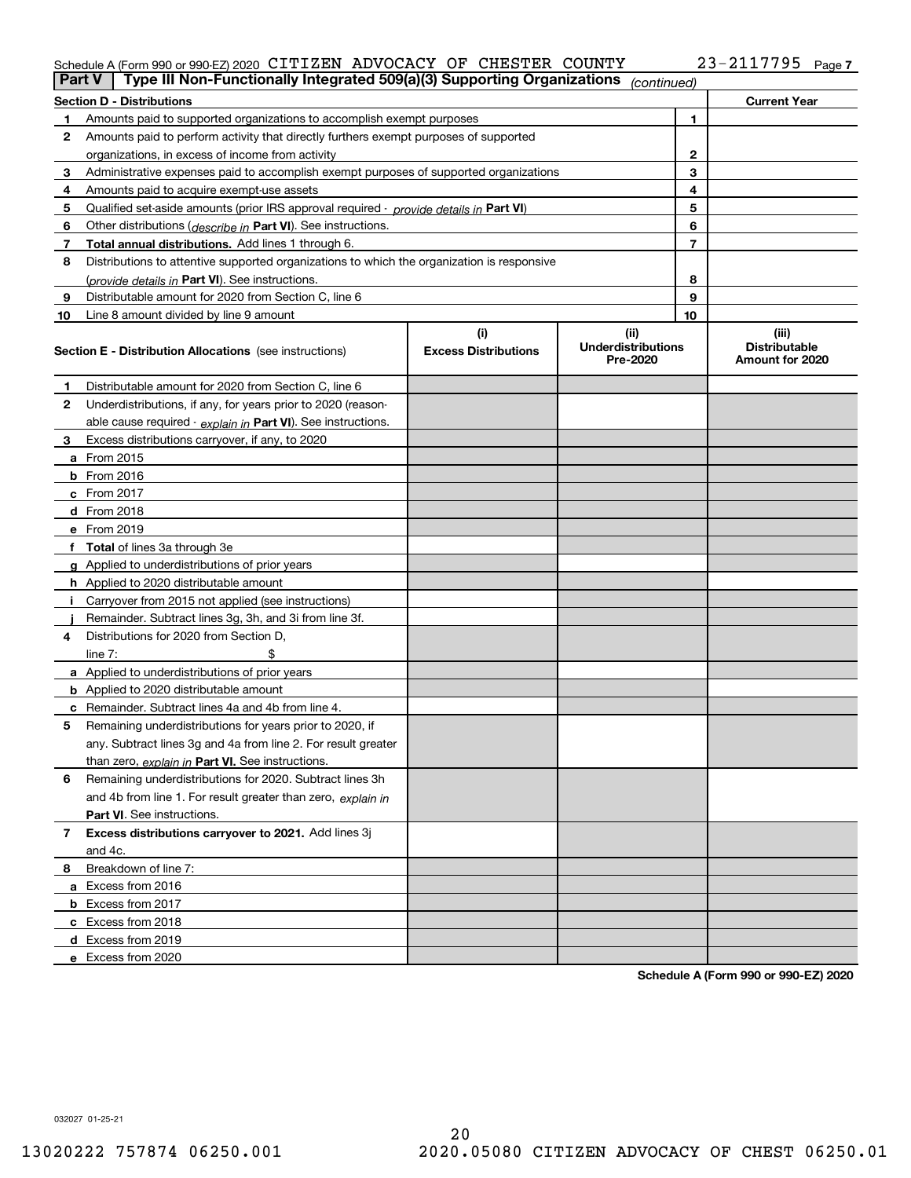#### Schedule A (Form 990 or 990-EZ) 2020 <code>ClTIZEN ADVOCACY OF CHESTER COUNTY</code>  $\qquad \qquad \qquad$   $23-2117795$  <code>Page</code> CITIZEN ADVOCACY OF CHESTER COUNTY 23-2117795

| <b>Part V</b>  | Type III Non-Functionally Integrated 509(a)(3) Supporting Organizations                    |                             | (continued)                           |              |                                         |
|----------------|--------------------------------------------------------------------------------------------|-----------------------------|---------------------------------------|--------------|-----------------------------------------|
|                | <b>Section D - Distributions</b>                                                           |                             |                                       |              | <b>Current Year</b>                     |
| 1.             | Amounts paid to supported organizations to accomplish exempt purposes                      |                             |                                       | 1            |                                         |
| 2              | Amounts paid to perform activity that directly furthers exempt purposes of supported       |                             |                                       |              |                                         |
|                | organizations, in excess of income from activity                                           |                             |                                       | $\mathbf{2}$ |                                         |
| 3              | Administrative expenses paid to accomplish exempt purposes of supported organizations      |                             |                                       | 3            |                                         |
| 4              | Amounts paid to acquire exempt-use assets                                                  |                             |                                       | 4            |                                         |
| 5              | Qualified set-aside amounts (prior IRS approval required - provide details in Part VI)     |                             |                                       | 5            |                                         |
| 6              | Other distributions ( <i>describe in</i> Part VI). See instructions.                       |                             |                                       | 6            |                                         |
| 7              | Total annual distributions. Add lines 1 through 6.                                         |                             |                                       | 7            |                                         |
| 8              | Distributions to attentive supported organizations to which the organization is responsive |                             |                                       |              |                                         |
|                | (provide details in Part VI). See instructions.                                            |                             |                                       | 8            |                                         |
| 9              | Distributable amount for 2020 from Section C, line 6                                       |                             |                                       | 9            |                                         |
| 10             | Line 8 amount divided by line 9 amount                                                     |                             |                                       | 10           |                                         |
|                |                                                                                            | (i)                         | (ii)                                  |              | (iii)                                   |
|                | <b>Section E - Distribution Allocations</b> (see instructions)                             | <b>Excess Distributions</b> | <b>Underdistributions</b><br>Pre-2020 |              | <b>Distributable</b><br>Amount for 2020 |
| 1              | Distributable amount for 2020 from Section C, line 6                                       |                             |                                       |              |                                         |
| 2              | Underdistributions, if any, for years prior to 2020 (reason-                               |                             |                                       |              |                                         |
|                | able cause required - explain in Part VI). See instructions.                               |                             |                                       |              |                                         |
| 3              | Excess distributions carryover, if any, to 2020                                            |                             |                                       |              |                                         |
|                | a From 2015                                                                                |                             |                                       |              |                                         |
|                | <b>b</b> From 2016                                                                         |                             |                                       |              |                                         |
|                | $c$ From 2017                                                                              |                             |                                       |              |                                         |
|                | d From 2018                                                                                |                             |                                       |              |                                         |
|                | e From 2019                                                                                |                             |                                       |              |                                         |
|                | f Total of lines 3a through 3e                                                             |                             |                                       |              |                                         |
|                | g Applied to underdistributions of prior years                                             |                             |                                       |              |                                         |
|                | <b>h</b> Applied to 2020 distributable amount                                              |                             |                                       |              |                                         |
|                | Carryover from 2015 not applied (see instructions)                                         |                             |                                       |              |                                         |
|                | Remainder. Subtract lines 3g, 3h, and 3i from line 3f.                                     |                             |                                       |              |                                         |
| 4              | Distributions for 2020 from Section D,                                                     |                             |                                       |              |                                         |
|                | line $7:$                                                                                  |                             |                                       |              |                                         |
|                | a Applied to underdistributions of prior years                                             |                             |                                       |              |                                         |
|                | <b>b</b> Applied to 2020 distributable amount                                              |                             |                                       |              |                                         |
|                | c Remainder. Subtract lines 4a and 4b from line 4.                                         |                             |                                       |              |                                         |
| 5              | Remaining underdistributions for years prior to 2020, if                                   |                             |                                       |              |                                         |
|                | any. Subtract lines 3g and 4a from line 2. For result greater                              |                             |                                       |              |                                         |
|                | than zero, explain in Part VI. See instructions.                                           |                             |                                       |              |                                         |
| 6              | Remaining underdistributions for 2020. Subtract lines 3h                                   |                             |                                       |              |                                         |
|                | and 4b from line 1. For result greater than zero, explain in                               |                             |                                       |              |                                         |
|                | Part VI. See instructions.                                                                 |                             |                                       |              |                                         |
| $\overline{7}$ | Excess distributions carryover to 2021. Add lines 3j                                       |                             |                                       |              |                                         |
|                | and 4c.                                                                                    |                             |                                       |              |                                         |
| 8              | Breakdown of line 7:                                                                       |                             |                                       |              |                                         |
|                | a Excess from 2016                                                                         |                             |                                       |              |                                         |
|                | <b>b</b> Excess from 2017                                                                  |                             |                                       |              |                                         |
|                | c Excess from 2018                                                                         |                             |                                       |              |                                         |
|                | d Excess from 2019                                                                         |                             |                                       |              |                                         |
|                | e Excess from 2020                                                                         |                             |                                       |              |                                         |

**Schedule A (Form 990 or 990-EZ) 2020**

032027 01-25-21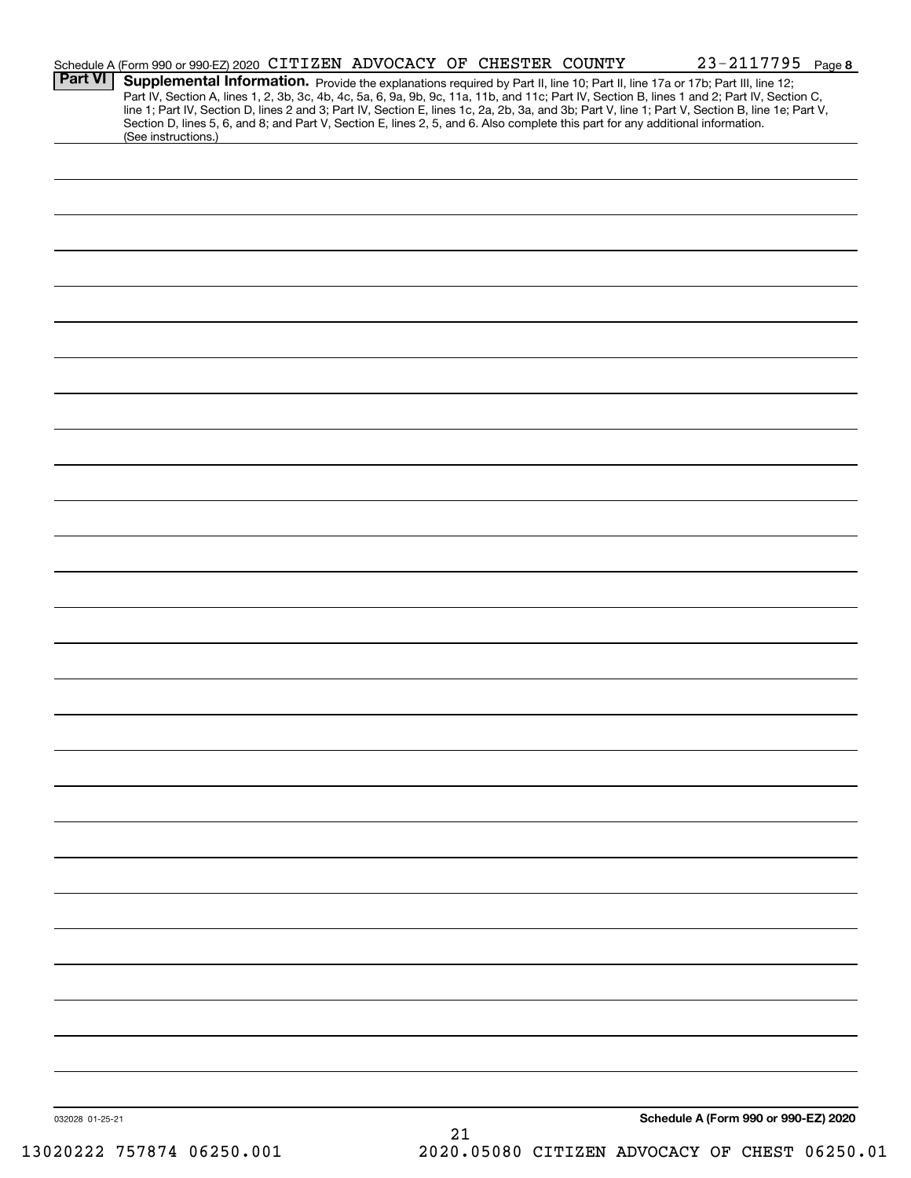|                 | Schedule A (Form 990 or 990-EZ) 2020 CITIZEN ADVOCACY OF CHESTER COUNTY                                                         |  |    | $23 - 2117795$ Page 8                                                                                                                                                                                                                                                                            |  |
|-----------------|---------------------------------------------------------------------------------------------------------------------------------|--|----|--------------------------------------------------------------------------------------------------------------------------------------------------------------------------------------------------------------------------------------------------------------------------------------------------|--|
| <b>Part VI</b>  |                                                                                                                                 |  |    | Supplemental Information. Provide the explanations required by Part II, line 10; Part II, line 17a or 17b; Part III, line 12;                                                                                                                                                                    |  |
|                 |                                                                                                                                 |  |    | Part IV, Section A, lines 1, 2, 3b, 3c, 4b, 4c, 5a, 6, 9a, 9b, 9c, 11a, 11b, and 11c; Part IV, Section B, lines 1 and 2; Part IV, Section C,<br>line 1; Part IV, Section D, lines 2 and 3; Part IV, Section E, lines 1c, 2a, 2b, 3a, and 3b; Part V, line 1; Part V, Section B, line 1e; Part V, |  |
|                 | Section D, lines 5, 6, and 8; and Part V, Section E, lines 2, 5, and 6. Also complete this part for any additional information. |  |    |                                                                                                                                                                                                                                                                                                  |  |
|                 | (See instructions.)                                                                                                             |  |    |                                                                                                                                                                                                                                                                                                  |  |
|                 |                                                                                                                                 |  |    |                                                                                                                                                                                                                                                                                                  |  |
|                 |                                                                                                                                 |  |    |                                                                                                                                                                                                                                                                                                  |  |
|                 |                                                                                                                                 |  |    |                                                                                                                                                                                                                                                                                                  |  |
|                 |                                                                                                                                 |  |    |                                                                                                                                                                                                                                                                                                  |  |
|                 |                                                                                                                                 |  |    |                                                                                                                                                                                                                                                                                                  |  |
|                 |                                                                                                                                 |  |    |                                                                                                                                                                                                                                                                                                  |  |
|                 |                                                                                                                                 |  |    |                                                                                                                                                                                                                                                                                                  |  |
|                 |                                                                                                                                 |  |    |                                                                                                                                                                                                                                                                                                  |  |
|                 |                                                                                                                                 |  |    |                                                                                                                                                                                                                                                                                                  |  |
|                 |                                                                                                                                 |  |    |                                                                                                                                                                                                                                                                                                  |  |
|                 |                                                                                                                                 |  |    |                                                                                                                                                                                                                                                                                                  |  |
|                 |                                                                                                                                 |  |    |                                                                                                                                                                                                                                                                                                  |  |
|                 |                                                                                                                                 |  |    |                                                                                                                                                                                                                                                                                                  |  |
|                 |                                                                                                                                 |  |    |                                                                                                                                                                                                                                                                                                  |  |
|                 |                                                                                                                                 |  |    |                                                                                                                                                                                                                                                                                                  |  |
|                 |                                                                                                                                 |  |    |                                                                                                                                                                                                                                                                                                  |  |
|                 |                                                                                                                                 |  |    |                                                                                                                                                                                                                                                                                                  |  |
|                 |                                                                                                                                 |  |    |                                                                                                                                                                                                                                                                                                  |  |
|                 |                                                                                                                                 |  |    |                                                                                                                                                                                                                                                                                                  |  |
|                 |                                                                                                                                 |  |    |                                                                                                                                                                                                                                                                                                  |  |
|                 |                                                                                                                                 |  |    |                                                                                                                                                                                                                                                                                                  |  |
|                 |                                                                                                                                 |  |    |                                                                                                                                                                                                                                                                                                  |  |
|                 |                                                                                                                                 |  |    |                                                                                                                                                                                                                                                                                                  |  |
|                 |                                                                                                                                 |  |    |                                                                                                                                                                                                                                                                                                  |  |
|                 |                                                                                                                                 |  |    |                                                                                                                                                                                                                                                                                                  |  |
|                 |                                                                                                                                 |  |    |                                                                                                                                                                                                                                                                                                  |  |
|                 |                                                                                                                                 |  |    |                                                                                                                                                                                                                                                                                                  |  |
|                 |                                                                                                                                 |  |    |                                                                                                                                                                                                                                                                                                  |  |
|                 |                                                                                                                                 |  |    |                                                                                                                                                                                                                                                                                                  |  |
|                 |                                                                                                                                 |  |    |                                                                                                                                                                                                                                                                                                  |  |
|                 |                                                                                                                                 |  |    |                                                                                                                                                                                                                                                                                                  |  |
|                 |                                                                                                                                 |  |    |                                                                                                                                                                                                                                                                                                  |  |
|                 |                                                                                                                                 |  |    |                                                                                                                                                                                                                                                                                                  |  |
|                 |                                                                                                                                 |  |    |                                                                                                                                                                                                                                                                                                  |  |
|                 |                                                                                                                                 |  |    |                                                                                                                                                                                                                                                                                                  |  |
|                 |                                                                                                                                 |  |    |                                                                                                                                                                                                                                                                                                  |  |
|                 |                                                                                                                                 |  |    |                                                                                                                                                                                                                                                                                                  |  |
|                 |                                                                                                                                 |  |    |                                                                                                                                                                                                                                                                                                  |  |
|                 |                                                                                                                                 |  |    |                                                                                                                                                                                                                                                                                                  |  |
|                 |                                                                                                                                 |  |    |                                                                                                                                                                                                                                                                                                  |  |
|                 |                                                                                                                                 |  |    |                                                                                                                                                                                                                                                                                                  |  |
|                 |                                                                                                                                 |  |    |                                                                                                                                                                                                                                                                                                  |  |
|                 |                                                                                                                                 |  |    |                                                                                                                                                                                                                                                                                                  |  |
|                 |                                                                                                                                 |  |    |                                                                                                                                                                                                                                                                                                  |  |
|                 |                                                                                                                                 |  |    |                                                                                                                                                                                                                                                                                                  |  |
| 032028 01-25-21 |                                                                                                                                 |  |    | Schedule A (Form 990 or 990-EZ) 2020                                                                                                                                                                                                                                                             |  |
|                 |                                                                                                                                 |  | 21 |                                                                                                                                                                                                                                                                                                  |  |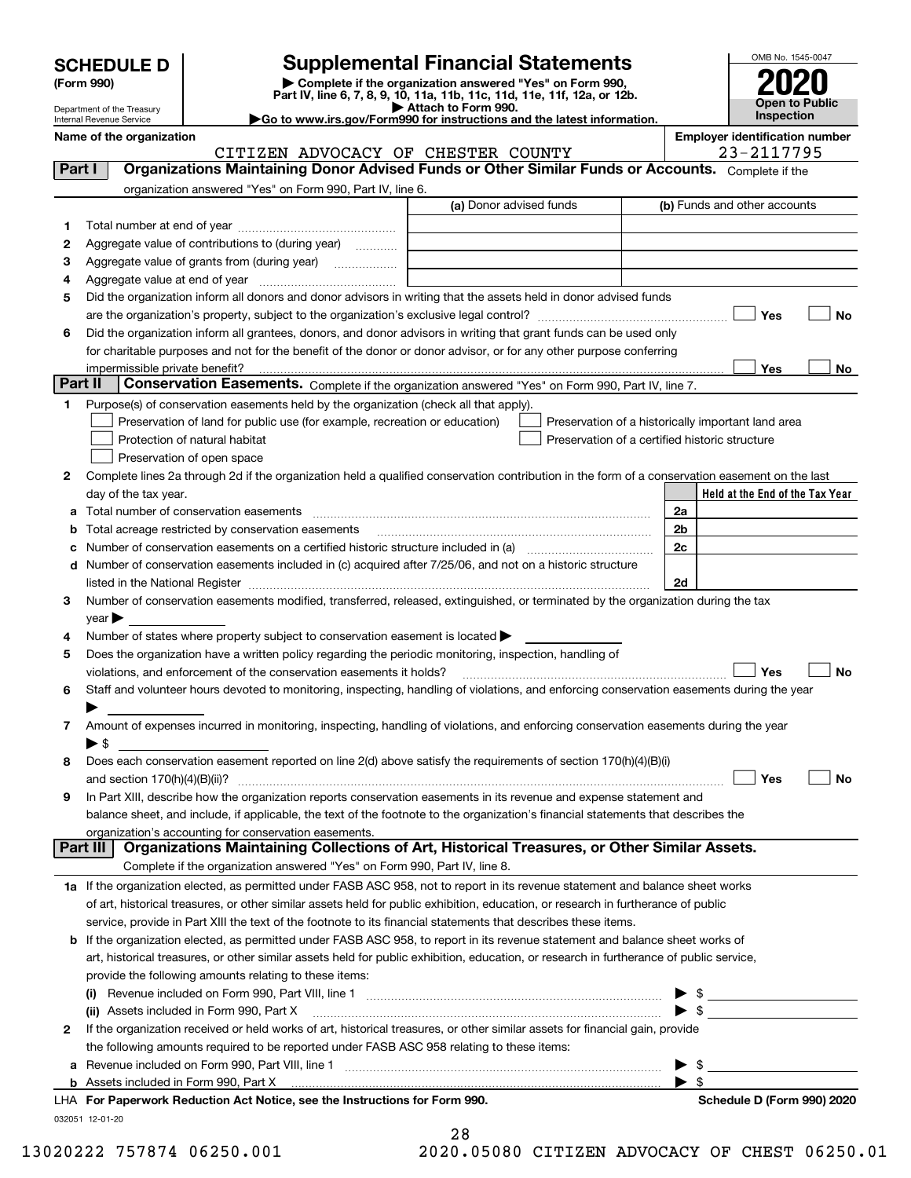| <b>SCHEDULE D</b> |  |
|-------------------|--|
|-------------------|--|

| (Form 990) |  |
|------------|--|
|------------|--|

## **Supplemental Financial Statements**

(Form 990)<br>
Pepartment of the Treasury<br>
Department of the Treasury<br>
Department of the Treasury<br>
Department of the Treasury<br> **Co to www.irs.gov/Form990 for instructions and the latest information.**<br> **Co to www.irs.gov/Form9** 



Department of the Treasury Internal Revenue Service

**Name of the organization Employer identification number**

CITIZEN ADVOCACY OF CHESTER COUNTY | 23-2117795

| Part I  | <b>Organizations Maintaining Donor Advised Funds or Other Similar Funds or Accounts.</b> Complete if the                                       |                         |    |                                                    |
|---------|------------------------------------------------------------------------------------------------------------------------------------------------|-------------------------|----|----------------------------------------------------|
|         | organization answered "Yes" on Form 990, Part IV, line 6.                                                                                      |                         |    |                                                    |
|         |                                                                                                                                                | (a) Donor advised funds |    | (b) Funds and other accounts                       |
| 1.      |                                                                                                                                                |                         |    |                                                    |
| 2       | Aggregate value of contributions to (during year)                                                                                              |                         |    |                                                    |
| з       | Aggregate value of grants from (during year)                                                                                                   |                         |    |                                                    |
| 4       |                                                                                                                                                |                         |    |                                                    |
| 5       | Did the organization inform all donors and donor advisors in writing that the assets held in donor advised funds                               |                         |    |                                                    |
|         |                                                                                                                                                |                         |    | Yes<br>No                                          |
| 6       | Did the organization inform all grantees, donors, and donor advisors in writing that grant funds can be used only                              |                         |    |                                                    |
|         | for charitable purposes and not for the benefit of the donor or donor advisor, or for any other purpose conferring                             |                         |    |                                                    |
|         | impermissible private benefit?                                                                                                                 |                         |    | Yes<br>No                                          |
| Part II | Conservation Easements. Complete if the organization answered "Yes" on Form 990, Part IV, line 7.                                              |                         |    |                                                    |
| 1.      | Purpose(s) of conservation easements held by the organization (check all that apply).                                                          |                         |    |                                                    |
|         | Preservation of land for public use (for example, recreation or education)                                                                     |                         |    | Preservation of a historically important land area |
|         | Protection of natural habitat                                                                                                                  |                         |    | Preservation of a certified historic structure     |
|         | Preservation of open space                                                                                                                     |                         |    |                                                    |
| 2       | Complete lines 2a through 2d if the organization held a qualified conservation contribution in the form of a conservation easement on the last |                         |    |                                                    |
|         | day of the tax year.                                                                                                                           |                         |    | Held at the End of the Tax Year                    |
|         |                                                                                                                                                |                         | 2a |                                                    |
|         | <b>b</b> Total acreage restricted by conservation easements                                                                                    |                         | 2b |                                                    |
|         | c Number of conservation easements on a certified historic structure included in (a) manufacture included in (a)                               |                         | 2c |                                                    |
|         | d Number of conservation easements included in (c) acquired after 7/25/06, and not on a historic structure                                     |                         |    |                                                    |
|         |                                                                                                                                                |                         | 2d |                                                    |
| 3       | Number of conservation easements modified, transferred, released, extinguished, or terminated by the organization during the tax               |                         |    |                                                    |
|         | $year \blacktriangleright$                                                                                                                     |                         |    |                                                    |
| 4       | Number of states where property subject to conservation easement is located $\blacktriangleright$                                              |                         |    |                                                    |
| 5       | Does the organization have a written policy regarding the periodic monitoring, inspection, handling of                                         |                         |    |                                                    |
|         | violations, and enforcement of the conservation easements it holds?                                                                            |                         |    | Yes<br>No                                          |
| 6       | Staff and volunteer hours devoted to monitoring, inspecting, handling of violations, and enforcing conservation easements during the year      |                         |    |                                                    |
|         | Amount of expenses incurred in monitoring, inspecting, handling of violations, and enforcing conservation easements during the year            |                         |    |                                                    |
| 7       | ▶ \$                                                                                                                                           |                         |    |                                                    |
| 8       | Does each conservation easement reported on line 2(d) above satisfy the requirements of section 170(h)(4)(B)(i)                                |                         |    |                                                    |
|         |                                                                                                                                                |                         |    | Yes<br>No                                          |
| 9       | In Part XIII, describe how the organization reports conservation easements in its revenue and expense statement and                            |                         |    |                                                    |
|         | balance sheet, and include, if applicable, the text of the footnote to the organization's financial statements that describes the              |                         |    |                                                    |
|         | organization's accounting for conservation easements.                                                                                          |                         |    |                                                    |
|         | Organizations Maintaining Collections of Art, Historical Treasures, or Other Similar Assets.<br>Part III                                       |                         |    |                                                    |
|         | Complete if the organization answered "Yes" on Form 990, Part IV, line 8.                                                                      |                         |    |                                                    |
|         | 1a If the organization elected, as permitted under FASB ASC 958, not to report in its revenue statement and balance sheet works                |                         |    |                                                    |
|         | of art, historical treasures, or other similar assets held for public exhibition, education, or research in furtherance of public              |                         |    |                                                    |
|         | service, provide in Part XIII the text of the footnote to its financial statements that describes these items.                                 |                         |    |                                                    |
|         | <b>b</b> If the organization elected, as permitted under FASB ASC 958, to report in its revenue statement and balance sheet works of           |                         |    |                                                    |
|         | art, historical treasures, or other similar assets held for public exhibition, education, or research in furtherance of public service,        |                         |    |                                                    |
|         | provide the following amounts relating to these items:                                                                                         |                         |    |                                                    |
|         |                                                                                                                                                |                         |    | $\frac{1}{2}$                                      |
|         | (ii) Assets included in Form 990, Part X                                                                                                       |                         |    |                                                    |
| 2       | If the organization received or held works of art, historical treasures, or other similar assets for financial gain, provide                   |                         |    |                                                    |
|         | the following amounts required to be reported under FASB ASC 958 relating to these items:                                                      |                         |    |                                                    |
|         | a Revenue included on Form 990, Part VIII, line 1 [2000] [2000] [2000] [2000] [2000] [2000] [2000] [2000] [2000                                |                         |    | \$                                                 |
|         | <b>b</b> Assets included in Form 990, Part X                                                                                                   |                         |    | $\blacktriangleright$ s                            |
|         | LHA For Paperwork Reduction Act Notice, see the Instructions for Form 990.                                                                     |                         |    | Schedule D (Form 990) 2020                         |
|         | 032051 12-01-20                                                                                                                                |                         |    |                                                    |

| 28  |  |       |  |  |   |
|-----|--|-------|--|--|---|
| ^ ^ |  | 0.000 |  |  | ∼ |

 $\sim$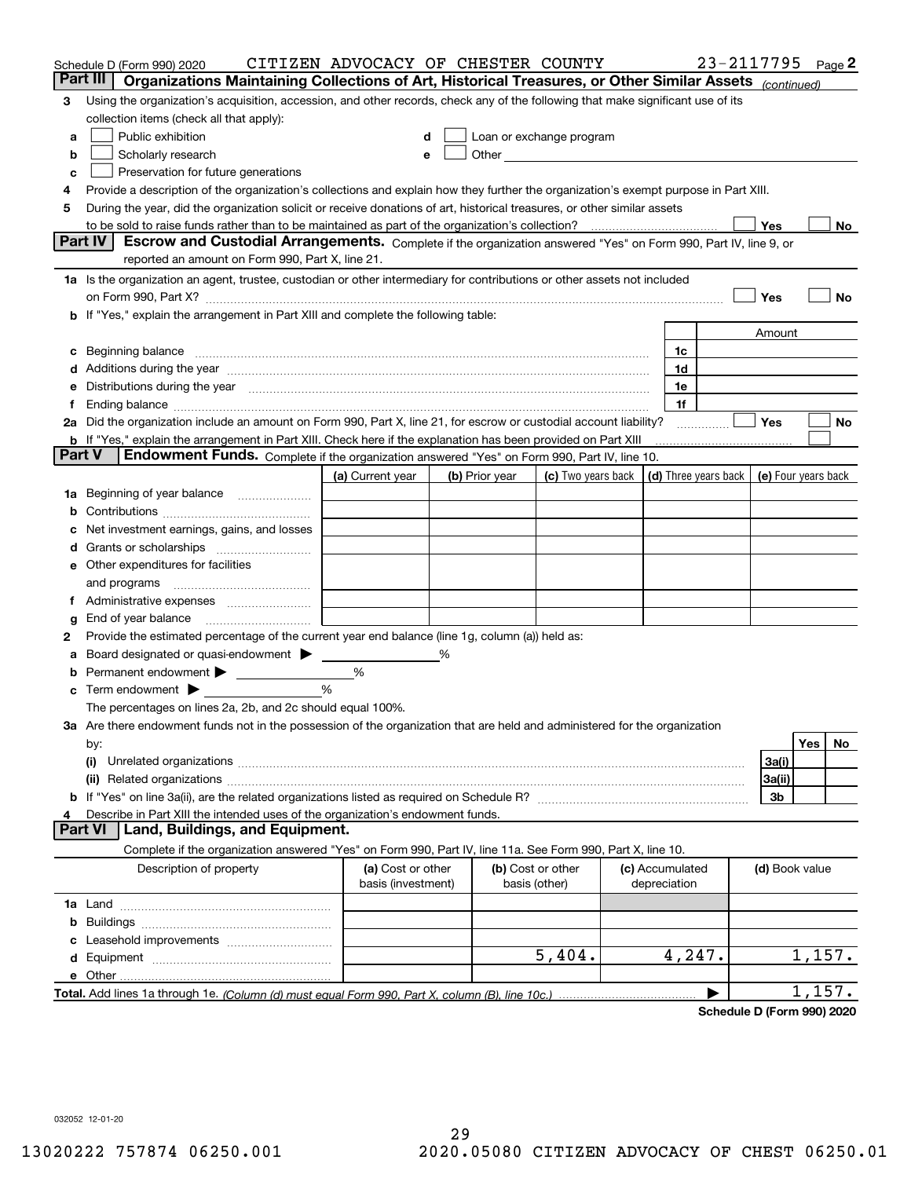|        | Schedule D (Form 990) 2020                                                                                                                                                                                                     | CITIZEN ADVOCACY OF CHESTER COUNTY      |   |                |                                                                                                                                                                                                                               |                                 | 23-2117795 |                     |        | Page 2 |
|--------|--------------------------------------------------------------------------------------------------------------------------------------------------------------------------------------------------------------------------------|-----------------------------------------|---|----------------|-------------------------------------------------------------------------------------------------------------------------------------------------------------------------------------------------------------------------------|---------------------------------|------------|---------------------|--------|--------|
|        | Organizations Maintaining Collections of Art, Historical Treasures, or Other Similar Assets (continued)<br>Part III                                                                                                            |                                         |   |                |                                                                                                                                                                                                                               |                                 |            |                     |        |        |
| 3      | Using the organization's acquisition, accession, and other records, check any of the following that make significant use of its                                                                                                |                                         |   |                |                                                                                                                                                                                                                               |                                 |            |                     |        |        |
|        | collection items (check all that apply):                                                                                                                                                                                       |                                         |   |                |                                                                                                                                                                                                                               |                                 |            |                     |        |        |
| a      | Public exhibition                                                                                                                                                                                                              |                                         |   |                | Loan or exchange program                                                                                                                                                                                                      |                                 |            |                     |        |        |
| b      | Scholarly research                                                                                                                                                                                                             |                                         |   |                | Other and the contract of the contract of the contract of the contract of the contract of the contract of the contract of the contract of the contract of the contract of the contract of the contract of the contract of the |                                 |            |                     |        |        |
| с      | Preservation for future generations                                                                                                                                                                                            |                                         |   |                |                                                                                                                                                                                                                               |                                 |            |                     |        |        |
| 4      | Provide a description of the organization's collections and explain how they further the organization's exempt purpose in Part XIII.                                                                                           |                                         |   |                |                                                                                                                                                                                                                               |                                 |            |                     |        |        |
| 5      | During the year, did the organization solicit or receive donations of art, historical treasures, or other similar assets                                                                                                       |                                         |   |                |                                                                                                                                                                                                                               |                                 |            |                     |        |        |
|        | to be sold to raise funds rather than to be maintained as part of the organization's collection?                                                                                                                               |                                         |   |                |                                                                                                                                                                                                                               |                                 |            | Yes                 |        | No     |
|        | <b>Part IV</b><br>Escrow and Custodial Arrangements. Complete if the organization answered "Yes" on Form 990, Part IV, line 9, or                                                                                              |                                         |   |                |                                                                                                                                                                                                                               |                                 |            |                     |        |        |
|        | reported an amount on Form 990, Part X, line 21.                                                                                                                                                                               |                                         |   |                |                                                                                                                                                                                                                               |                                 |            |                     |        |        |
|        | 1a Is the organization an agent, trustee, custodian or other intermediary for contributions or other assets not included                                                                                                       |                                         |   |                |                                                                                                                                                                                                                               |                                 |            |                     |        |        |
|        | on Form 990, Part X? <b>Entitled Strategie Control</b> and Terms and Terms and Terms and Terms and Terms and Terms and                                                                                                         |                                         |   |                |                                                                                                                                                                                                                               |                                 |            | Yes                 |        | No     |
| b      | If "Yes," explain the arrangement in Part XIII and complete the following table:                                                                                                                                               |                                         |   |                |                                                                                                                                                                                                                               |                                 |            |                     |        |        |
|        |                                                                                                                                                                                                                                |                                         |   |                |                                                                                                                                                                                                                               |                                 |            | Amount              |        |        |
| с      | Beginning balance manufactured and contain an account of the state of the state of the state of the state of the state of the state of the state of the state of the state of the state of the state of the state of the state |                                         |   |                |                                                                                                                                                                                                                               | 1c                              |            |                     |        |        |
|        | Additions during the year manufactured and an account of the year manufactured and account of the year manufactured and account of the state of the state of the state of the state of the state of the state of the state of  |                                         |   |                |                                                                                                                                                                                                                               | 1d                              |            |                     |        |        |
|        | Distributions during the year manufactured and an extraordinary of the year manufactured and the year manufactured and the set of the set of the set of the set of the set of the set of the set of the set of the set of the  |                                         |   |                |                                                                                                                                                                                                                               | 1e                              |            |                     |        |        |
| Ť.     |                                                                                                                                                                                                                                |                                         |   |                |                                                                                                                                                                                                                               | 1f                              |            |                     |        |        |
|        | 2a Did the organization include an amount on Form 990, Part X, line 21, for escrow or custodial account liability?                                                                                                             |                                         |   |                |                                                                                                                                                                                                                               |                                 | .          | Yes                 |        | No     |
| Part V | <b>b</b> If "Yes," explain the arrangement in Part XIII. Check here if the explanation has been provided on Part XIII                                                                                                          |                                         |   |                |                                                                                                                                                                                                                               |                                 |            |                     |        |        |
|        | Endowment Funds. Complete if the organization answered "Yes" on Form 990, Part IV, line 10.                                                                                                                                    |                                         |   |                |                                                                                                                                                                                                                               |                                 |            |                     |        |        |
|        |                                                                                                                                                                                                                                | (a) Current year                        |   | (b) Prior year | (c) Two years back                                                                                                                                                                                                            | (d) Three years back            |            | (e) Four years back |        |        |
| 1a     | Beginning of year balance                                                                                                                                                                                                      |                                         |   |                |                                                                                                                                                                                                                               |                                 |            |                     |        |        |
| b      |                                                                                                                                                                                                                                |                                         |   |                |                                                                                                                                                                                                                               |                                 |            |                     |        |        |
|        | Net investment earnings, gains, and losses                                                                                                                                                                                     |                                         |   |                |                                                                                                                                                                                                                               |                                 |            |                     |        |        |
| a      |                                                                                                                                                                                                                                |                                         |   |                |                                                                                                                                                                                                                               |                                 |            |                     |        |        |
|        | e Other expenditures for facilities                                                                                                                                                                                            |                                         |   |                |                                                                                                                                                                                                                               |                                 |            |                     |        |        |
|        | and programs                                                                                                                                                                                                                   |                                         |   |                |                                                                                                                                                                                                                               |                                 |            |                     |        |        |
|        |                                                                                                                                                                                                                                |                                         |   |                |                                                                                                                                                                                                                               |                                 |            |                     |        |        |
| g      | End of year balance                                                                                                                                                                                                            |                                         |   |                |                                                                                                                                                                                                                               |                                 |            |                     |        |        |
| 2      | Provide the estimated percentage of the current year end balance (line 1g, column (a)) held as:                                                                                                                                |                                         |   |                |                                                                                                                                                                                                                               |                                 |            |                     |        |        |
| а      | Board designated or quasi-endowment                                                                                                                                                                                            |                                         | % |                |                                                                                                                                                                                                                               |                                 |            |                     |        |        |
|        | Permanent endowment > 1                                                                                                                                                                                                        | %                                       |   |                |                                                                                                                                                                                                                               |                                 |            |                     |        |        |
| с      | Term endowment $\blacktriangleright$                                                                                                                                                                                           | %                                       |   |                |                                                                                                                                                                                                                               |                                 |            |                     |        |        |
|        | The percentages on lines 2a, 2b, and 2c should equal 100%.                                                                                                                                                                     |                                         |   |                |                                                                                                                                                                                                                               |                                 |            |                     |        |        |
|        | 3a Are there endowment funds not in the possession of the organization that are held and administered for the organization                                                                                                     |                                         |   |                |                                                                                                                                                                                                                               |                                 |            |                     |        |        |
|        | by:                                                                                                                                                                                                                            |                                         |   |                |                                                                                                                                                                                                                               |                                 |            |                     | Yes    | No     |
|        | (i)                                                                                                                                                                                                                            |                                         |   |                |                                                                                                                                                                                                                               |                                 |            | 3a(i)               |        |        |
|        |                                                                                                                                                                                                                                |                                         |   |                |                                                                                                                                                                                                                               |                                 |            | 3a(ii)              |        |        |
|        |                                                                                                                                                                                                                                |                                         |   |                |                                                                                                                                                                                                                               |                                 |            | 3b                  |        |        |
|        | Describe in Part XIII the intended uses of the organization's endowment funds.<br>Land, Buildings, and Equipment.<br><b>Part VI</b>                                                                                            |                                         |   |                |                                                                                                                                                                                                                               |                                 |            |                     |        |        |
|        | Complete if the organization answered "Yes" on Form 990, Part IV, line 11a. See Form 990, Part X, line 10.                                                                                                                     |                                         |   |                |                                                                                                                                                                                                                               |                                 |            |                     |        |        |
|        |                                                                                                                                                                                                                                |                                         |   |                |                                                                                                                                                                                                                               |                                 |            |                     |        |        |
|        | Description of property                                                                                                                                                                                                        | (a) Cost or other<br>basis (investment) |   |                | (b) Cost or other<br>basis (other)                                                                                                                                                                                            | (c) Accumulated<br>depreciation |            | (d) Book value      |        |        |
|        |                                                                                                                                                                                                                                |                                         |   |                |                                                                                                                                                                                                                               |                                 |            |                     |        |        |
| b      |                                                                                                                                                                                                                                |                                         |   |                |                                                                                                                                                                                                                               |                                 |            |                     |        |        |
|        |                                                                                                                                                                                                                                |                                         |   |                |                                                                                                                                                                                                                               |                                 |            |                     |        |        |
|        |                                                                                                                                                                                                                                |                                         |   |                | 5,404.                                                                                                                                                                                                                        | 4,247.                          |            |                     | 1,157. |        |
|        |                                                                                                                                                                                                                                |                                         |   |                |                                                                                                                                                                                                                               |                                 |            |                     |        |        |
|        |                                                                                                                                                                                                                                |                                         |   |                |                                                                                                                                                                                                                               |                                 |            |                     | 1,157. |        |
|        |                                                                                                                                                                                                                                |                                         |   |                |                                                                                                                                                                                                                               |                                 |            |                     |        |        |

**Schedule D (Form 990) 2020**

032052 12-01-20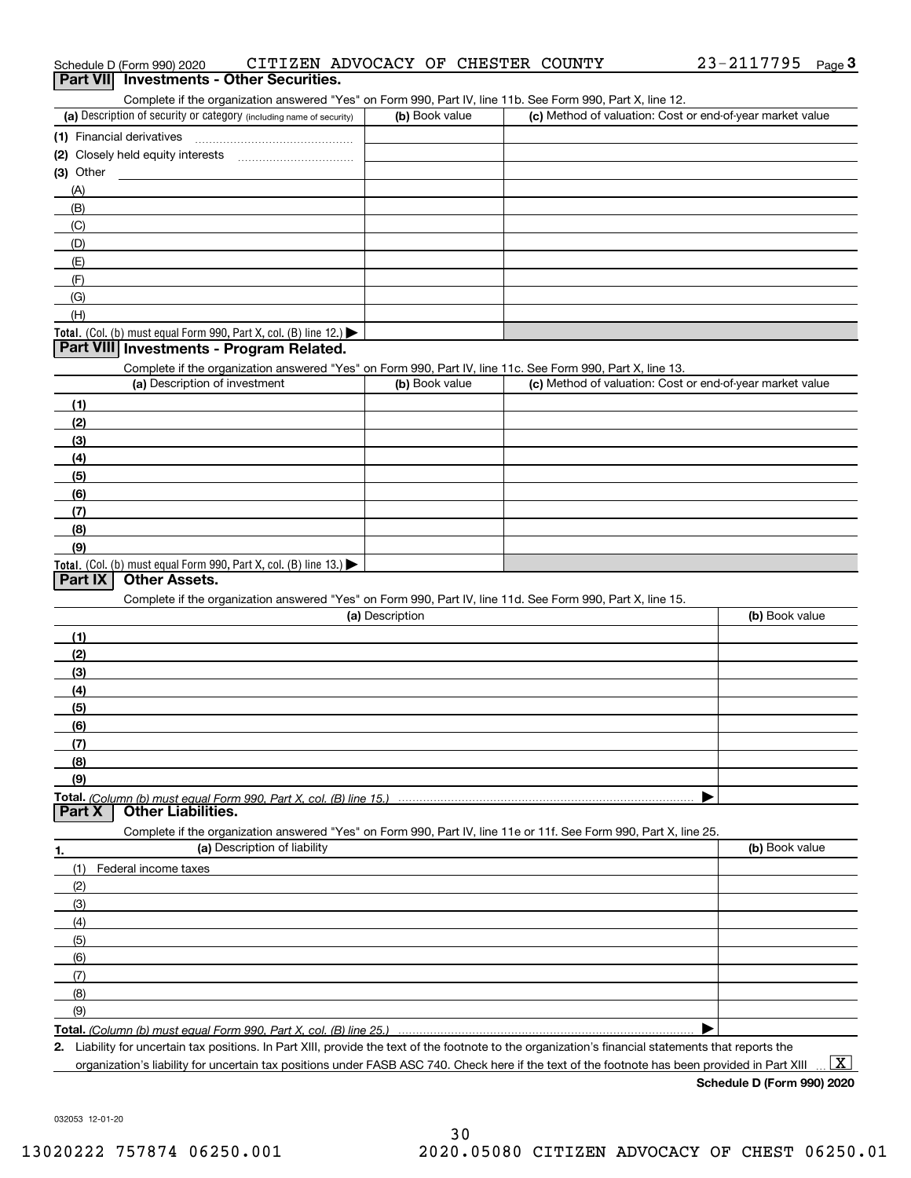| Complete if the organization answered "Yes" on Form 990, Part IV, line 11b. See Form 990, Part X, line 12.<br>(a) Description of security or category (including name of security) | (b) Book value  | (c) Method of valuation: Cost or end-of-year market value |                |
|------------------------------------------------------------------------------------------------------------------------------------------------------------------------------------|-----------------|-----------------------------------------------------------|----------------|
|                                                                                                                                                                                    |                 |                                                           |                |
| (1) Financial derivatives                                                                                                                                                          |                 |                                                           |                |
| (3) Other                                                                                                                                                                          |                 |                                                           |                |
|                                                                                                                                                                                    |                 |                                                           |                |
| (A)<br>(B)                                                                                                                                                                         |                 |                                                           |                |
| (C)                                                                                                                                                                                |                 |                                                           |                |
| (D)                                                                                                                                                                                |                 |                                                           |                |
|                                                                                                                                                                                    |                 |                                                           |                |
| (E)<br>(F)                                                                                                                                                                         |                 |                                                           |                |
| (G)                                                                                                                                                                                |                 |                                                           |                |
| (H)                                                                                                                                                                                |                 |                                                           |                |
|                                                                                                                                                                                    |                 |                                                           |                |
| Total. (Col. (b) must equal Form 990, Part X, col. (B) line $12$ .)<br>Part VIII Investments - Program Related.                                                                    |                 |                                                           |                |
|                                                                                                                                                                                    |                 |                                                           |                |
| Complete if the organization answered "Yes" on Form 990, Part IV, line 11c. See Form 990, Part X, line 13.<br>(a) Description of investment                                        | (b) Book value  | (c) Method of valuation: Cost or end-of-year market value |                |
|                                                                                                                                                                                    |                 |                                                           |                |
| (1)                                                                                                                                                                                |                 |                                                           |                |
| (2)                                                                                                                                                                                |                 |                                                           |                |
| (3)                                                                                                                                                                                |                 |                                                           |                |
| (4)                                                                                                                                                                                |                 |                                                           |                |
| (5)                                                                                                                                                                                |                 |                                                           |                |
| (6)                                                                                                                                                                                |                 |                                                           |                |
| (7)                                                                                                                                                                                |                 |                                                           |                |
| (8)                                                                                                                                                                                |                 |                                                           |                |
| (9)                                                                                                                                                                                |                 |                                                           |                |
| <b>Total.</b> (Col. (b) must equal Form 990, Part X, col. (B) line 13.)<br><b>Other Assets.</b><br>Part IX                                                                         |                 |                                                           |                |
|                                                                                                                                                                                    |                 |                                                           |                |
| Complete if the organization answered "Yes" on Form 990, Part IV, line 11d. See Form 990, Part X, line 15.                                                                         | (a) Description |                                                           |                |
|                                                                                                                                                                                    |                 |                                                           | (b) Book value |
| (1)                                                                                                                                                                                |                 |                                                           |                |
| (2)                                                                                                                                                                                |                 |                                                           |                |
| (3)                                                                                                                                                                                |                 |                                                           |                |
| (4)                                                                                                                                                                                |                 |                                                           |                |
| (5)                                                                                                                                                                                |                 |                                                           |                |
| (6)                                                                                                                                                                                |                 |                                                           |                |
| (7)                                                                                                                                                                                |                 |                                                           |                |
| (8)                                                                                                                                                                                |                 |                                                           |                |
| (9)                                                                                                                                                                                |                 |                                                           |                |
| <b>Total.</b> (Column (b) must equal Form 990. Part X, col. (B) line 15.)                                                                                                          |                 |                                                           |                |
| <b>Other Liabilities.</b><br>Part X                                                                                                                                                |                 |                                                           |                |
| Complete if the organization answered "Yes" on Form 990, Part IV, line 11e or 11f. See Form 990, Part X, line 25.                                                                  |                 |                                                           |                |
| (a) Description of liability<br>1.                                                                                                                                                 |                 |                                                           | (b) Book value |
| (1)<br>Federal income taxes                                                                                                                                                        |                 |                                                           |                |
| (2)                                                                                                                                                                                |                 |                                                           |                |
| (3)                                                                                                                                                                                |                 |                                                           |                |
| (4)                                                                                                                                                                                |                 |                                                           |                |
| (5)                                                                                                                                                                                |                 |                                                           |                |
| (6)                                                                                                                                                                                |                 |                                                           |                |
| (7)                                                                                                                                                                                |                 |                                                           |                |
| (8)                                                                                                                                                                                |                 |                                                           |                |
| (9)                                                                                                                                                                                |                 |                                                           |                |
| Total. (Column (b) must equal Form 990, Part X, col. (B) line 25.)                                                                                                                 |                 |                                                           |                |
| 2. Liability for uncertain tax positions. In Part XIII, provide the text of the footnote to the organization's financial statements that reports the                               |                 |                                                           |                |

organization's liability for uncertain tax positions under FASB ASC 740. Check here if the text of the footnote has been provided in Part XIII  $\,$  ...  $\overline{\rm X}$ 

# Schedule D (Form 990) 2020 CITIZEN ADVOCACY OF CHESTER COUNTY 23-2117795 <sub>Page</sub> 3<br>| **Part VII** | Investments - Other Securities.

| (a) Description of security or category (including name of security) | (b) Book value | (c) Method of valuation: Cost or end-of-year market value |
|----------------------------------------------------------------------|----------------|-----------------------------------------------------------|
| (1) Financial derivatives                                            |                |                                                           |
| (2) Closely held equity interests<br>                                |                |                                                           |
| (3) Other                                                            |                |                                                           |
| (A)                                                                  |                |                                                           |
| (B)                                                                  |                |                                                           |
| (C)                                                                  |                |                                                           |
| (D)                                                                  |                |                                                           |
| (E)                                                                  |                |                                                           |
| (F)                                                                  |                |                                                           |
| (G)                                                                  |                |                                                           |
| (H)                                                                  |                |                                                           |
| <b>Total</b> $(Ch (h) must equal Form 990 Part X col (B) line 12)$   |                |                                                           |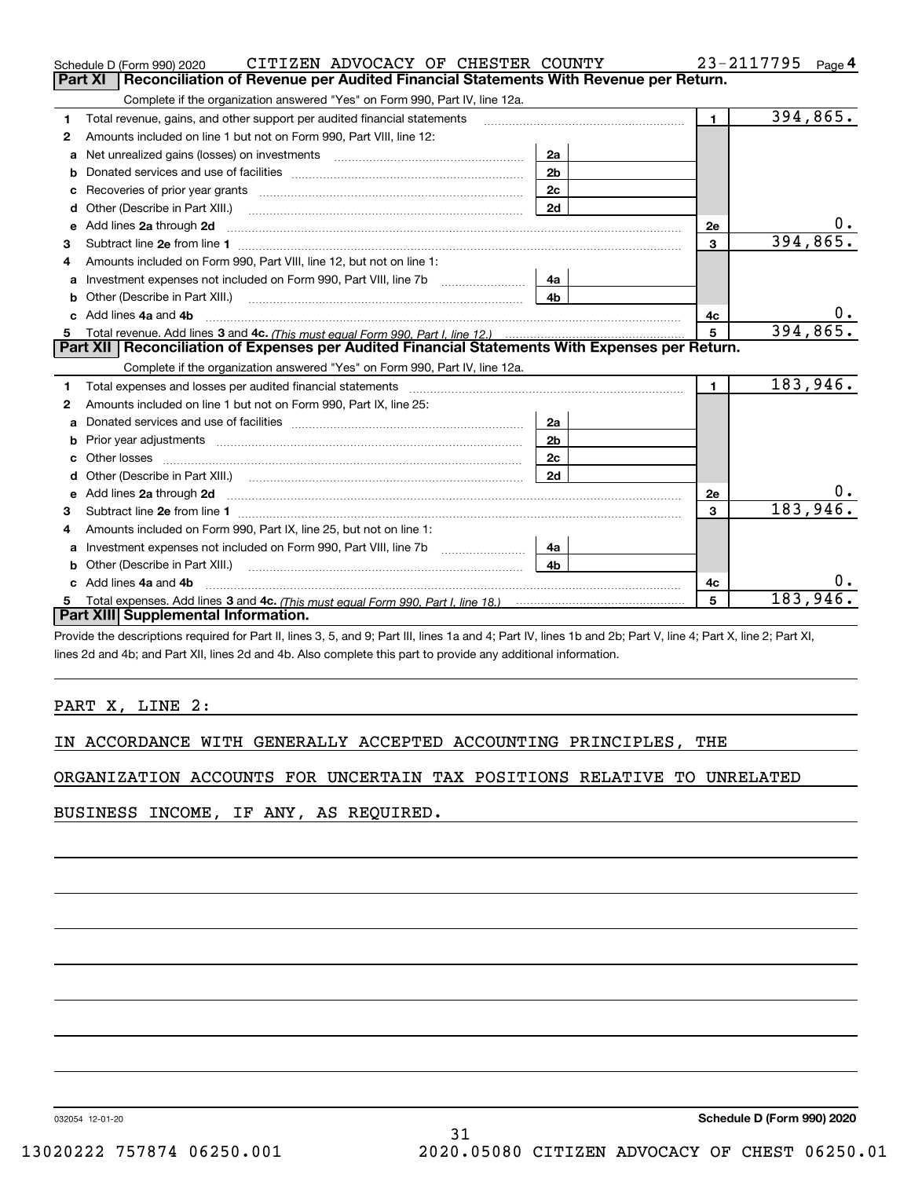|    | CITIZEN ADVOCACY OF CHESTER COUNTY<br>Schedule D (Form 990) 2020                                                                                                                                                                   |                | 23-2117795              | Page 4   |
|----|------------------------------------------------------------------------------------------------------------------------------------------------------------------------------------------------------------------------------------|----------------|-------------------------|----------|
|    | Reconciliation of Revenue per Audited Financial Statements With Revenue per Return.<br>Part XI                                                                                                                                     |                |                         |          |
|    | Complete if the organization answered "Yes" on Form 990, Part IV, line 12a.                                                                                                                                                        |                |                         |          |
| 1  | Total revenue, gains, and other support per audited financial statements                                                                                                                                                           |                | $\mathbf{1}$            | 394,865. |
| 2  | Amounts included on line 1 but not on Form 990, Part VIII, line 12:                                                                                                                                                                |                |                         |          |
| a  | Net unrealized gains (losses) on investments [11] matter contracts and the unrealized gains (losses) on investments                                                                                                                | 2a             |                         |          |
| b  |                                                                                                                                                                                                                                    | 2 <sub>b</sub> |                         |          |
|    | Recoveries of prior year grants [111] Recoveries of prior year grants [11] Masseum Marchant Marchant Marchant M                                                                                                                    | 2c             |                         |          |
| d  |                                                                                                                                                                                                                                    | 2d             |                         |          |
| е  | Add lines 2a through 2d                                                                                                                                                                                                            |                | <b>2e</b>               | $0_{.}$  |
| з  |                                                                                                                                                                                                                                    |                | $\mathbf{3}$            | 394,865. |
| 4  | Amounts included on Form 990, Part VIII, line 12, but not on line 1:                                                                                                                                                               |                |                         |          |
| a  |                                                                                                                                                                                                                                    | 4a             |                         |          |
|    |                                                                                                                                                                                                                                    | 4 <sub>b</sub> |                         |          |
| c. | Add lines 4a and 4b                                                                                                                                                                                                                |                | 4c                      |          |
|    |                                                                                                                                                                                                                                    |                | 5                       | 394,865. |
|    |                                                                                                                                                                                                                                    |                |                         |          |
|    | Part XII   Reconciliation of Expenses per Audited Financial Statements With Expenses per Return.                                                                                                                                   |                |                         |          |
|    | Complete if the organization answered "Yes" on Form 990, Part IV, line 12a.                                                                                                                                                        |                |                         |          |
| 1  | Total expenses and losses per audited financial statements                                                                                                                                                                         |                | $\mathbf{1}$            | 183,946. |
| 2  | Amounts included on line 1 but not on Form 990, Part IX, line 25:                                                                                                                                                                  |                |                         |          |
| a  |                                                                                                                                                                                                                                    | 2a             |                         |          |
| b  |                                                                                                                                                                                                                                    | 2 <sub>b</sub> |                         |          |
|    | Other losses                                                                                                                                                                                                                       | 2c             |                         |          |
| d  |                                                                                                                                                                                                                                    | 2d             |                         |          |
| е  |                                                                                                                                                                                                                                    |                | 2e                      |          |
| 3  | Add lines 2a through 2d <b>contract and all anomalisation</b> and all anomalisation of the state of the state of the state of the state of the state of the state of the state of the state of the state of the state of the state |                | $\overline{\mathbf{3}}$ | 183,946. |
| 4  | Amounts included on Form 990, Part IX, line 25, but not on line 1:                                                                                                                                                                 |                |                         |          |
| a  |                                                                                                                                                                                                                                    | 4a             |                         |          |
| b  | Other (Describe in Part XIII.)                                                                                                                                                                                                     | 4 <sub>h</sub> |                         |          |
| c. | Add lines 4a and 4b                                                                                                                                                                                                                |                | 4c                      |          |
|    |                                                                                                                                                                                                                                    |                | 5                       | 183,946  |
|    | Part XIII Supplemental Information.                                                                                                                                                                                                |                |                         |          |

Provide the descriptions required for Part II, lines 3, 5, and 9; Part III, lines 1a and 4; Part IV, lines 1b and 2b; Part V, line 4; Part X, line 2; Part XI, lines 2d and 4b; and Part XII, lines 2d and 4b. Also complete this part to provide any additional information.

## PART X, LINE 2:

IN ACCORDANCE WITH GENERALLY ACCEPTED ACCOUNTING PRINCIPLES, THE

ORGANIZATION ACCOUNTS FOR UNCERTAIN TAX POSITIONS RELATIVE TO UNRELATED

BUSINESS INCOME, IF ANY, AS REQUIRED.

032054 12-01-20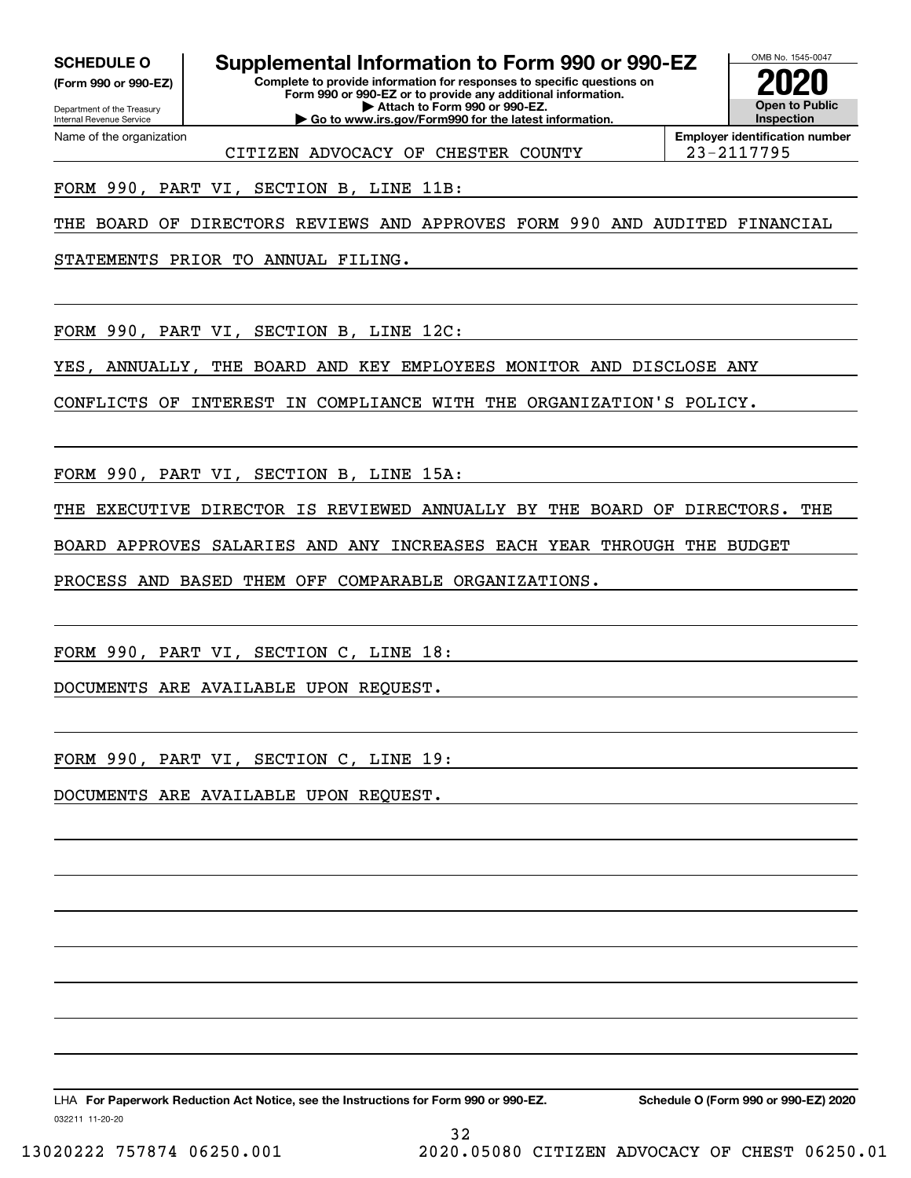**(Form 990 or 990-EZ)**

Department of the Treasury Internal Revenue Service Name of the organization

# **SCHEDULE O Supplemental Information to Form 990 or 990-EZ**

**Complete to provide information for responses to specific questions on Form 990 or 990-EZ or to provide any additional information. | Attach to Form 990 or 990-EZ. | Go to www.irs.gov/Form990 for the latest information.**



**Employer identification number** CITIZEN ADVOCACY OF CHESTER COUNTY 23-2117795

FORM 990, PART VI, SECTION B, LINE 11B:

THE BOARD OF DIRECTORS REVIEWS AND APPROVES FORM 990 AND AUDITED FINANCIAL

STATEMENTS PRIOR TO ANNUAL FILING.

FORM 990, PART VI, SECTION B, LINE 12C:

YES, ANNUALLY, THE BOARD AND KEY EMPLOYEES MONITOR AND DISCLOSE ANY

CONFLICTS OF INTEREST IN COMPLIANCE WITH THE ORGANIZATION'S POLICY.

FORM 990, PART VI, SECTION B, LINE 15A:

THE EXECUTIVE DIRECTOR IS REVIEWED ANNUALLY BY THE BOARD OF DIRECTORS. THE

32

BOARD APPROVES SALARIES AND ANY INCREASES EACH YEAR THROUGH THE BUDGET

PROCESS AND BASED THEM OFF COMPARABLE ORGANIZATIONS.

FORM 990, PART VI, SECTION C, LINE 18:

DOCUMENTS ARE AVAILABLE UPON REQUEST.

FORM 990, PART VI, SECTION C, LINE 19:

DOCUMENTS ARE AVAILABLE UPON REQUEST.

032211 11-20-20 LHA For Paperwork Reduction Act Notice, see the Instructions for Form 990 or 990-EZ. Schedule O (Form 990 or 990-EZ) 2020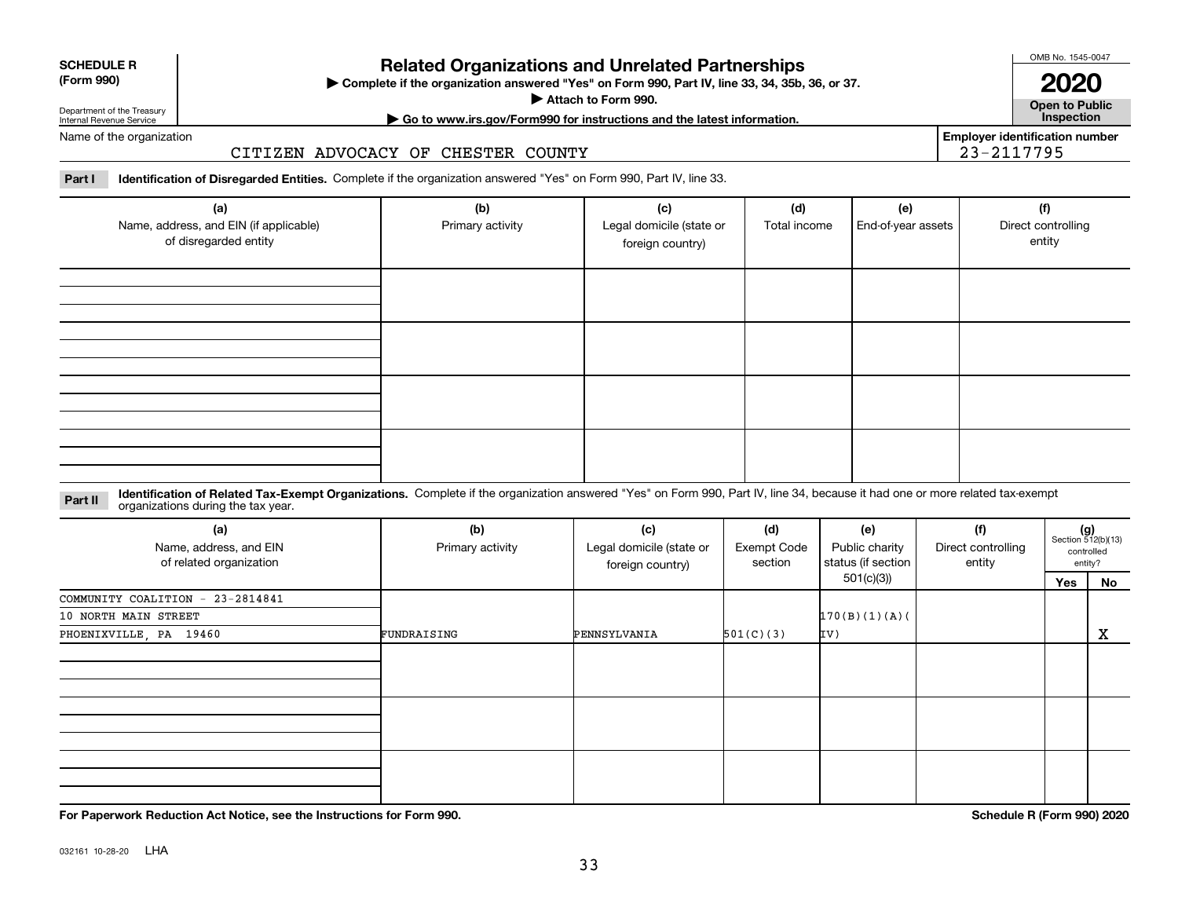| <b>SCHEDULE R</b> |  |
|-------------------|--|
| (Form 990)        |  |

#### **(Form 990)**

# **Related Organizations and Unrelated Partnerships**

**Complete if the organization answered "Yes" on Form 990, Part IV, line 33, 34, 35b, 36, or 37.** |

**Attach to Form 990.**  |

OMB No. 1545-0047

**Open to Public | Go to www.irs.gov/Form990 for instructions and the latest information. Inspection 2020**

**Employer identification number**

23-2117795

Department of the Treasury Internal Revenue Service Name of the organization

## CITIZEN ADVOCACY OF CHESTER COUNTY

**Part I Identification of Disregarded Entities.**  Complete if the organization answered "Yes" on Form 990, Part IV, line 33.

| (a)<br>Name, address, and EIN (if applicable)<br>of disregarded entity | (b)<br>Primary activity | (c)<br>Legal domicile (state or<br>foreign country) | (d)<br>Total income | (e)<br>End-of-year assets | (f)<br>Direct controlling<br>entity |
|------------------------------------------------------------------------|-------------------------|-----------------------------------------------------|---------------------|---------------------------|-------------------------------------|
|                                                                        |                         |                                                     |                     |                           |                                     |
|                                                                        |                         |                                                     |                     |                           |                                     |
|                                                                        |                         |                                                     |                     |                           |                                     |
|                                                                        |                         |                                                     |                     |                           |                                     |

#### **Identification of Related Tax-Exempt Organizations.** Complete if the organization answered "Yes" on Form 990, Part IV, line 34, because it had one or more related tax-exempt **Part II** organizations during the tax year.

| (a)<br>Name, address, and EIN<br>of related organization | (b)<br>Primary activity | (c)<br>Legal domicile (state or<br>foreign country) | (d)<br><b>Exempt Code</b><br>section | (e)<br>Public charity<br>status (if section | (f)<br>Direct controlling<br>entity |     | $(g)$<br>Section 512(b)(13)<br>controlled<br>entity? |
|----------------------------------------------------------|-------------------------|-----------------------------------------------------|--------------------------------------|---------------------------------------------|-------------------------------------|-----|------------------------------------------------------|
|                                                          |                         |                                                     |                                      | 501(c)(3))                                  |                                     | Yes | No                                                   |
| COMMUNITY COALITION - 23-2814841                         |                         |                                                     |                                      |                                             |                                     |     |                                                      |
| 10 NORTH MAIN STREET                                     |                         |                                                     |                                      | 170(B)(1)(A)                                |                                     |     |                                                      |
| PHOENIXVILLE, PA 19460                                   | FUNDRAISING             | PENNSYLVANIA                                        | 501(C)(3)                            | IV)                                         |                                     |     | $\mathbf{x}$                                         |
|                                                          |                         |                                                     |                                      |                                             |                                     |     |                                                      |
|                                                          |                         |                                                     |                                      |                                             |                                     |     |                                                      |
|                                                          |                         |                                                     |                                      |                                             |                                     |     |                                                      |

**For Paperwork Reduction Act Notice, see the Instructions for Form 990. Schedule R (Form 990) 2020**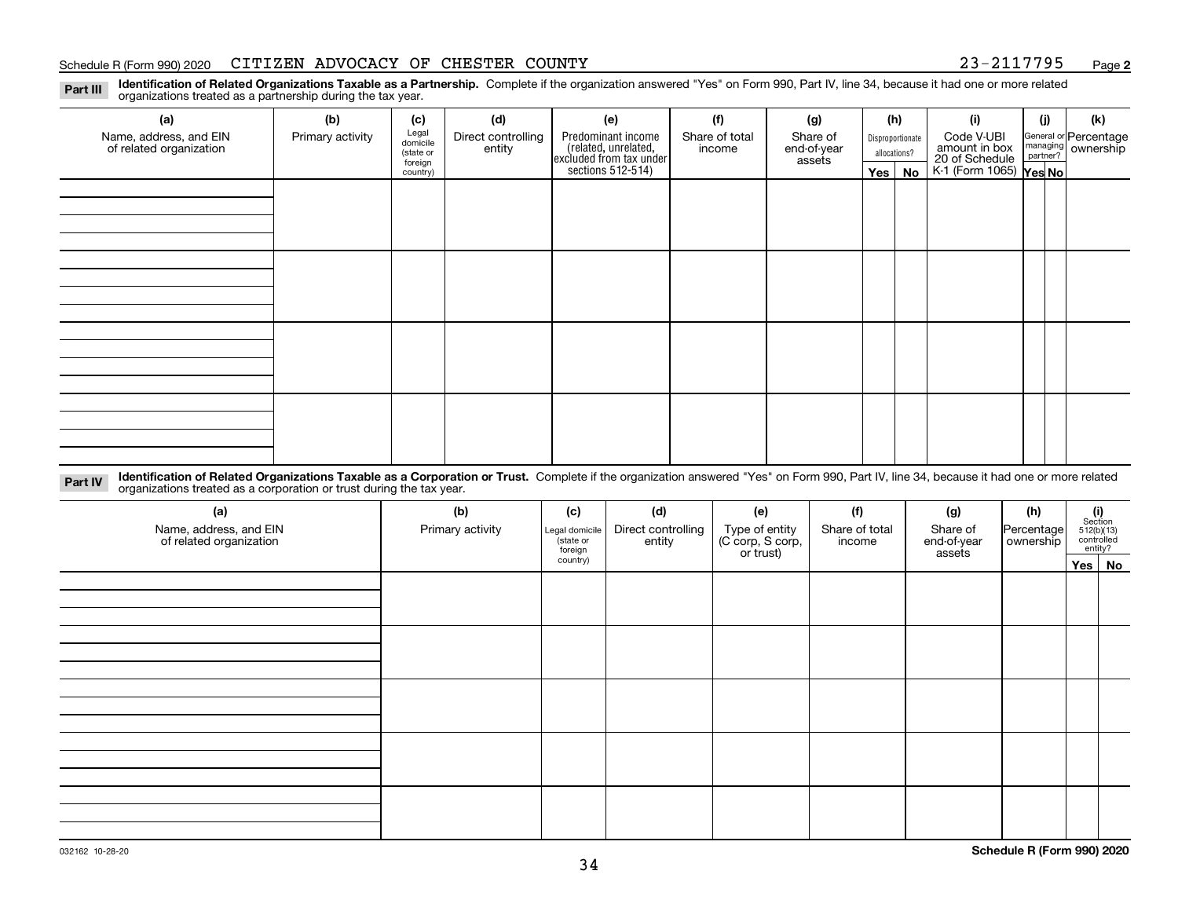#### Schedule R (Form 990) 2020 CITIZEN ADVOCACY OF CHESTER COUNTY 23-2117795 <sub>Page</sub>

**2**

**Identification of Related Organizations Taxable as a Partnership.** Complete if the organization answered "Yes" on Form 990, Part IV, line 34, because it had one or more related **Part III** organizations treated as a partnership during the tax year.

| (a)                                               | (b)              | (c)                  | (d)                          | (e)                                                                 | (f)                      | (g)                     |         | (h)              | (i)                                                              | (j) | (k)                                                     |
|---------------------------------------------------|------------------|----------------------|------------------------------|---------------------------------------------------------------------|--------------------------|-------------------------|---------|------------------|------------------------------------------------------------------|-----|---------------------------------------------------------|
| Name, address, and EIN<br>of related organization | Primary activity | Legal<br>domicile    | Direct controlling<br>entity | Predominant income                                                  | Share of total<br>income | Share of<br>end-of-year |         | Disproportionate | Code V-UBI                                                       |     | General or Percentage<br>managing ownership<br>partner? |
|                                                   |                  | (state or<br>foreign |                              |                                                                     |                          | assets                  |         | allocations?     |                                                                  |     |                                                         |
|                                                   |                  | country)             |                              | related, unrelated,<br>excluded from tax under<br>sections 512-514) |                          |                         | Yes $ $ | No               | amount in box<br>20 of Schedule<br>K-1 (Form 1065) <b>Yes No</b> |     |                                                         |
|                                                   |                  |                      |                              |                                                                     |                          |                         |         |                  |                                                                  |     |                                                         |
|                                                   |                  |                      |                              |                                                                     |                          |                         |         |                  |                                                                  |     |                                                         |
|                                                   |                  |                      |                              |                                                                     |                          |                         |         |                  |                                                                  |     |                                                         |
|                                                   |                  |                      |                              |                                                                     |                          |                         |         |                  |                                                                  |     |                                                         |
|                                                   |                  |                      |                              |                                                                     |                          |                         |         |                  |                                                                  |     |                                                         |
|                                                   |                  |                      |                              |                                                                     |                          |                         |         |                  |                                                                  |     |                                                         |
|                                                   |                  |                      |                              |                                                                     |                          |                         |         |                  |                                                                  |     |                                                         |
|                                                   |                  |                      |                              |                                                                     |                          |                         |         |                  |                                                                  |     |                                                         |
|                                                   |                  |                      |                              |                                                                     |                          |                         |         |                  |                                                                  |     |                                                         |
|                                                   |                  |                      |                              |                                                                     |                          |                         |         |                  |                                                                  |     |                                                         |
|                                                   |                  |                      |                              |                                                                     |                          |                         |         |                  |                                                                  |     |                                                         |
|                                                   |                  |                      |                              |                                                                     |                          |                         |         |                  |                                                                  |     |                                                         |
|                                                   |                  |                      |                              |                                                                     |                          |                         |         |                  |                                                                  |     |                                                         |
|                                                   |                  |                      |                              |                                                                     |                          |                         |         |                  |                                                                  |     |                                                         |
|                                                   |                  |                      |                              |                                                                     |                          |                         |         |                  |                                                                  |     |                                                         |
|                                                   |                  |                      |                              |                                                                     |                          |                         |         |                  |                                                                  |     |                                                         |
|                                                   |                  |                      |                              |                                                                     |                          |                         |         |                  |                                                                  |     |                                                         |

**Identification of Related Organizations Taxable as a Corporation or Trust.** Complete if the organization answered "Yes" on Form 990, Part IV, line 34, because it had one or more related **Part IV** organizations treated as a corporation or trust during the tax year.

| (a)<br>Name, address, and EIN<br>of related organization | (b)<br>Primary activity | (c)<br>Legal domicile<br>(state or<br>foreign | (d)<br>Direct controlling<br>entity | (e)<br>Type of entity<br>(C corp, S corp,<br>or trust) | (f)<br>Share of total<br>income | (g)<br>Share of<br>end-of-year<br>assets | (h)<br>Percentage<br>ownership | $\begin{array}{c} \textbf{(i)}\\ \text{Section}\\ 512 \text{(b)} \text{(13)}\\ \text{controlled}\\ \text{entity?} \end{array}$ |        |
|----------------------------------------------------------|-------------------------|-----------------------------------------------|-------------------------------------|--------------------------------------------------------|---------------------------------|------------------------------------------|--------------------------------|--------------------------------------------------------------------------------------------------------------------------------|--------|
|                                                          |                         | country)                                      |                                     |                                                        |                                 |                                          |                                |                                                                                                                                | Yes No |
|                                                          |                         |                                               |                                     |                                                        |                                 |                                          |                                |                                                                                                                                |        |
|                                                          |                         |                                               |                                     |                                                        |                                 |                                          |                                |                                                                                                                                |        |
|                                                          |                         |                                               |                                     |                                                        |                                 |                                          |                                |                                                                                                                                |        |
|                                                          |                         |                                               |                                     |                                                        |                                 |                                          |                                |                                                                                                                                |        |
|                                                          |                         |                                               |                                     |                                                        |                                 |                                          |                                |                                                                                                                                |        |
|                                                          |                         |                                               |                                     |                                                        |                                 |                                          |                                |                                                                                                                                |        |
|                                                          |                         |                                               |                                     |                                                        |                                 |                                          |                                |                                                                                                                                |        |
|                                                          |                         |                                               |                                     |                                                        |                                 |                                          |                                |                                                                                                                                |        |
|                                                          |                         |                                               |                                     |                                                        |                                 |                                          |                                |                                                                                                                                |        |
|                                                          |                         |                                               |                                     |                                                        |                                 |                                          |                                |                                                                                                                                |        |
|                                                          |                         |                                               |                                     |                                                        |                                 |                                          |                                |                                                                                                                                |        |
|                                                          |                         |                                               |                                     |                                                        |                                 |                                          |                                |                                                                                                                                |        |
|                                                          |                         |                                               |                                     |                                                        |                                 |                                          |                                |                                                                                                                                |        |
|                                                          |                         |                                               |                                     |                                                        |                                 |                                          |                                |                                                                                                                                |        |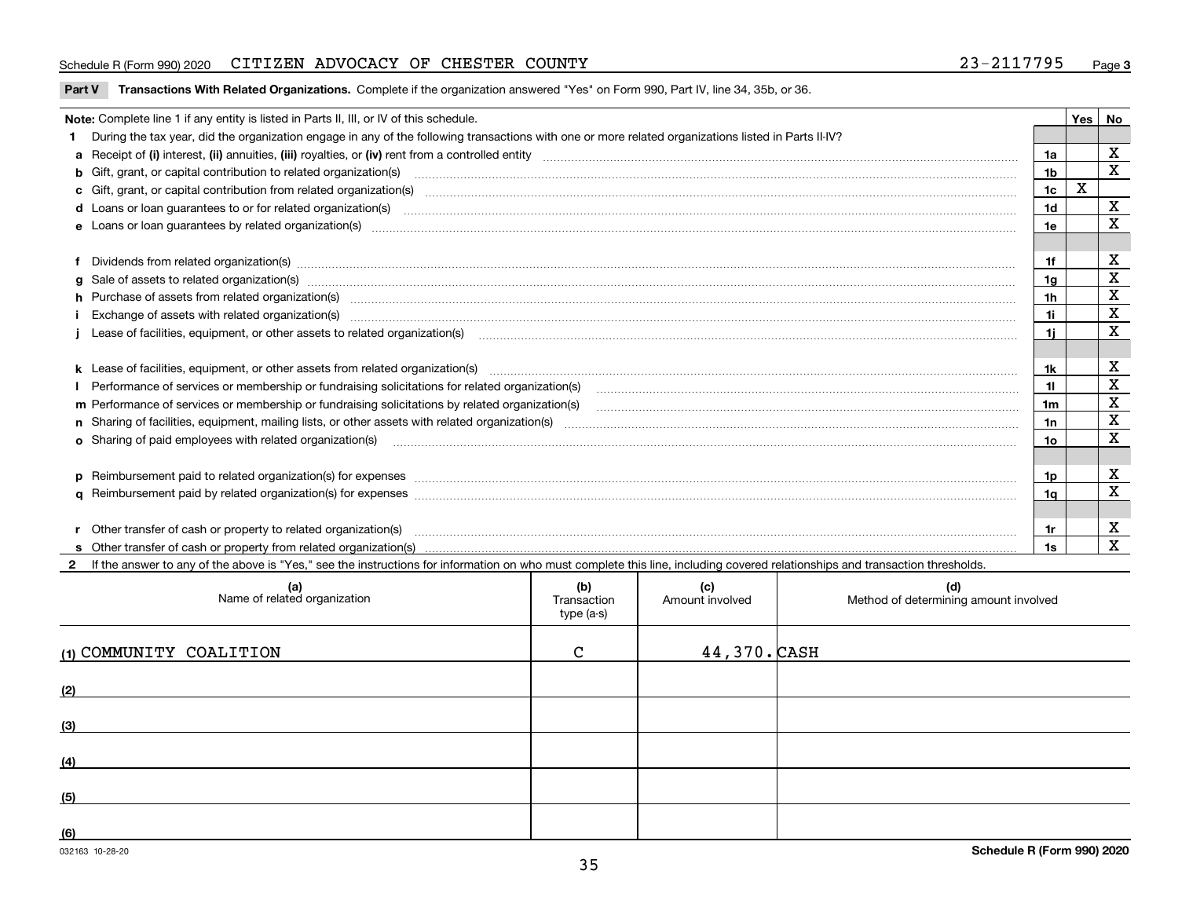#### Schedule R (Form 990) 2020 CITIZEN ADVOCACY OF CHESTER COUNTY 23-2117795 <sub>Page</sub>

**Part V** T**ransactions With Related Organizations.** Complete if the organization answered "Yes" on Form 990, Part IV, line 34, 35b, or 36.

| Note: Complete line 1 if any entity is listed in Parts II, III, or IV of this schedule.                                                                                                                                        |                | Yes | No                      |
|--------------------------------------------------------------------------------------------------------------------------------------------------------------------------------------------------------------------------------|----------------|-----|-------------------------|
| During the tax year, did the organization engage in any of the following transactions with one or more related organizations listed in Parts II-IV?                                                                            |                |     |                         |
|                                                                                                                                                                                                                                | 1a             |     | X                       |
| b Gift, grant, or capital contribution to related organization(s) mature and contained and contribution to related organization(s) matures are contained and contribution to related organization(s) matures are contained and | 1 <sub>b</sub> |     | X                       |
| c Gift, grant, or capital contribution from related organization(s) material content and contribution from related organization(s) material content and content and contribution from related organization(s) material content | 1c             | X   |                         |
|                                                                                                                                                                                                                                | 1 <sub>d</sub> |     | X                       |
|                                                                                                                                                                                                                                | 1e             |     | X                       |
|                                                                                                                                                                                                                                |                |     |                         |
|                                                                                                                                                                                                                                | 1f             |     | X                       |
| g Sale of assets to related organization(s) www.assettion.com/www.assettion.com/www.assettion.com/www.assettion.com/www.assettion.com/www.assettion.com/www.assettion.com/www.assettion.com/www.assettion.com/www.assettion.co | 1g             |     | $\mathbf X$             |
| h Purchase of assets from related organization(s) manufactured and content to content and content and content and content and content and content and content and content and content and content and content and content and  | 1 <sub>h</sub> |     | $\mathbf X$             |
|                                                                                                                                                                                                                                | 11             |     | $\mathbf X$             |
| Lease of facilities, equipment, or other assets to related organization(s) manufactured content to the state of facilities, equipment, or other assets to related organization(s) manufactured content to the state of facilit | 11             |     | X                       |
|                                                                                                                                                                                                                                |                |     |                         |
|                                                                                                                                                                                                                                | 1k             |     | х                       |
| Performance of services or membership or fundraising solicitations for related organization(s) [11] manufaction(s) and accordination in the service of services or membership or fundraising solicitations for related organiz | 11             |     | $\mathbf X$             |
| m Performance of services or membership or fundraising solicitations by related organization(s)                                                                                                                                | 1m             |     | $\mathbf X$             |
|                                                                                                                                                                                                                                | 1n             |     | $\mathbf X$             |
| <b>o</b> Sharing of paid employees with related organization(s)                                                                                                                                                                | 10             |     | X                       |
|                                                                                                                                                                                                                                |                |     |                         |
| p Reimbursement paid to related organization(s) for expenses [1111] and the content of the content of the content of the content of the content of the content of the content of the content of the content of the content of  | 1p.            |     | х                       |
|                                                                                                                                                                                                                                | 1q             |     | X                       |
|                                                                                                                                                                                                                                |                |     |                         |
| r Other transfer of cash or property to related organization(s)                                                                                                                                                                | 1r             |     | х                       |
|                                                                                                                                                                                                                                | 1s             |     | $\overline{\mathbf{x}}$ |
| 2 If the answer to any of the above is "Yes," see the instructions for information on who must complete this line, including covered relationships and transaction thresholds.                                                 |                |     |                         |

**(a) (b) (c) (d) (1)**COMMUNITY COALITION C 44,370. **(2) (3) (4) (5) (6)**Name of related organization  $\vert$  Transaction type (a-s) Amount involved letter and Method of determining amount involved 44,370. CASH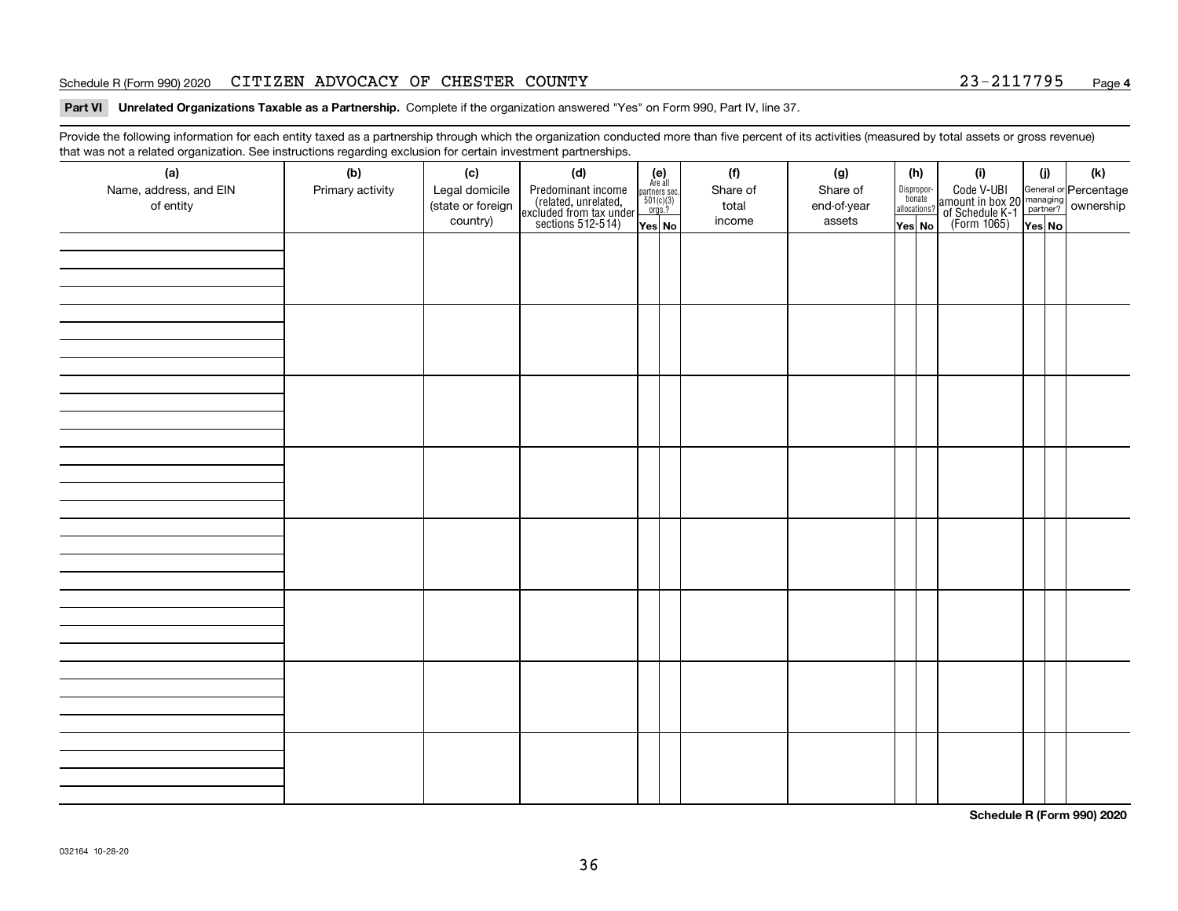#### Schedule R (Form 990) 2020 CITIZEN ADVOCACY OF CHESTER COUNTY 23-2117795 <sub>Page</sub>

#### **Part VI Unrelated Organizations Taxable as a Partnership. Complete if the organization answered "Yes" on Form 990, Part IV, line 37.**

Provide the following information for each entity taxed as a partnership through which the organization conducted more than five percent of its activities (measured by total assets or gross revenue) that was not a related organization. See instructions regarding exclusion for certain investment partnerships.

| ີ<br>(a)<br>Name, address, and EIN<br>of entity | ັ<br>(b)<br>Primary activity | (c)<br>Legal domicile<br>(state or foreign<br>country) | (d)<br>Predominant income<br>(related, unrelated,<br>excluded from tax under<br>sections 512-514) | $(e)$<br>Are all<br>partners sec.<br>501(c)(3)<br>orgs.?<br>Yes No | (f)<br>Share of<br>total<br>income | (g)<br>Share of<br>end-of-year<br>assets | (h)<br>Dispropor-<br>tionate<br>allocations?<br>Yes No | (i)<br>Code V-UBI<br>amount in box 20 managing<br>of Schedule K-1<br>(Form 1065)<br>$\overline{Yes}$ No | (i)<br>Yes No | $(\mathsf{k})$ |
|-------------------------------------------------|------------------------------|--------------------------------------------------------|---------------------------------------------------------------------------------------------------|--------------------------------------------------------------------|------------------------------------|------------------------------------------|--------------------------------------------------------|---------------------------------------------------------------------------------------------------------|---------------|----------------|
|                                                 |                              |                                                        |                                                                                                   |                                                                    |                                    |                                          |                                                        |                                                                                                         |               |                |
|                                                 |                              |                                                        |                                                                                                   |                                                                    |                                    |                                          |                                                        |                                                                                                         |               |                |
|                                                 |                              |                                                        |                                                                                                   |                                                                    |                                    |                                          |                                                        |                                                                                                         |               |                |
|                                                 |                              |                                                        |                                                                                                   |                                                                    |                                    |                                          |                                                        |                                                                                                         |               |                |
|                                                 |                              |                                                        |                                                                                                   |                                                                    |                                    |                                          |                                                        |                                                                                                         |               |                |
|                                                 |                              |                                                        |                                                                                                   |                                                                    |                                    |                                          |                                                        |                                                                                                         |               |                |
|                                                 |                              |                                                        |                                                                                                   |                                                                    |                                    |                                          |                                                        |                                                                                                         |               |                |
|                                                 |                              |                                                        |                                                                                                   |                                                                    |                                    |                                          |                                                        |                                                                                                         |               |                |

**Schedule R (Form 990) 2020**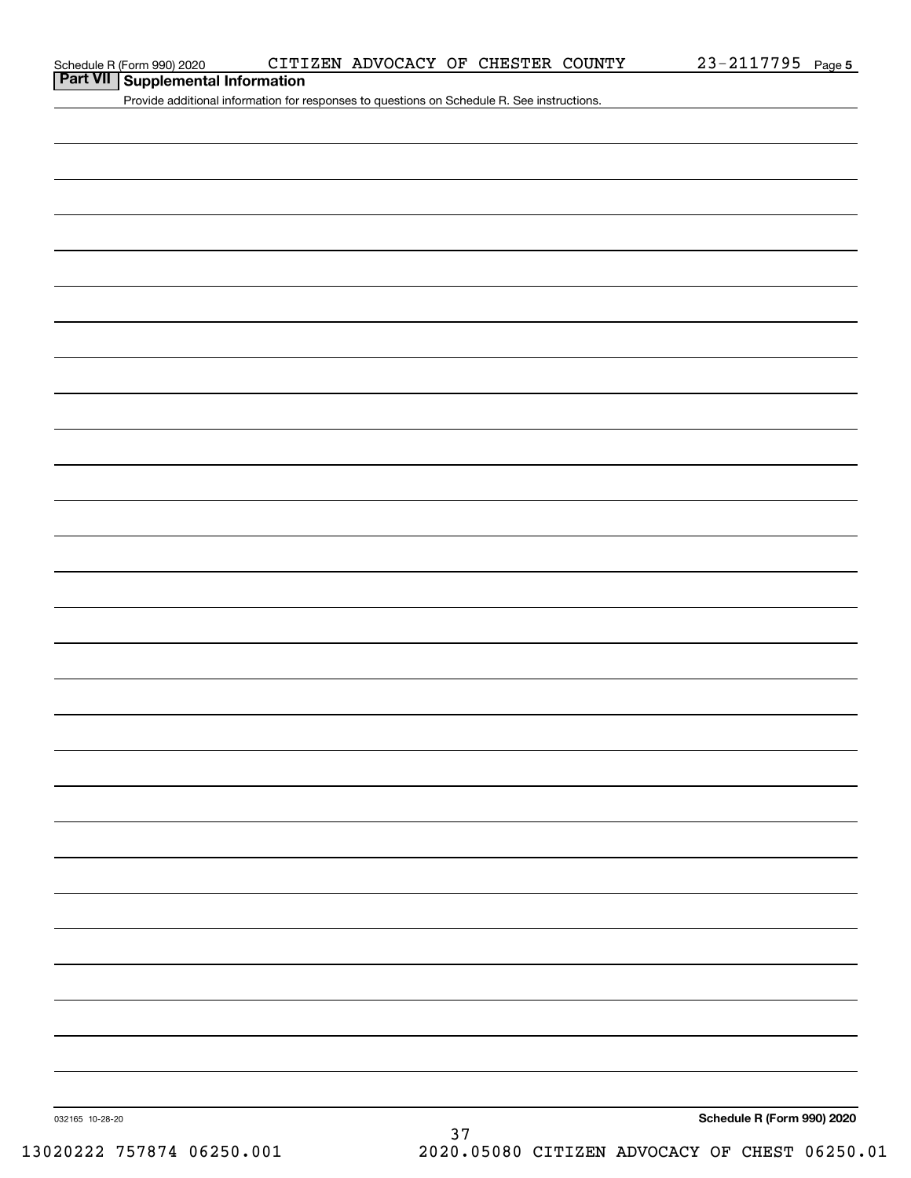**Part VII Supplemental Information**

Provide additional information for responses to questions on Schedule R. See instructions.

032165 10-28-20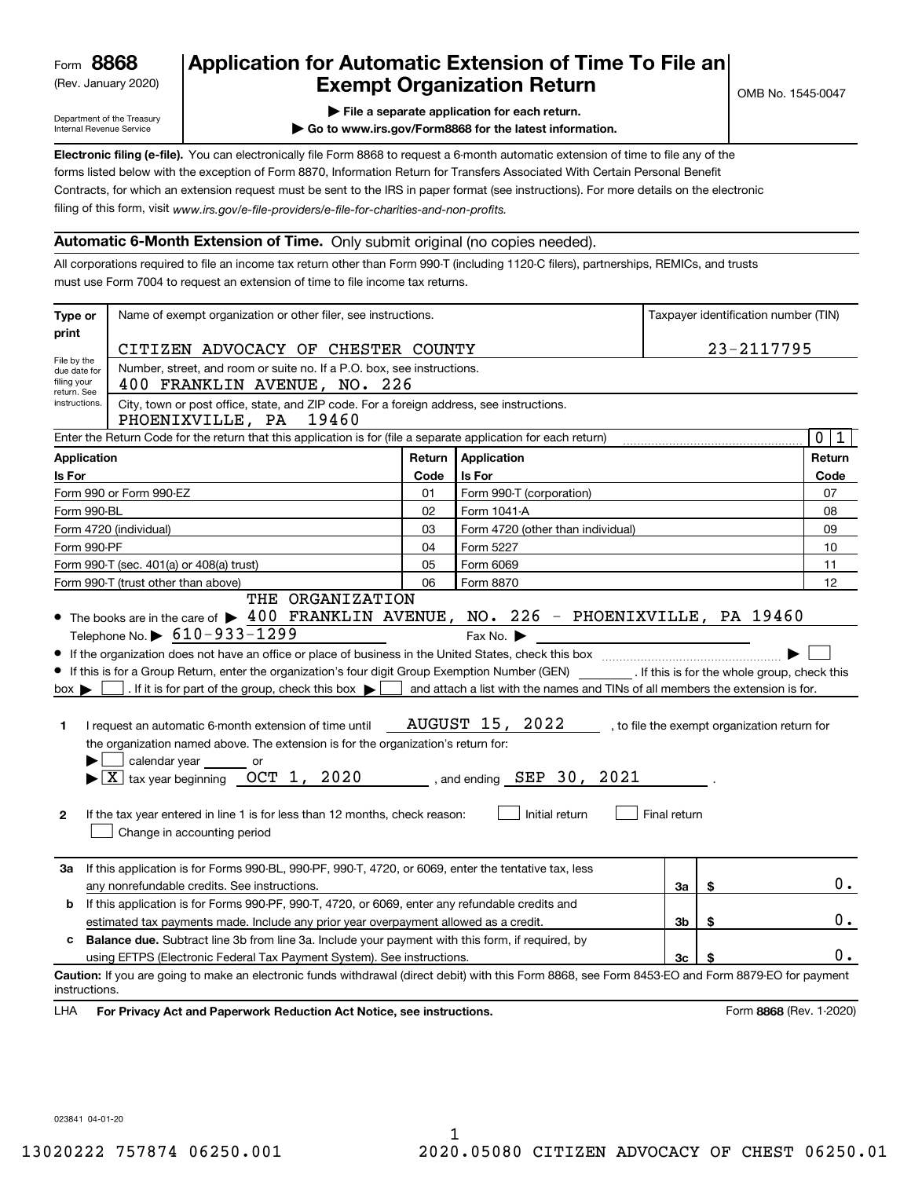(Rev. January 2020)

## **Application for Automatic Extension of Time To File an Exempt Organization Return**

Department of the Treasury Internal Revenue Service

**| File a separate application for each return.**

**| Go to www.irs.gov/Form8868 for the latest information.**

**Electronic filing (e-file).**  You can electronically file Form 8868 to request a 6-month automatic extension of time to file any of the filing of this form, visit www.irs.gov/e-file-providers/e-file-for-charities-and-non-profits. forms listed below with the exception of Form 8870, Information Return for Transfers Associated With Certain Personal Benefit Contracts, for which an extension request must be sent to the IRS in paper format (see instructions). For more details on the electronic

#### **Automatic 6-Month Extension of Time.** Only submit original (no copies needed).

All corporations required to file an income tax return other than Form 990-T (including 1120-C filers), partnerships, REMICs, and trusts must use Form 7004 to request an extension of time to file income tax returns.

| Type or                                                   | Name of exempt organization or other filer, see instructions.                                                                                                                                                                                                                                                                                                                                                                                                                                                                                                                                          |        |                                                                                                                                                                                    |                | Taxpayer identification number (TIN)         |
|-----------------------------------------------------------|--------------------------------------------------------------------------------------------------------------------------------------------------------------------------------------------------------------------------------------------------------------------------------------------------------------------------------------------------------------------------------------------------------------------------------------------------------------------------------------------------------------------------------------------------------------------------------------------------------|--------|------------------------------------------------------------------------------------------------------------------------------------------------------------------------------------|----------------|----------------------------------------------|
| print                                                     | CITIZEN ADVOCACY OF CHESTER COUNTY                                                                                                                                                                                                                                                                                                                                                                                                                                                                                                                                                                     |        |                                                                                                                                                                                    |                | 23-2117795                                   |
| File by the<br>due date for<br>filing your<br>return. See | Number, street, and room or suite no. If a P.O. box, see instructions.<br>400 FRANKLIN AVENUE, NO. 226                                                                                                                                                                                                                                                                                                                                                                                                                                                                                                 |        |                                                                                                                                                                                    |                |                                              |
| instructions.                                             | City, town or post office, state, and ZIP code. For a foreign address, see instructions.<br>PHOENIXVILLE, PA<br>19460                                                                                                                                                                                                                                                                                                                                                                                                                                                                                  |        |                                                                                                                                                                                    |                |                                              |
|                                                           | Enter the Return Code for the return that this application is for (file a separate application for each return)                                                                                                                                                                                                                                                                                                                                                                                                                                                                                        |        |                                                                                                                                                                                    |                | 0 1                                          |
| Application                                               |                                                                                                                                                                                                                                                                                                                                                                                                                                                                                                                                                                                                        | Return | <b>Application</b>                                                                                                                                                                 |                | Return                                       |
| <b>Is For</b>                                             |                                                                                                                                                                                                                                                                                                                                                                                                                                                                                                                                                                                                        | Code   | Is For                                                                                                                                                                             |                | Code                                         |
|                                                           | Form 990 or Form 990-EZ                                                                                                                                                                                                                                                                                                                                                                                                                                                                                                                                                                                | 01     | Form 990-T (corporation)                                                                                                                                                           |                | 07                                           |
| Form 990-BL                                               |                                                                                                                                                                                                                                                                                                                                                                                                                                                                                                                                                                                                        | 02     | Form 1041-A                                                                                                                                                                        |                | 08                                           |
|                                                           | Form 4720 (individual)                                                                                                                                                                                                                                                                                                                                                                                                                                                                                                                                                                                 | 03     | Form 4720 (other than individual)                                                                                                                                                  |                | 09                                           |
| Form 990-PF                                               |                                                                                                                                                                                                                                                                                                                                                                                                                                                                                                                                                                                                        | 04     | Form 5227                                                                                                                                                                          |                | 10                                           |
|                                                           | Form 990-T (sec. 401(a) or 408(a) trust)                                                                                                                                                                                                                                                                                                                                                                                                                                                                                                                                                               | 05     | Form 6069                                                                                                                                                                          |                | 11                                           |
|                                                           | Form 990-T (trust other than above)                                                                                                                                                                                                                                                                                                                                                                                                                                                                                                                                                                    | 06     | Form 8870                                                                                                                                                                          |                | 12                                           |
| $box \blacktriangleright$<br>1<br>$\mathbf{2}$            | If this is for a Group Return, enter the organization's four digit Group Exemption Number (GEN) _________. If this is for the whole group, check this<br>. If it is for part of the group, check this box $\blacktriangleright$<br>I request an automatic 6-month extension of time until<br>the organization named above. The extension is for the organization's return for:<br>calendar year or<br>$\blacktriangleright$ $\underline{X}$ tax year beginning $\underline{OCT}$ 1, 2020<br>If the tax year entered in line 1 is for less than 12 months, check reason:<br>Change in accounting period |        | and attach a list with the names and TINs of all members the extension is for.<br><b>AUGUST 15, 2022</b><br>$\frac{1}{2}$ , and ending $\frac{SEP}{S}$ 30 , 2021<br>Initial return | Final return   | , to file the exempt organization return for |
| За                                                        | If this application is for Forms 990-BL, 990-PF, 990-T, 4720, or 6069, enter the tentative tax, less<br>any nonrefundable credits. See instructions.                                                                                                                                                                                                                                                                                                                                                                                                                                                   |        |                                                                                                                                                                                    | За             | \$<br>0.                                     |
| b                                                         | If this application is for Forms 990-PF, 990-T, 4720, or 6069, enter any refundable credits and                                                                                                                                                                                                                                                                                                                                                                                                                                                                                                        |        |                                                                                                                                                                                    |                |                                              |
|                                                           | estimated tax payments made. Include any prior year overpayment allowed as a credit.                                                                                                                                                                                                                                                                                                                                                                                                                                                                                                                   |        |                                                                                                                                                                                    | 3 <sub>b</sub> | \$<br>$0$ .                                  |
| c                                                         | <b>Balance due.</b> Subtract line 3b from line 3a. Include your payment with this form, if required, by                                                                                                                                                                                                                                                                                                                                                                                                                                                                                                |        |                                                                                                                                                                                    |                |                                              |
|                                                           | using EFTPS (Electronic Federal Tax Payment System). See instructions.                                                                                                                                                                                                                                                                                                                                                                                                                                                                                                                                 |        |                                                                                                                                                                                    | 3c             | \$<br>0.                                     |
| instructions.<br>LHA                                      | Caution: If you are going to make an electronic funds withdrawal (direct debit) with this Form 8868, see Form 8453-EO and Form 8879-EO for payment<br>For Privacy Act and Paperwork Reduction Act Notice, see instructions.                                                                                                                                                                                                                                                                                                                                                                            |        |                                                                                                                                                                                    |                | Form 8868 (Rev. 1-2020)                      |

023841 04-01-20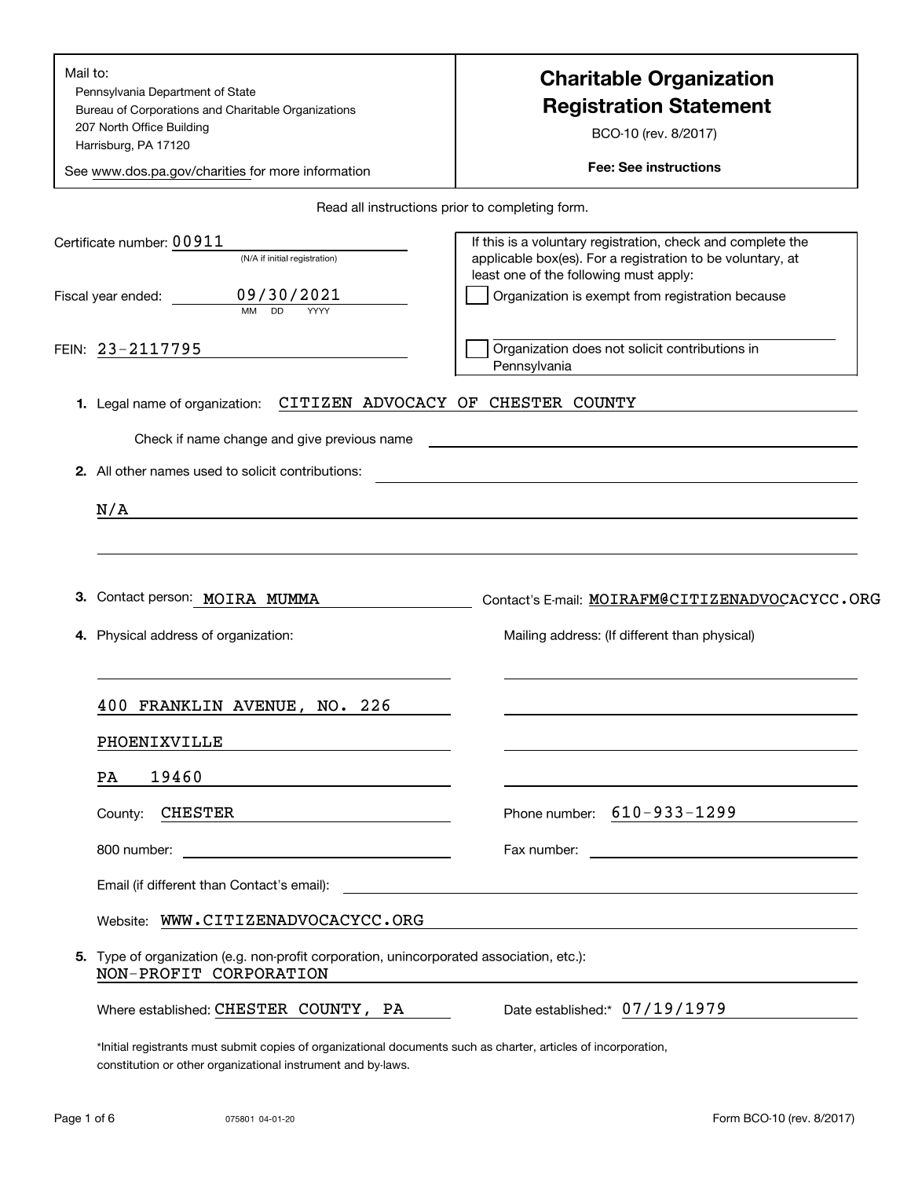| Mail to:<br>Pennsylvania Department of State<br>Bureau of Corporations and Charitable Organizations<br>207 North Office Building<br>Harrisburg, PA 17120<br>See www.dos.pa.gov/charities for more information | <b>Charitable Organization</b><br><b>Registration Statement</b><br>BCO-10 (rev. 8/2017)<br><b>Fee: See instructions</b>                                                                                                                             |
|---------------------------------------------------------------------------------------------------------------------------------------------------------------------------------------------------------------|-----------------------------------------------------------------------------------------------------------------------------------------------------------------------------------------------------------------------------------------------------|
|                                                                                                                                                                                                               | Read all instructions prior to completing form.                                                                                                                                                                                                     |
| Certificate number: $0\,0\,9\,1\,1$<br>(N/A if initial registration)<br>09/30/2021<br>Fiscal year ended:<br><b>MM</b><br><b>DD</b><br>YYYY                                                                    | If this is a voluntary registration, check and complete the<br>applicable box(es). For a registration to be voluntary, at<br>least one of the following must apply:<br>Organization is exempt from registration because                             |
| FEIN: 23-2117795                                                                                                                                                                                              | Organization does not solicit contributions in<br>Pennsylvania                                                                                                                                                                                      |
| 1. Legal name of organization:                                                                                                                                                                                | CITIZEN ADVOCACY OF CHESTER COUNTY                                                                                                                                                                                                                  |
| Check if name change and give previous name                                                                                                                                                                   | the control of the control of the control of the control of the control of the control of the control of the control of the control of the control of the control of the control of the control of the control of the control                       |
| 2. All other names used to solicit contributions:                                                                                                                                                             |                                                                                                                                                                                                                                                     |
| N/A<br>the contract of the contract of the contract of the contract of the contract of the contract of the contract of                                                                                        |                                                                                                                                                                                                                                                     |
|                                                                                                                                                                                                               |                                                                                                                                                                                                                                                     |
| Contact person: MOIRA MUMMA<br>З.<br>4. Physical address of organization:                                                                                                                                     | Contact's E-mail: MOIRAFM@CITIZENADVOCACYCC.ORG                                                                                                                                                                                                     |
|                                                                                                                                                                                                               | Mailing address: (If different than physical)                                                                                                                                                                                                       |
|                                                                                                                                                                                                               |                                                                                                                                                                                                                                                     |
| 400 FRANKLIN AVENUE, NO. 226                                                                                                                                                                                  |                                                                                                                                                                                                                                                     |
| PHOENIXVILLE                                                                                                                                                                                                  |                                                                                                                                                                                                                                                     |
| 19460<br>PA.                                                                                                                                                                                                  |                                                                                                                                                                                                                                                     |
| <b>CHESTER</b><br>County:                                                                                                                                                                                     | Phone number: $610 - 933 - 1299$                                                                                                                                                                                                                    |
| 800 number:<br><u>and the control of the control of the control of the control of the control of the control of the control of</u>                                                                            | Fax number:<br><u>and the contract of the contract of the contract of the contract of the contract of the contract of the contract of the contract of the contract of the contract of the contract of the contract of the contract of the contr</u> |
| Email (if different than Contact's email):                                                                                                                                                                    | <u> 1989 - Johann John Stein, markin fyrstu og fyrstu og fyrstu og fyrstu og fyrstu og fyrstu og fyrstu og fyrst</u>                                                                                                                                |
| Website: WWW.CITIZENADVOCACYCC.ORG                                                                                                                                                                            |                                                                                                                                                                                                                                                     |
| 5. Type of organization (e.g. non-profit corporation, unincorporated association, etc.):<br>NON-PROFIT CORPORATION                                                                                            |                                                                                                                                                                                                                                                     |
| Where established: CHESTER COUNTY, PA                                                                                                                                                                         | Date established: 07/19/1979                                                                                                                                                                                                                        |

constitution or other organizational instrument and by-laws.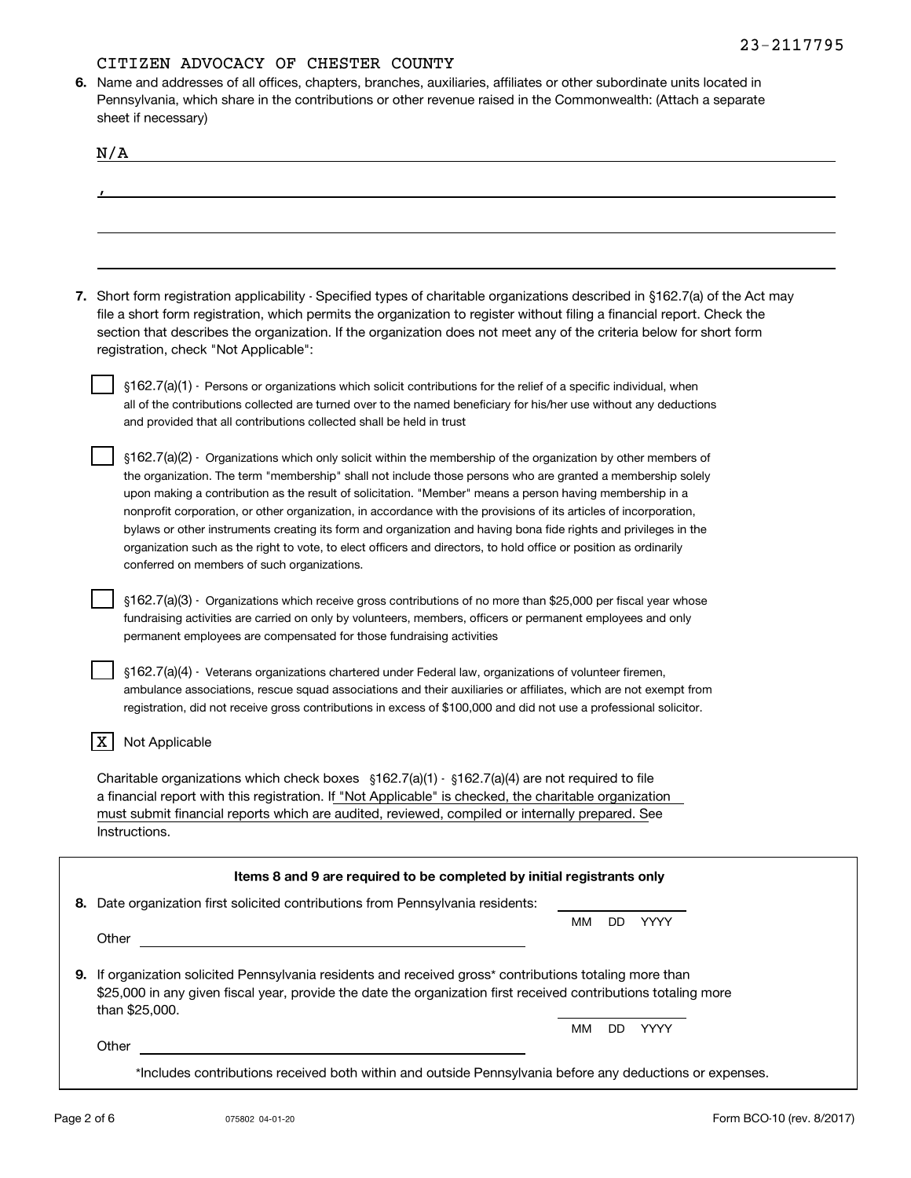**6.**Name and addresses of all offices, chapters, branches, auxiliaries, affiliates or other subordinate units located in Pennsylvania, which share in the contributions or other revenue raised in the Commonwealth: (Attach a separate sheet if necessary)

| N/A                                                                                                                                                                                                                                                                                                                                                                                                                     |
|-------------------------------------------------------------------------------------------------------------------------------------------------------------------------------------------------------------------------------------------------------------------------------------------------------------------------------------------------------------------------------------------------------------------------|
|                                                                                                                                                                                                                                                                                                                                                                                                                         |
|                                                                                                                                                                                                                                                                                                                                                                                                                         |
|                                                                                                                                                                                                                                                                                                                                                                                                                         |
|                                                                                                                                                                                                                                                                                                                                                                                                                         |
|                                                                                                                                                                                                                                                                                                                                                                                                                         |
| 7. Short form registration applicability - Specified types of charitable organizations described in §162.7(a) of the Act may<br>file a short form registration, which permits the organization to register without filing a financial report. Check the<br>section that describes the organization. If the organization does not meet any of the criteria below for short form<br>registration, check "Not Applicable": |
|                                                                                                                                                                                                                                                                                                                                                                                                                         |
| §162.7(a)(1) - Persons or organizations which solicit contributions for the relief of a specific individual, when<br>all of the contributions collected are turned over to the named beneficiary for his/her use without any deductions                                                                                                                                                                                 |
| and provided that all contributions collected shall be held in trust                                                                                                                                                                                                                                                                                                                                                    |
|                                                                                                                                                                                                                                                                                                                                                                                                                         |
| $\S162.7(a)(2)$ · Organizations which only solicit within the membership of the organization by other members of                                                                                                                                                                                                                                                                                                        |
| the organization. The term "membership" shall not include those persons who are granted a membership solely<br>upon making a contribution as the result of solicitation. "Member" means a person having membership in a                                                                                                                                                                                                 |
| nonprofit corporation, or other organization, in accordance with the provisions of its articles of incorporation,                                                                                                                                                                                                                                                                                                       |
| bylaws or other instruments creating its form and organization and having bona fide rights and privileges in the                                                                                                                                                                                                                                                                                                        |
| organization such as the right to vote, to elect officers and directors, to hold office or position as ordinarily                                                                                                                                                                                                                                                                                                       |
| conferred on members of such organizations.                                                                                                                                                                                                                                                                                                                                                                             |
| §162.7(a)(3) - Organizations which receive gross contributions of no more than \$25,000 per fiscal year whose                                                                                                                                                                                                                                                                                                           |
| fundraising activities are carried on only by volunteers, members, officers or permanent employees and only                                                                                                                                                                                                                                                                                                             |
| permanent employees are compensated for those fundraising activities                                                                                                                                                                                                                                                                                                                                                    |
|                                                                                                                                                                                                                                                                                                                                                                                                                         |
| §162.7(a)(4) - Veterans organizations chartered under Federal law, organizations of volunteer firemen,                                                                                                                                                                                                                                                                                                                  |
| ambulance associations, rescue squad associations and their auxiliaries or affiliates, which are not exempt from                                                                                                                                                                                                                                                                                                        |
| registration, did not receive gross contributions in excess of \$100,000 and did not use a professional solicitor.                                                                                                                                                                                                                                                                                                      |
| Not Applicable                                                                                                                                                                                                                                                                                                                                                                                                          |
|                                                                                                                                                                                                                                                                                                                                                                                                                         |
| Charitable organizations which check boxes $\S162.7(a)(1)$ $\cdot$ $\S162.7(a)(4)$ are not required to file                                                                                                                                                                                                                                                                                                             |
| a financial report with this registration. If "Not Applicable" is checked, the charitable organization<br>must submit financial reports which are audited, reviewed, compiled or internally prepared. See                                                                                                                                                                                                               |
| Instructions.                                                                                                                                                                                                                                                                                                                                                                                                           |
|                                                                                                                                                                                                                                                                                                                                                                                                                         |
| Items 8 and 9 are required to be completed by initial registrants only                                                                                                                                                                                                                                                                                                                                                  |
| 8. Date organization first solicited contributions from Pennsylvania residents:                                                                                                                                                                                                                                                                                                                                         |
| DD YYYY<br>ММ                                                                                                                                                                                                                                                                                                                                                                                                           |
| Other                                                                                                                                                                                                                                                                                                                                                                                                                   |
| 9. If organization solicited Pennsylvania residents and received gross* contributions totaling more than                                                                                                                                                                                                                                                                                                                |
| \$25,000 in any given fiscal year, provide the date the organization first received contributions totaling more                                                                                                                                                                                                                                                                                                         |
| than \$25,000.                                                                                                                                                                                                                                                                                                                                                                                                          |
| DD.<br>YYYY<br>MМ                                                                                                                                                                                                                                                                                                                                                                                                       |
| Other<br><u> 1989 - Johann Barbara, martin amerikan basal dan berasal dan berasal dari berasal dan berasal dan berasal dan</u>                                                                                                                                                                                                                                                                                          |
| *Includes contributions received both within and outside Pennsylvania before any deductions or expenses.                                                                                                                                                                                                                                                                                                                |
|                                                                                                                                                                                                                                                                                                                                                                                                                         |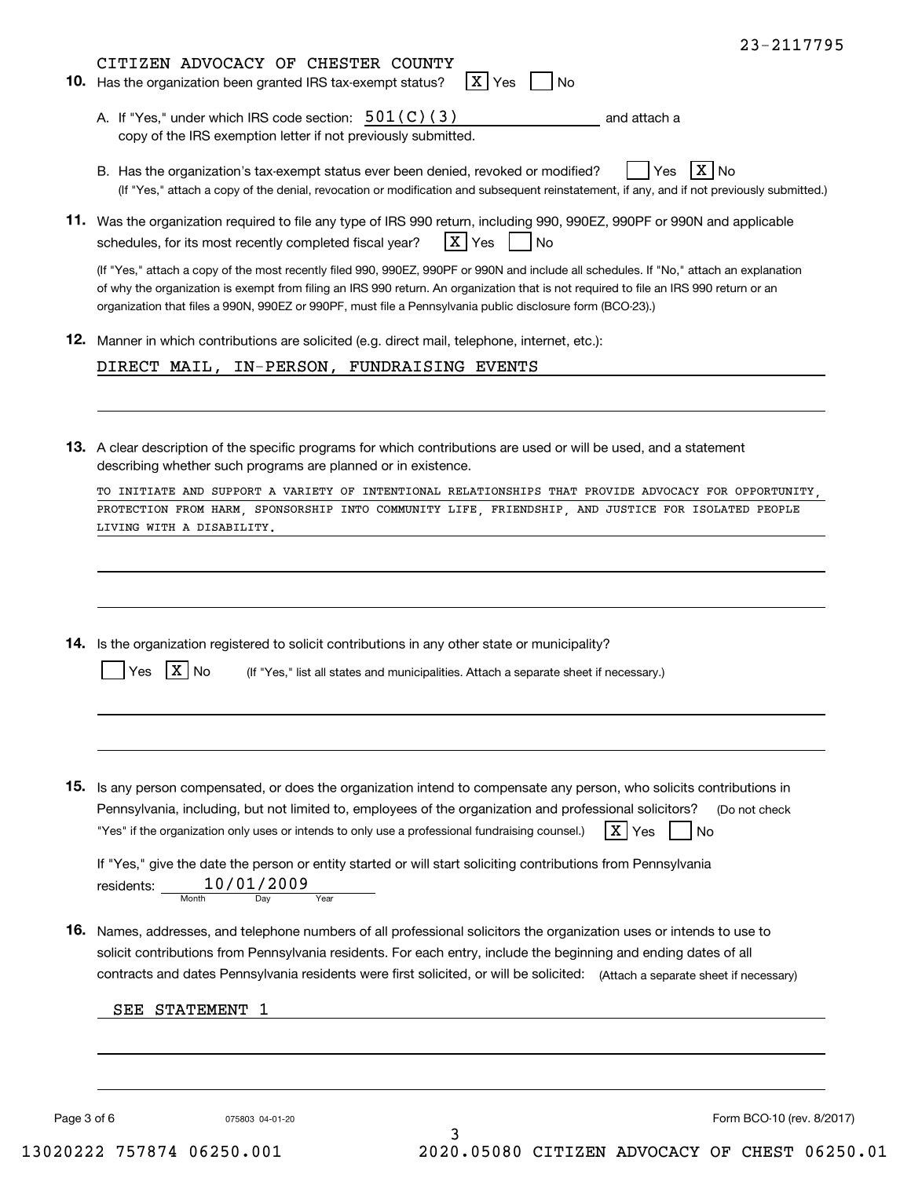|             | X Yes<br>10. Has the organization been granted IRS tax-exempt status?<br>$ $ No                                                                                                                                                                                                                                                                                                                |
|-------------|------------------------------------------------------------------------------------------------------------------------------------------------------------------------------------------------------------------------------------------------------------------------------------------------------------------------------------------------------------------------------------------------|
|             | A. If "Yes," under which IRS code section: $501(C)(3)$<br>and attach a<br>copy of the IRS exemption letter if not previously submitted.                                                                                                                                                                                                                                                        |
|             | $X $ No<br>B. Has the organization's tax-exempt status ever been denied, revoked or modified?<br>Yes<br>(If "Yes," attach a copy of the denial, revocation or modification and subsequent reinstatement, if any, and if not previously submitted.)                                                                                                                                             |
|             | 11. Was the organization required to file any type of IRS 990 return, including 990, 990EZ, 990PF or 990N and applicable<br>X Yes<br>schedules, for its most recently completed fiscal year?<br>No.                                                                                                                                                                                            |
|             | (If "Yes," attach a copy of the most recently filed 990, 990EZ, 990PF or 990N and include all schedules. If "No," attach an explanation<br>of why the organization is exempt from filing an IRS 990 return. An organization that is not required to file an IRS 990 return or an<br>organization that files a 990N, 990EZ or 990PF, must file a Pennsylvania public disclosure form (BCO-23).) |
|             | 12. Manner in which contributions are solicited (e.g. direct mail, telephone, internet, etc.):                                                                                                                                                                                                                                                                                                 |
|             | DIRECT MAIL, IN-PERSON, FUNDRAISING EVENTS                                                                                                                                                                                                                                                                                                                                                     |
|             | 13. A clear description of the specific programs for which contributions are used or will be used, and a statement<br>describing whether such programs are planned or in existence.                                                                                                                                                                                                            |
|             | TO INITIATE AND SUPPORT A VARIETY OF INTENTIONAL RELATIONSHIPS THAT PROVIDE ADVOCACY FOR OPPORTUNITY,<br>PROTECTION FROM HARM, SPONSORSHIP INTO COMMUNITY LIFE, FRIENDSHIP, AND JUSTICE FOR ISOLATED PEOPLE<br>LIVING WITH A DISABILITY.                                                                                                                                                       |
|             | 14. Is the organization registered to solicit contributions in any other state or municipality?<br>X N <sub>0</sub><br>Yes                                                                                                                                                                                                                                                                     |
|             | (If "Yes," list all states and municipalities. Attach a separate sheet if necessary.)                                                                                                                                                                                                                                                                                                          |
|             | 15. Is any person compensated, or does the organization intend to compensate any person, who solicits contributions in                                                                                                                                                                                                                                                                         |
|             | Pennsylvania, including, but not limited to, employees of the organization and professional solicitors?<br>(Do not check<br>$\mathbf{X}$<br>"Yes" if the organization only uses or intends to only use a professional fundraising counsel.)<br>Yes<br>No.                                                                                                                                      |
|             | If "Yes," give the date the person or entity started or will start soliciting contributions from Pennsylvania<br>10/01/2009<br>residents:<br>Month<br>Day<br>Year                                                                                                                                                                                                                              |
|             | 16. Names, addresses, and telephone numbers of all professional solicitors the organization uses or intends to use to<br>solicit contributions from Pennsylvania residents. For each entry, include the beginning and ending dates of all<br>contracts and dates Pennsylvania residents were first solicited, or will be solicited: (Attach a separate sheet if necessary)                     |
|             | SEE STATEMENT 1                                                                                                                                                                                                                                                                                                                                                                                |
|             |                                                                                                                                                                                                                                                                                                                                                                                                |
| Page 3 of 6 | Form BCO-10 (rev. 8/2017)<br>075803 04-01-20<br>3                                                                                                                                                                                                                                                                                                                                              |

23-2117795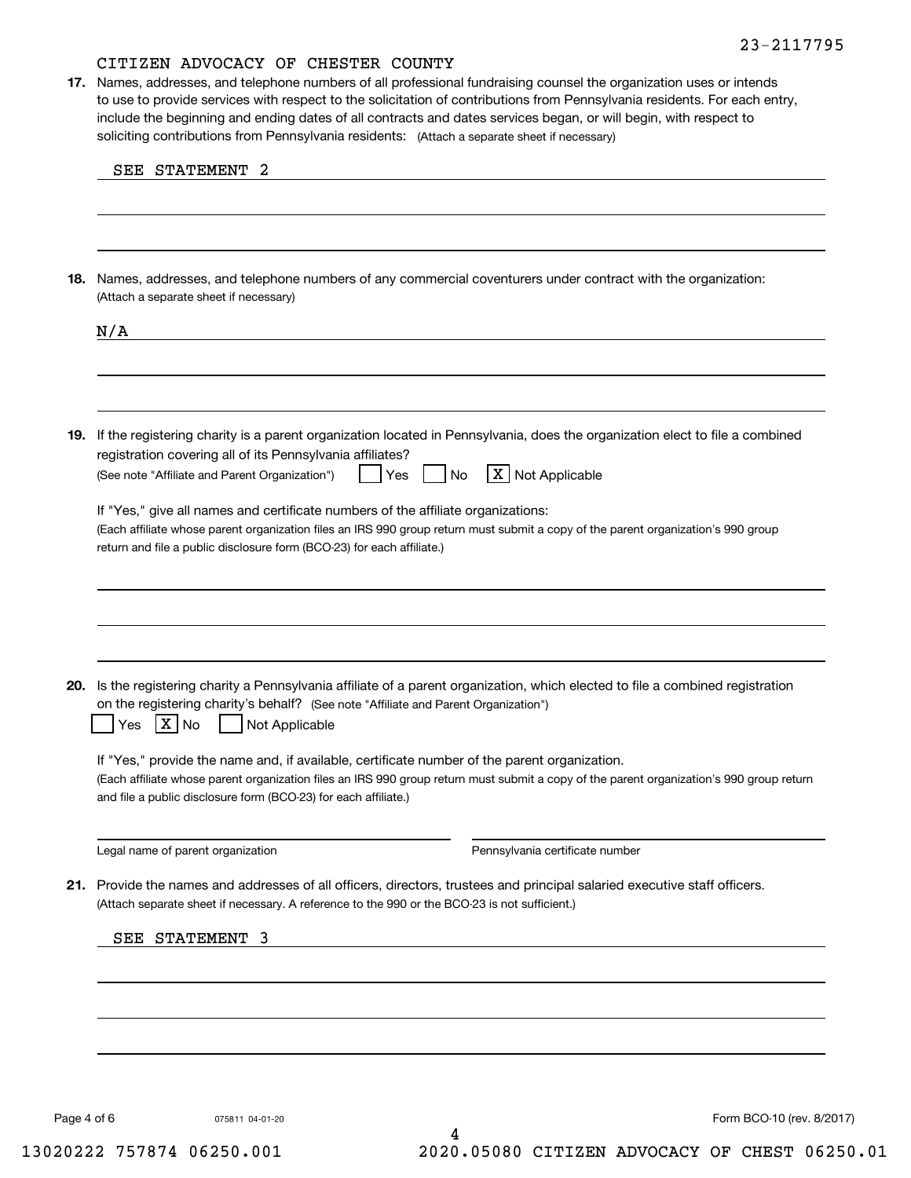soliciting contributions from Pennsylvania residents: (Attach a separate sheet if necessary) **17.** Names, addresses, and telephone numbers of all professional fundraising counsel the organization uses or intends to use to provide services with respect to the solicitation of contributions from Pennsylvania residents. For each entry, include the beginning and ending dates of all contracts and dates services began, or will begin, with respect to

| 18. Names, addresses, and telephone numbers of any commercial coventurers under contract with the organization:<br>(Attach a separate sheet if necessary)                                                                                                                                                                                                                          |  |  |  |
|------------------------------------------------------------------------------------------------------------------------------------------------------------------------------------------------------------------------------------------------------------------------------------------------------------------------------------------------------------------------------------|--|--|--|
| N/A                                                                                                                                                                                                                                                                                                                                                                                |  |  |  |
| 19. If the registering charity is a parent organization located in Pennsylvania, does the organization elect to file a combined<br>registration covering all of its Pennsylvania affiliates?                                                                                                                                                                                       |  |  |  |
| X Not Applicable<br>(See note "Affiliate and Parent Organization")<br>Yes<br>No<br>If "Yes," give all names and certificate numbers of the affiliate organizations:<br>(Each affiliate whose parent organization files an IRS 990 group return must submit a copy of the parent organization's 990 group<br>return and file a public disclosure form (BCO-23) for each affiliate.) |  |  |  |
| 20. Is the registering charity a Pennsylvania affiliate of a parent organization, which elected to file a combined registration<br>on the registering charity's behalf? (See note "Affiliate and Parent Organization")                                                                                                                                                             |  |  |  |
| $X \big  N$<br>Not Applicable<br>Yes<br>If "Yes," provide the name and, if available, certificate number of the parent organization.<br>(Each affiliate whose parent organization files an IRS 990 group return must submit a copy of the parent organization's 990 group return<br>and file a public disclosure form (BCO-23) for each affiliate.)                                |  |  |  |
| Legal name of parent organization<br>Pennsylvania certificate number                                                                                                                                                                                                                                                                                                               |  |  |  |
| 21. Provide the names and addresses of all officers, directors, trustees and principal salaried executive staff officers.<br>(Attach separate sheet if necessary. A reference to the 990 or the BCO-23 is not sufficient.)<br>SEE STATEMENT 3                                                                                                                                      |  |  |  |
|                                                                                                                                                                                                                                                                                                                                                                                    |  |  |  |
|                                                                                                                                                                                                                                                                                                                                                                                    |  |  |  |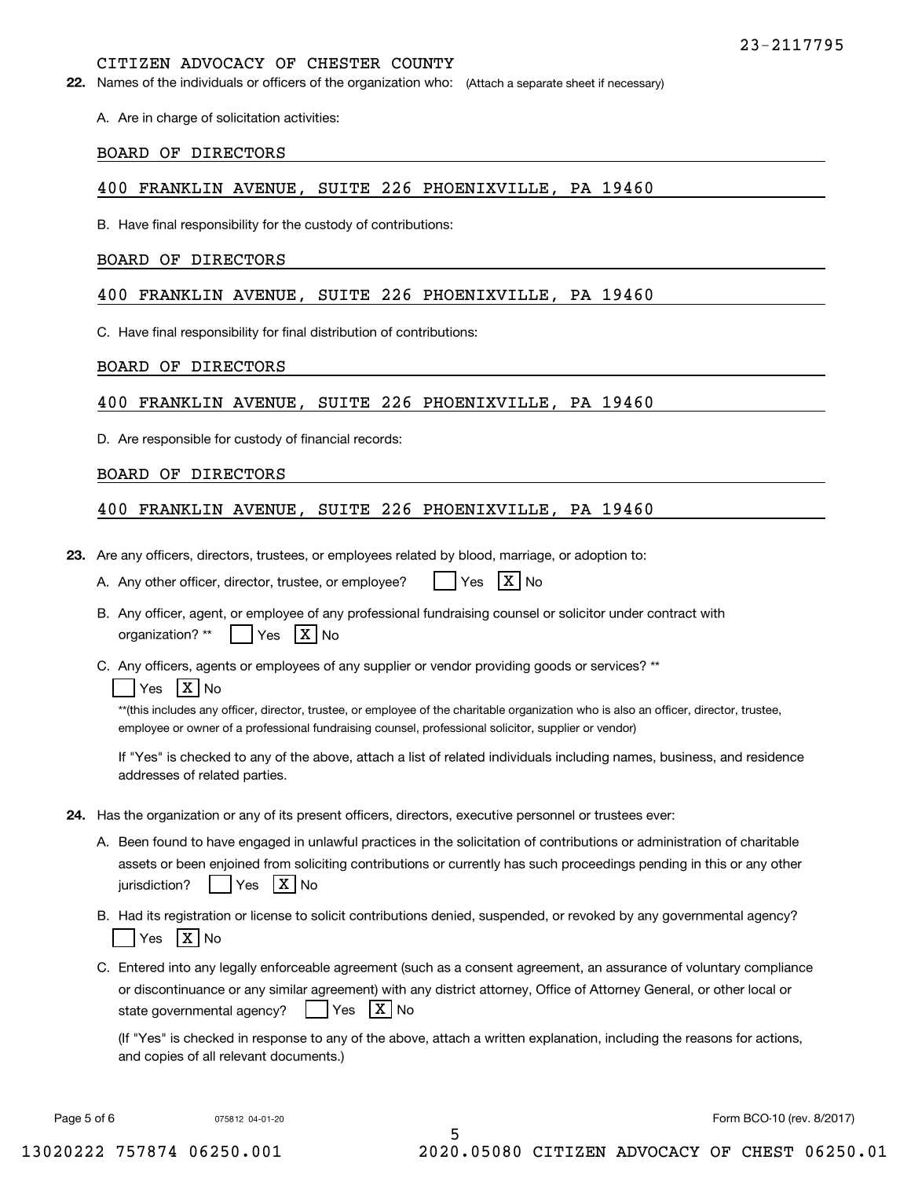**22.** Names of the individuals or officers of the organization who: (Attach a separate sheet if necessary)

A. Are in charge of solicitation activities:

#### BOARD OF DIRECTORS

#### 400 FRANKLIN AVENUE, SUITE 226 PHOENIXVILLE, PA 19460

B. Have final responsibility for the custody of contributions:

#### BOARD OF DIRECTORS

#### 400 FRANKLIN AVENUE, SUITE 226 PHOENIXVILLE, PA 19460

C. Have final responsibility for final distribution of contributions:

#### BOARD OF DIRECTORS

#### 400 FRANKLIN AVENUE, SUITE 226 PHOENIXVILLE, PA 19460

D. Are responsible for custody of financial records:

#### BOARD OF DIRECTORS

#### 400 FRANKLIN AVENUE, SUITE 226 PHOENIXVILLE, PA 19460

**23.**Are any officers, directors, trustees, or employees related by blood, marriage, or adoption to:

|  | A. Any other officer, director, trustee, or employee? |  | $Yes$ $X$ No |  |  |
|--|-------------------------------------------------------|--|--------------|--|--|
|--|-------------------------------------------------------|--|--------------|--|--|

- B. Any officer, agent, or employee of any professional fundraising counsel or solicitor under contract with organization? \*\* es | X | No
- C. Any officers, agents or employees of any supplier or vendor providing goods or services? \*\*

#### Yes |X|No

\*\*(this includes any officer, director, trustee, or employee of the charitable organization who is also an officer, director, trustee, employee or owner of a professional fundraising counsel, professional solicitor, supplier or vendor)

If "Yes" is checked to any of the above, attach a list of related individuals including names, business, and residence addresses of related parties.

- **24.**Has the organization or any of its present officers, directors, executive personnel or trustees ever:
	- A. Been found to have engaged in unlawful practices in the solicitation of contributions or administration of charitable assets or been enjoined from soliciting contributions or currently has such proceedings pending in this or any other jurisdiction?n? | |Yes |X|No
	- B. Had its registration or license to solicit contributions denied, suspended, or revoked by any governmental agency? Yes |X|No
	- C. Entered into any legally enforceable agreement (such as a consent agreement, an assurance of voluntary compliance or discontinuance or any similar agreement) with any district attorney, Office of Attorney General, or other local or state governmental agency? | Yes **X** No

(If "Yes" is checked in response to any of the above, attach a written explanation, including the reasons for actions, and copies of all relevant documents.)

5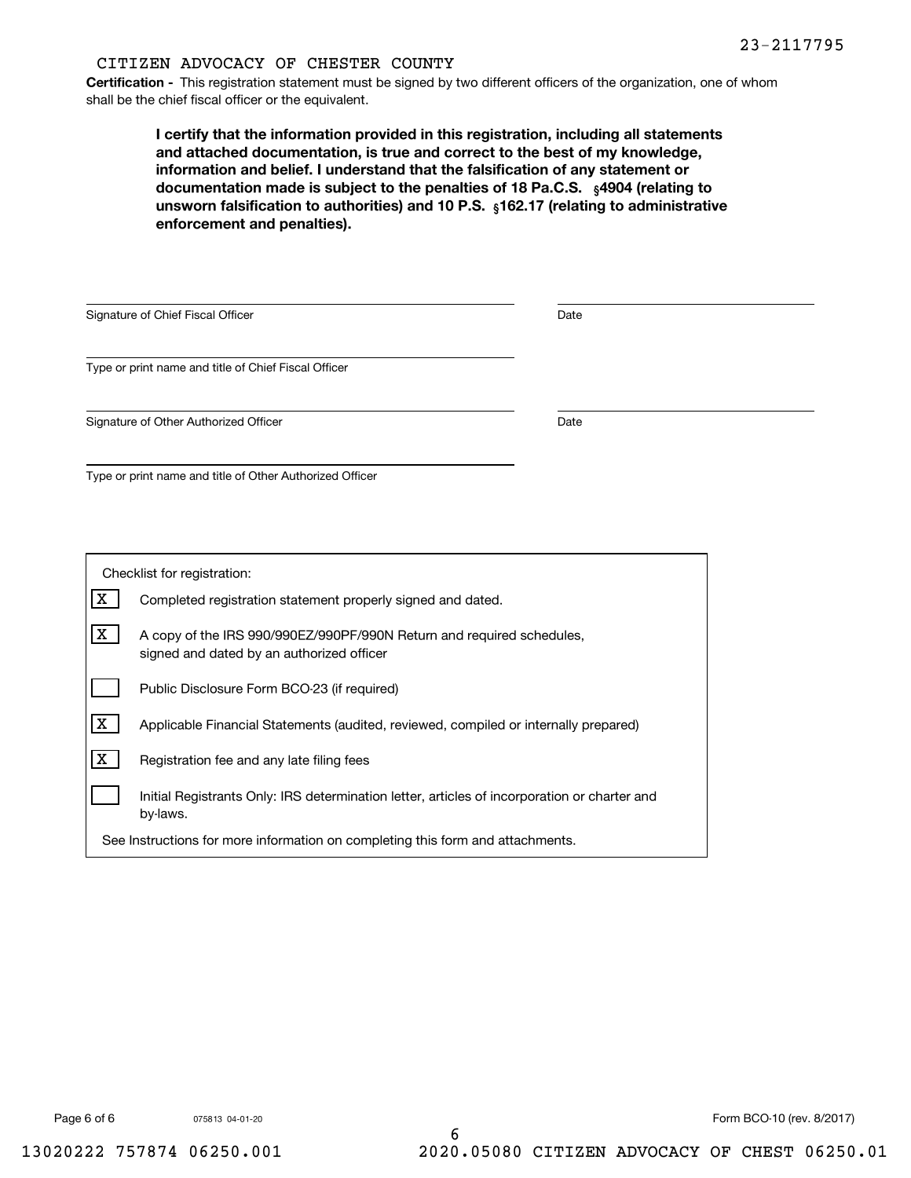**Certification -** This registration statement must be signed by two different officers of the organization, one of whom shall be the chief fiscal officer or the equivalent.

documentation made is subject to the penalties of 18 Pa.C.S.  $\ _{\S}$ 4904 (relating to **<b>unsworn falsification to authorities) and 10 P.S.** <sub>§</sub>162.17 (relating to administrative **I certify that the information provided in this registration, including all statements and attached documentation, is true and correct to the best of my knowledge, information and belief. I understand that the falsification of any statement or enforcement and penalties).**

| Signature of Chief Fiscal Officer                        | Date |  |
|----------------------------------------------------------|------|--|
| Type or print name and title of Chief Fiscal Officer     |      |  |
| Signature of Other Authorized Officer                    | Date |  |
| Type or print name and title of Other Authorized Officer |      |  |

| Checklist for registration:                                                    |                                                                                                                    |  |  |
|--------------------------------------------------------------------------------|--------------------------------------------------------------------------------------------------------------------|--|--|
| х                                                                              | Completed registration statement properly signed and dated.                                                        |  |  |
| X                                                                              | A copy of the IRS 990/990EZ/990PF/990N Return and required schedules,<br>signed and dated by an authorized officer |  |  |
|                                                                                | Public Disclosure Form BCO-23 (if required)                                                                        |  |  |
| x                                                                              | Applicable Financial Statements (audited, reviewed, compiled or internally prepared)                               |  |  |
| x                                                                              | Registration fee and any late filing fees                                                                          |  |  |
| by-laws.                                                                       | Initial Registrants Only: IRS determination letter, articles of incorporation or charter and                       |  |  |
| See Instructions for more information on completing this form and attachments. |                                                                                                                    |  |  |

075813 04-01-20

Page 6 of 6 6 6 6 6 6 6 6 75813 04-01-20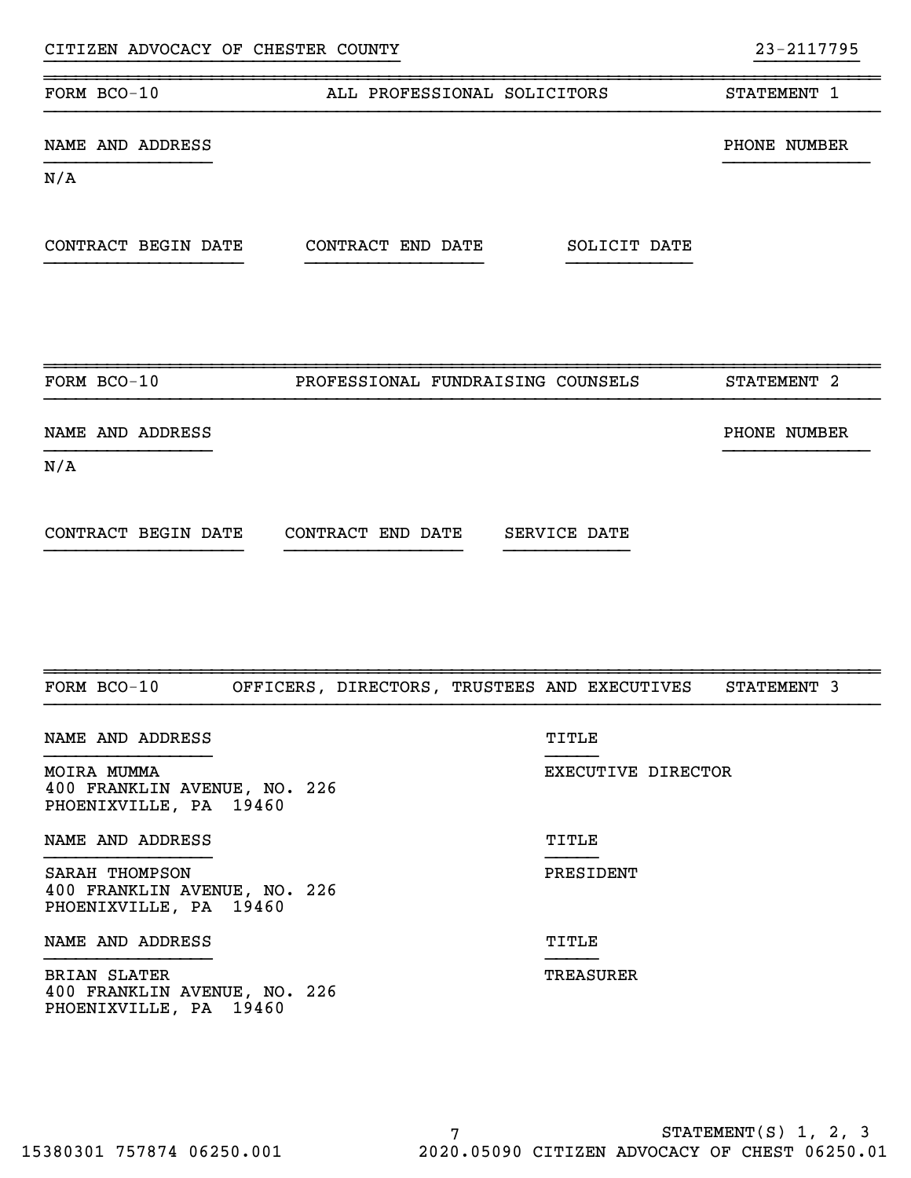| CITIZEN ADVOCACY OF CHESTER COUNTY                                            |                    | 23-2117795             |
|-------------------------------------------------------------------------------|--------------------|------------------------|
| FORM BCO-10<br>ALL PROFESSIONAL SOLICITORS                                    |                    | STATEMENT 1            |
| NAME AND ADDRESS                                                              |                    | PHONE NUMBER           |
| N/A                                                                           |                    |                        |
| CONTRACT BEGIN DATE<br>CONTRACT END DATE                                      | SOLICIT DATE       |                        |
| FORM BCO-10<br>PROFESSIONAL FUNDRAISING COUNSELS                              |                    | STATEMENT <sub>2</sub> |
|                                                                               |                    |                        |
| NAME AND ADDRESS                                                              |                    | PHONE NUMBER           |
| N/A                                                                           |                    |                        |
| CONTRACT BEGIN DATE<br>CONTRACT END DATE                                      | SERVICE DATE       |                        |
| FORM BCO-10<br>OFFICERS, DIRECTORS, TRUSTEES AND EXECUTIVES                   |                    | STATEMENT 3            |
|                                                                               |                    |                        |
| NAME AND ADDRESS                                                              | TITLE              |                        |
| MOIRA MUMMA<br>400 FRANKLIN AVENUE, NO. 226<br>PHOENIXVILLE, PA 19460         | EXECUTIVE DIRECTOR |                        |
| NAME AND ADDRESS                                                              | TITLE              |                        |
| SARAH THOMPSON<br>400 FRANKLIN AVENUE, NO. 226<br>PHOENIXVILLE, PA 19460      | PRESIDENT          |                        |
| NAME AND ADDRESS                                                              | TITLE              |                        |
| <b>BRIAN SLATER</b><br>400 FRANKLIN AVENUE, NO. 226<br>PHOENIXVILLE, PA 19460 | <b>TREASURER</b>   |                        |
|                                                                               |                    |                        |
|                                                                               |                    |                        |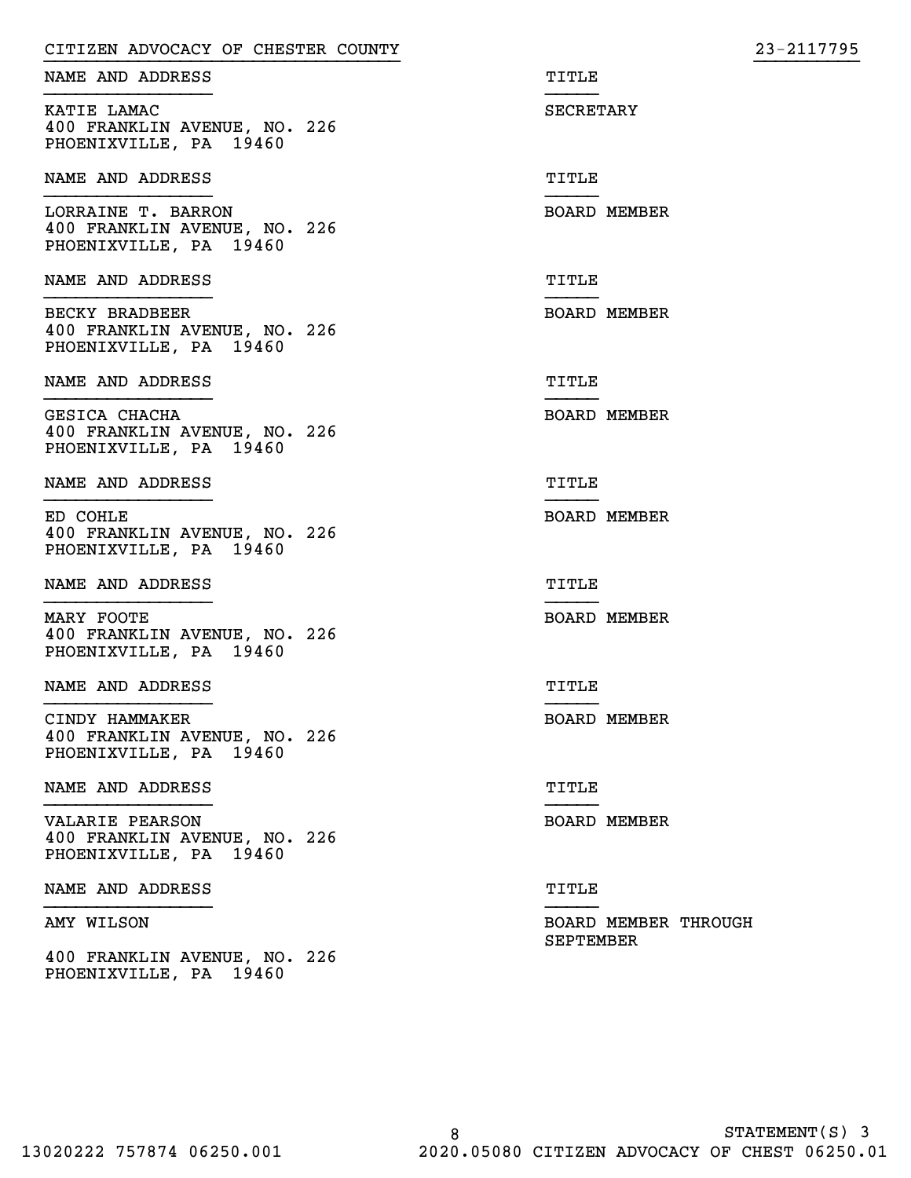| CITIZEN ADVOCACY OF CHESTER COUNTY                                           |                                   | 23-2117795 |
|------------------------------------------------------------------------------|-----------------------------------|------------|
| NAME AND ADDRESS                                                             | TITLE                             |            |
| KATIE LAMAC<br>400 FRANKLIN AVENUE, NO. 226<br>PHOENIXVILLE, PA 19460        | SECRETARY                         |            |
| NAME AND ADDRESS                                                             | TITLE                             |            |
| LORRAINE T. BARRON<br>400 FRANKLIN AVENUE, NO. 226<br>PHOENIXVILLE, PA 19460 | <b>BOARD MEMBER</b>               |            |
| NAME AND ADDRESS                                                             | TITLE                             |            |
| BECKY BRADBEER<br>400 FRANKLIN AVENUE, NO. 226<br>PHOENIXVILLE, PA 19460     | <b>BOARD MEMBER</b>               |            |
| NAME AND ADDRESS                                                             | TITLE                             |            |
| GESICA CHACHA<br>400 FRANKLIN AVENUE, NO. 226<br>PHOENIXVILLE, PA 19460      | <b>BOARD MEMBER</b>               |            |
| NAME AND ADDRESS                                                             | TITLE                             |            |
| ED COHLE<br>400 FRANKLIN AVENUE, NO. 226<br>PHOENIXVILLE, PA 19460           | <b>BOARD MEMBER</b>               |            |
| NAME AND ADDRESS                                                             | TITLE                             |            |
| MARY FOOTE<br>400 FRANKLIN AVENUE, NO. 226<br>PHOENIXVILLE, PA 19460         | <b>BOARD MEMBER</b>               |            |
| NAME AND ADDRESS                                                             | TITLE                             |            |
| CINDY HAMMAKER<br>400 FRANKLIN AVENUE, NO. 226<br>PHOENIXVILLE, PA 19460     | <b>BOARD MEMBER</b>               |            |
| NAME AND ADDRESS                                                             | TITLE                             |            |
| VALARIE PEARSON<br>400 FRANKLIN AVENUE, NO. 226<br>PHOENIXVILLE, PA 19460    | <b>BOARD MEMBER</b>               |            |
| NAME AND ADDRESS                                                             | TITLE                             |            |
| AMY WILSON                                                                   | BOARD MEMBER THROUGH<br>SEPTEMBER |            |
| 400 FRANKLIN AVENUE, NO. 226<br>PHOENIXVILLE, PA 19460                       |                                   |            |